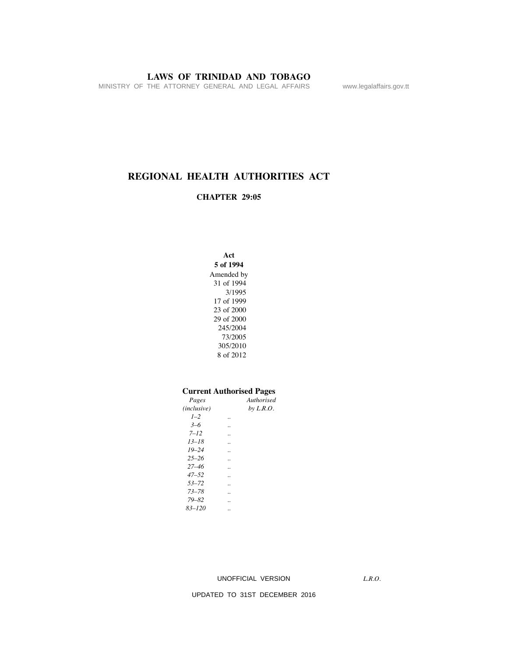MINISTRY OF THE ATTORNEY GENERAL AND LEGAL AFFAIRS www.legalaffairs.gov.tt

# **REGIONAL HEALTH AUTHORITIES ACT**

### **CHAPTER 29:05**

**Act 5 of 1994** Amended by 31 of 1994 3/1995 17 of 1999 23 of 2000 29 of 2000 245/2004 73/2005 305/2010 8 of 2012

#### **Current Authorised Pages**

| Pages       | Authorised  |
|-------------|-------------|
| (inclusive) | by $L.R.O.$ |
| $1 - 2$     |             |
| $3 - 6$     |             |
| $7 - 12$    |             |
| $13 - 18$   |             |
| $19 - 24$   |             |
| $25 - 26$   |             |
| $27 - 46$   |             |
| $47 - 52$   |             |
| $53 - 72$   |             |
| $73 - 78$   |             |
| $79 - 82$   |             |
| $83 - 120$  |             |
|             |             |

UNOFFICIAL VERSION

*L.R.O.*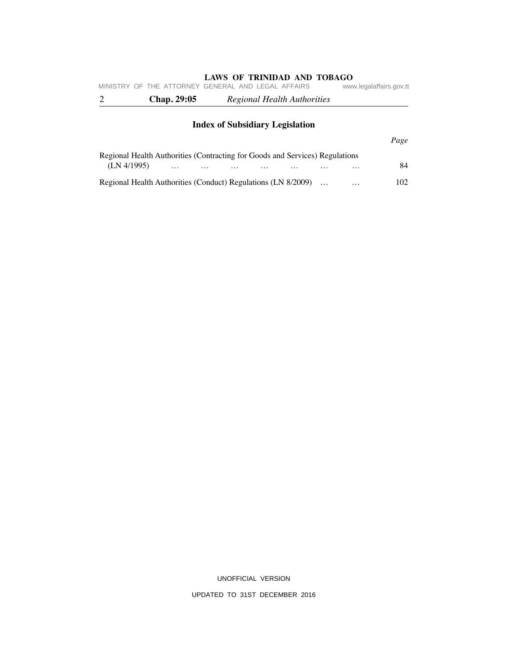|                                        | <b>Chap. 29:05</b> | MINISTRY OF THE ATTORNEY GENERAL AND LEGAL AFFAIRS<br>Regional Health Authorities | www.legalaffairs.gov.tt |  |  |  |  |
|----------------------------------------|--------------------|-----------------------------------------------------------------------------------|-------------------------|--|--|--|--|
| <b>Index of Subsidiary Legislation</b> |                    |                                                                                   |                         |  |  |  |  |
|                                        |                    |                                                                                   | Page                    |  |  |  |  |

# Regional Health Authorities (Contracting for Goods and Services) Regulations (LN 4/1995) … … … … … … … 84 Regional Health Authorities (Conduct) Regulations (LN 8/2009) … … 102

UNOFFICIAL VERSION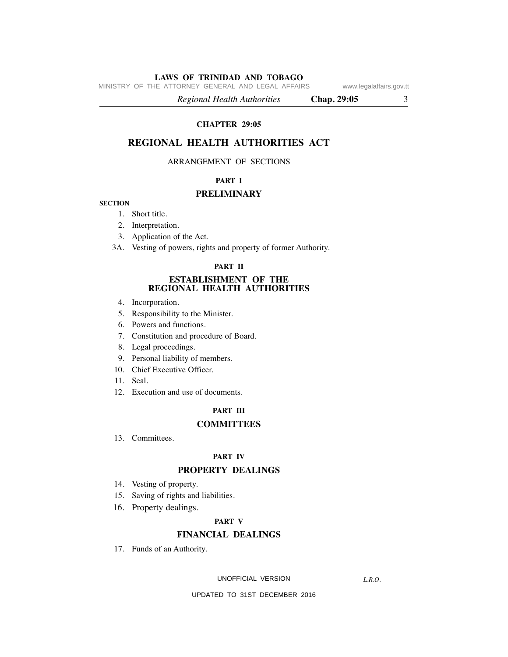MINISTRY OF THE ATTORNEY GENERAL AND LEGAL AFFAIRS www.legalaffairs.gov.tt

 *Regional Health Authorities* **Chap. 29:05** 3

### **CHAPTER 29:05**

# **REGIONAL HEALTH AUTHORITIES ACT**

#### ARRANGEMENT OF SECTIONS

### **PART I**

#### **PRELIMINARY**

#### **SECTION**

- 1. Short title.
- 2. Interpretation.
- 3. Application of the Act.
- 3A. Vesting of powers, rights and property of former Authority.

#### **PART II**

#### **ESTABLISHMENT OF THE REGIONAL HEALTH AUTHORITIES**

- 4. Incorporation.
- 5. Responsibility to the Minister.
- 6. Powers and functions.
- 7. Constitution and procedure of Board.
- 8. Legal proceedings.
- 9. Personal liability of members.
- 10. Chief Executive Officer.
- 11. Seal.
- 12. Execution and use of documents.

# **PART III**

#### **COMMITTEES**

13. Committees.

#### **PART IV**

### **PROPERTY DEALINGS**

- 14. Vesting of property.
- 15. Saving of rights and liabilities.
- 16. Property dealings.

#### **PART V**

# **FINANCIAL DEALINGS**

17. Funds of an Authority.

UNOFFICIAL VERSION

*L.R.O.*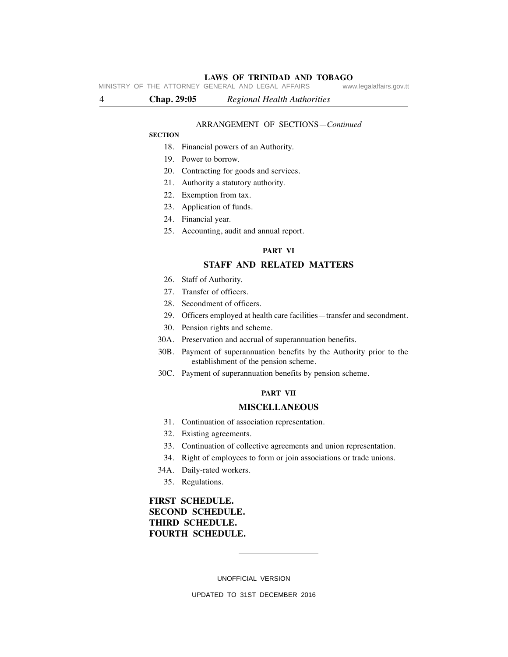MINISTRY OF THE ATTORNEY GENERAL AND LEGAL AFFAIRS

4 **Chap. 29:05** *Regional Health Authorities*

#### ARRANGEMENT OF SECTIONS—*Continued*

#### **SECTION**

- 18. Financial powers of an Authority.
- 19. Power to borrow.
- 20. Contracting for goods and services.
- 21. Authority a statutory authority.
- 22. Exemption from tax.
- 23. Application of funds.
- 24. Financial year.
- 25. Accounting, audit and annual report.

#### **PART VI**

# **STAFF AND RELATED MATTERS**

- 26. Staff of Authority.
- 27. Transfer of officers.
- 28. Secondment of officers.
- 29. Officers employed at health care facilities—transfer and secondment.
- 30. Pension rights and scheme.
- 30A. Preservation and accrual of superannuation benefits.
- 30B. Payment of superannuation benefits by the Authority prior to the establishment of the pension scheme.
- 30C. Payment of superannuation benefits by pension scheme.

#### **PART VII**

#### **MISCELLANEOUS**

- 31. Continuation of association representation.
- 32. Existing agreements.
- 33. Continuation of collective agreements and union representation.
- 34. Right of employees to form or join associations or trade unions.
- 34A. Daily-rated workers.
	- 35. Regulations.

# **FIRST SCHEDULE. SECOND SCHEDULE. THIRD SCHEDULE. FOURTH SCHEDULE.**

UNOFFICIAL VERSION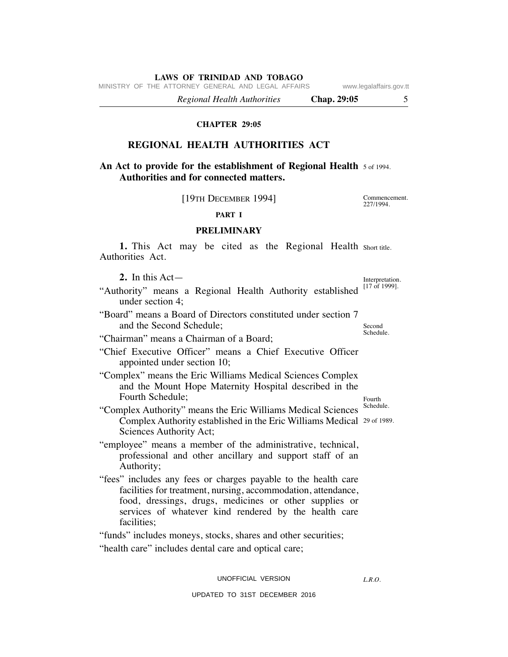MINISTRY OF THE ATTORNEY GENERAL AND LEGAL AFFAIRS www.legalaffairs.gov.tt

 *Regional Health Authorities* **Chap. 29:05** 5

#### **CHAPTER 29:05**

# **REGIONAL HEALTH AUTHORITIES ACT**

# **An Act to provide for the establishment of Regional Health 5 of 1994. Authorities and for connected matters.**

[19TH DECEMBER 1994]

Commencement. 227/1994.

**PART I**

### **PRELIMINARY**

1. This Act may be cited as the Regional Health short title. Authorities Act.

 **2.** In this Act—

- "Authority" means a Regional Health Authority established <sup>[17 of 1999].</sup> under section 4;
- "Board" means a Board of Directors constituted under section 7 and the Second Schedule;
- "Chairman" means a Chairman of a Board;
- "Chief Executive Officer" means a Chief Executive Officer appointed under section 10;
- "Complex" means the Eric Williams Medical Sciences Complex and the Mount Hope Maternity Hospital described in the Fourth Schedule;
- Schedule. Complex Authority established in the Eric Williams Medical 29 of 1989. "Complex Authority" means the Eric Williams Medical Sciences Sciences Authority Act;
- "employee" means a member of the administrative, technical, professional and other ancillary and support staff of an Authority;
- "fees" includes any fees or charges payable to the health care facilities for treatment, nursing, accommodation, attendance, food, dressings, drugs, medicines or other supplies or services of whatever kind rendered by the health care facilities:

"funds" includes moneys, stocks, shares and other securities;

"health care" includes dental care and optical care;

#### UNOFFICIAL VERSION

*L.R.O.* 

UPDATED TO 31ST DECEMBER 2016

Interpretation.

Second Schedule.

Fourth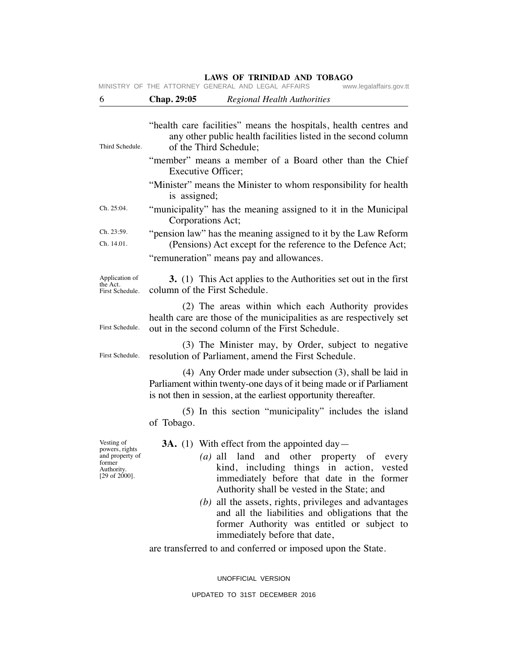| 6                                                                                                   | Chap. 29:05<br><b>Regional Health Authorities</b>                                                                                                                                                                                                                                                                                                                                                                                                                                                     |  |  |  |  |  |
|-----------------------------------------------------------------------------------------------------|-------------------------------------------------------------------------------------------------------------------------------------------------------------------------------------------------------------------------------------------------------------------------------------------------------------------------------------------------------------------------------------------------------------------------------------------------------------------------------------------------------|--|--|--|--|--|
| Third Schedule.                                                                                     | "health care facilities" means the hospitals, health centres and<br>any other public health facilities listed in the second column<br>of the Third Schedule;                                                                                                                                                                                                                                                                                                                                          |  |  |  |  |  |
|                                                                                                     | "member" means a member of a Board other than the Chief<br><b>Executive Officer;</b>                                                                                                                                                                                                                                                                                                                                                                                                                  |  |  |  |  |  |
|                                                                                                     | "Minister" means the Minister to whom responsibility for health<br>is assigned;                                                                                                                                                                                                                                                                                                                                                                                                                       |  |  |  |  |  |
| Ch. 25:04.                                                                                          | "municipality" has the meaning assigned to it in the Municipal<br>Corporations Act;                                                                                                                                                                                                                                                                                                                                                                                                                   |  |  |  |  |  |
| Ch. 23:59.<br>Ch. 14.01.                                                                            | "pension law" has the meaning assigned to it by the Law Reform<br>(Pensions) Act except for the reference to the Defence Act;                                                                                                                                                                                                                                                                                                                                                                         |  |  |  |  |  |
| Application of<br>the Act.<br>First Schedule.                                                       | "remuneration" means pay and allowances.<br>3. (1) This Act applies to the Authorities set out in the first<br>column of the First Schedule.                                                                                                                                                                                                                                                                                                                                                          |  |  |  |  |  |
| First Schedule.                                                                                     | (2) The areas within which each Authority provides<br>health care are those of the municipalities as are respectively set<br>out in the second column of the First Schedule.                                                                                                                                                                                                                                                                                                                          |  |  |  |  |  |
| First Schedule.                                                                                     | (3) The Minister may, by Order, subject to negative<br>resolution of Parliament, amend the First Schedule.                                                                                                                                                                                                                                                                                                                                                                                            |  |  |  |  |  |
|                                                                                                     | $(4)$ Any Order made under subsection $(3)$ , shall be laid in<br>Parliament within twenty-one days of it being made or if Parliament<br>is not then in session, at the earliest opportunity thereafter.                                                                                                                                                                                                                                                                                              |  |  |  |  |  |
|                                                                                                     | (5) In this section "municipality" includes the island<br>of Tobago.                                                                                                                                                                                                                                                                                                                                                                                                                                  |  |  |  |  |  |
| Vesting of<br>powers, rights<br>and property of<br>former<br>Authority.<br>$[29 \text{ of } 2000].$ | <b>3A.</b> (1) With effect from the appointed day—<br>(a) all land and other property of every<br>kind, including things in action, vested<br>immediately before that date in the former<br>Authority shall be vested in the State; and<br>$(b)$ all the assets, rights, privileges and advantages<br>and all the liabilities and obligations that the<br>former Authority was entitled or subject to<br>immediately before that date,<br>are transferred to and conferred or imposed upon the State. |  |  |  |  |  |
|                                                                                                     | UNOFFICIAL VERSION                                                                                                                                                                                                                                                                                                                                                                                                                                                                                    |  |  |  |  |  |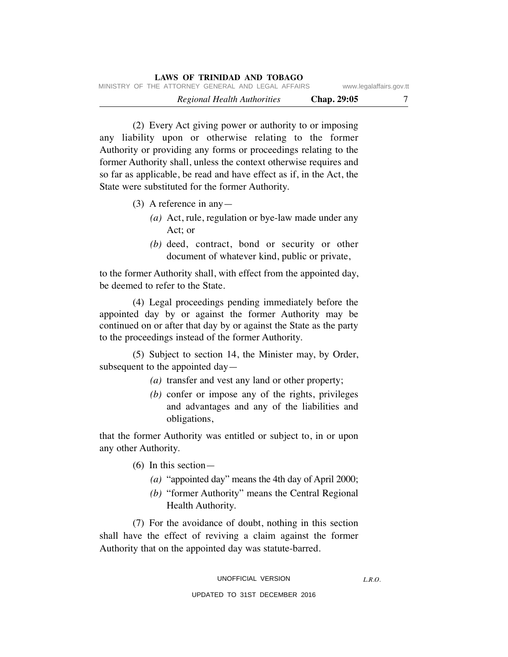|                         |             |  |                             | LAWS OF TRINIDAD AND TOBAGO |                                                    |  |
|-------------------------|-------------|--|-----------------------------|-----------------------------|----------------------------------------------------|--|
| www.legalaffairs.gov.tt |             |  |                             |                             | MINISTRY OF THE ATTORNEY GENERAL AND LEGAL AFFAIRS |  |
|                         | Chap. 29:05 |  | Regional Health Authorities |                             |                                                    |  |

 (2) Every Act giving power or authority to or imposing any liability upon or otherwise relating to the former Authority or providing any forms or proceedings relating to the former Authority shall, unless the context otherwise requires and so far as applicable, be read and have effect as if, in the Act, the State were substituted for the former Authority.

- (3) A reference in any—
	- *(a)* Act, rule, regulation or bye-law made under any Act; or
	- *(b)* deed, contract, bond or security or other document of whatever kind, public or private,

to the former Authority shall, with effect from the appointed day, be deemed to refer to the State.

 (4) Legal proceedings pending immediately before the appointed day by or against the former Authority may be continued on or after that day by or against the State as the party to the proceedings instead of the former Authority.

 (5) Subject to section 14, the Minister may, by Order, subsequent to the appointed day—

- *(a)* transfer and vest any land or other property;
- *(b)* confer or impose any of the rights, privileges and advantages and any of the liabilities and obligations,

that the former Authority was entitled or subject to, in or upon any other Authority.

(6) In this section—

- *(a)* "appointed day" means the 4th day of April 2000;
- *(b)* "former Authority" means the Central Regional Health Authority.

 (7) For the avoidance of doubt, nothing in this section shall have the effect of reviving a claim against the former Authority that on the appointed day was statute-barred.

*L.R.O.*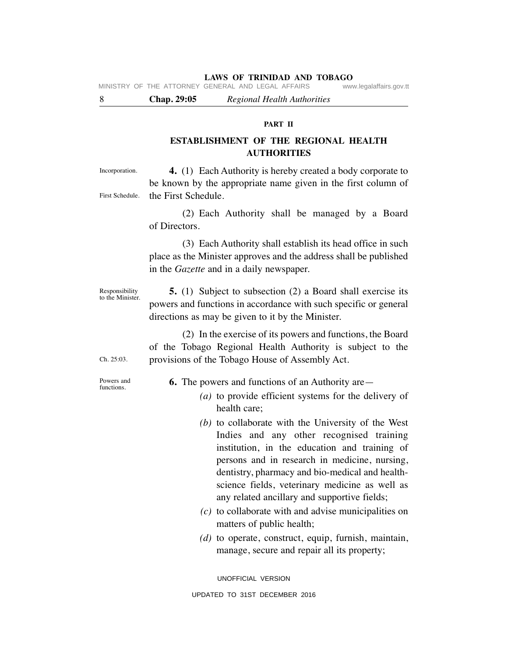MINISTRY OF THE ATTORNEY GENERAL AND LEGAL AFFAIRS www.legalaffairs.gov.tt

8 **Chap. 29:05** *Regional Health Authorities*

#### **PART II**

# **ESTABLISHMENT OF THE REGIONAL HEALTH AUTHORITIES**

Incorporation.

First Schedule. **4.** (1) Each Authority is hereby created a body corporate to be known by the appropriate name given in the first column of the First Schedule.

> (2) Each Authority shall be managed by a Board of Directors.

 (3) Each Authority shall establish its head office in such place as the Minister approves and the address shall be published in the *Gazette* and in a daily newspaper.

Responsibility to the Minister.

 **5.** (1) Subject to subsection (2) a Board shall exercise its powers and functions in accordance with such specific or general directions as may be given to it by the Minister.

 (2) In the exercise of its powers and functions, the Board of the Tobago Regional Health Authority is subject to the provisions of the Tobago House of Assembly Act.

Powers and functions.

Ch. 25:03.

 **6.** The powers and functions of an Authority are—

- *(a)* to provide efficient systems for the delivery of health care;
- *(b)* to collaborate with the University of the West Indies and any other recognised training institution, in the education and training of persons and in research in medicine, nursing, dentistry, pharmacy and bio-medical and healthscience fields, veterinary medicine as well as any related ancillary and supportive fields;
- *(c)* to collaborate with and advise municipalities on matters of public health;
- *(d)* to operate, construct, equip, furnish, maintain, manage, secure and repair all its property;

UNOFFICIAL VERSION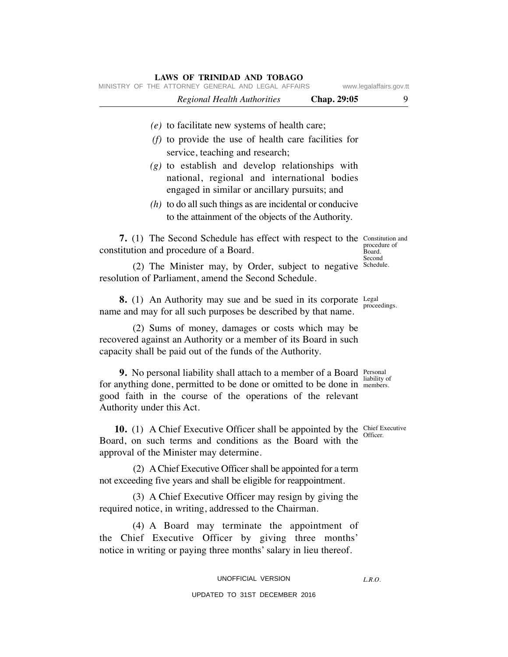| MINISTRY OF THE ATTORNEY GENERAL AND LEGAL AFFAIRS                                                                                                                                                                                                   |             | www.legalaffairs.gov.tt |
|------------------------------------------------------------------------------------------------------------------------------------------------------------------------------------------------------------------------------------------------------|-------------|-------------------------|
| <b>Regional Health Authorities</b>                                                                                                                                                                                                                   | Chap. 29:05 | 9                       |
| $(e)$ to facilitate new systems of health care;                                                                                                                                                                                                      |             |                         |
| $(f)$ to provide the use of health care facilities for<br>service, teaching and research;                                                                                                                                                            |             |                         |
| $(g)$ to establish and develop relationships with<br>national, regional and international bodies<br>engaged in similar or ancillary pursuits; and                                                                                                    |             |                         |
| $(h)$ to do all such things as are incidental or conducive<br>to the attainment of the objects of the Authority.                                                                                                                                     |             |                         |
| 7. (1) The Second Schedule has effect with respect to the Constitution and<br>constitution and procedure of a Board.                                                                                                                                 |             | procedure of<br>Board.  |
| (2) The Minister may, by Order, subject to negative<br>resolution of Parliament, amend the Second Schedule.                                                                                                                                          |             | Second<br>Schedule.     |
| <b>8.</b> (1) An Authority may sue and be sued in its corporate Legal<br>name and may for all such purposes be described by that name.                                                                                                               |             | proceedings.            |
| (2) Sums of money, damages or costs which may be<br>recovered against an Authority or a member of its Board in such<br>capacity shall be paid out of the funds of the Authority.                                                                     |             |                         |
| <b>9.</b> No personal liability shall attach to a member of a Board Personal<br>for anything done, permitted to be done or omitted to be done in members.<br>good faith in the course of the operations of the relevant<br>Authority under this Act. |             | liability of            |
| <b>10.</b> (1) A Chief Executive Officer shall be appointed by the Chief Executive<br>Board, on such terms and conditions as the Board with the<br>approval of the Minister may determine.                                                           |             | Officer.                |
| (2) A Chief Executive Officer shall be appointed for a term<br>not exceeding five years and shall be eligible for reappointment.                                                                                                                     |             |                         |
| (3) A Chief Executive Officer may resign by giving the<br>required notice, in writing, addressed to the Chairman.                                                                                                                                    |             |                         |
| (4) A Board may terminate the appointment of<br>the Chief Executive Officer by giving three months'<br>notice in writing or paying three months' salary in lieu thereof.                                                                             |             |                         |
| UNOFFICIAL VERSION                                                                                                                                                                                                                                   |             | L.R.O.                  |
| UPDATED TO 31ST DECEMBER 2016                                                                                                                                                                                                                        |             |                         |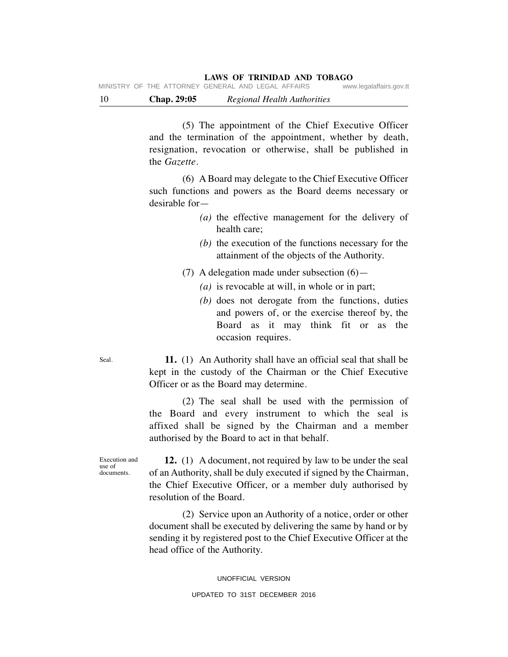|                                                    |  | <b>Chap.</b> 29:05 |  | Regional Health Authorities |                         |
|----------------------------------------------------|--|--------------------|--|-----------------------------|-------------------------|
| MINISTRY OF THE ATTORNEY GENERAL AND LEGAL AFFAIRS |  |                    |  |                             | www.legalaffairs.gov.tt |

 (5) The appointment of the Chief Executive Officer and the termination of the appointment, whether by death, resignation, revocation or otherwise, shall be published in the *Gazette.*

 (6) A Board may delegate to the Chief Executive Officer such functions and powers as the Board deems necessary or desirable for—

- *(a)* the effective management for the delivery of health care;
- *(b)* the execution of the functions necessary for the attainment of the objects of the Authority.
- (7) A delegation made under subsection  $(6)$ 
	- *(a)* is revocable at will, in whole or in part;
	- *(b)* does not derogate from the functions, duties and powers of, or the exercise thereof by, the Board as it may think fit or as the occasion requires.

 **11.** (1) An Authority shall have an official seal that shall be kept in the custody of the Chairman or the Chief Executive Officer or as the Board may determine.

 (2) The seal shall be used with the permission of the Board and every instrument to which the seal is affixed shall be signed by the Chairman and a member authorised by the Board to act in that behalf.

Execution and **12.** (1) A document, not required by law to be under the seal of an Authority, shall be duly executed if signed by the Chairman, the Chief Executive Officer, or a member duly authorised by resolution of the Board.

> (2) Service upon an Authority of a notice, order or other document shall be executed by delivering the same by hand or by sending it by registered post to the Chief Executive Officer at the head office of the Authority.

Seal.

use of documents.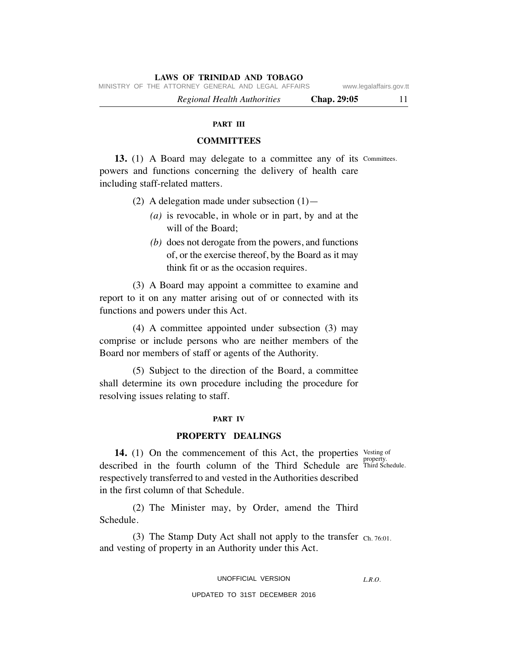MINISTRY OF THE ATTORNEY GENERAL AND LEGAL AFFAIRS www.legalaffairs.gov.tt

 *Regional Health Authorities* **Chap. 29:05** 11

#### **PART III**

## **COMMITTEES**

13. (1) A Board may delegate to a committee any of its Committees. powers and functions concerning the delivery of health care including staff-related matters.

- (2) A delegation made under subsection  $(1)$  -
	- *(a)* is revocable, in whole or in part, by and at the will of the Board;
	- *(b)* does not derogate from the powers, and functions of, or the exercise thereof, by the Board as it may think fit or as the occasion requires.

 (3) A Board may appoint a committee to examine and report to it on any matter arising out of or connected with its functions and powers under this Act.

 (4) A committee appointed under subsection (3) may comprise or include persons who are neither members of the Board nor members of staff or agents of the Authority.

 (5) Subject to the direction of the Board, a committee shall determine its own procedure including the procedure for resolving issues relating to staff.

#### **PART IV**

#### **PROPERTY DEALINGS**

property.

14. (1) On the commencement of this Act, the properties vesting of described in the fourth column of the Third Schedule are Third Schedule. respectively transferred to and vested in the Authorities described in the first column of that Schedule.

 (2) The Minister may, by Order, amend the Third Schedule.

(3) The Stamp Duty Act shall not apply to the transfer  $_{Ch. 76:01}$ . and vesting of property in an Authority under this Act.

#### UNOFFICIAL VERSION

*L.R.O.*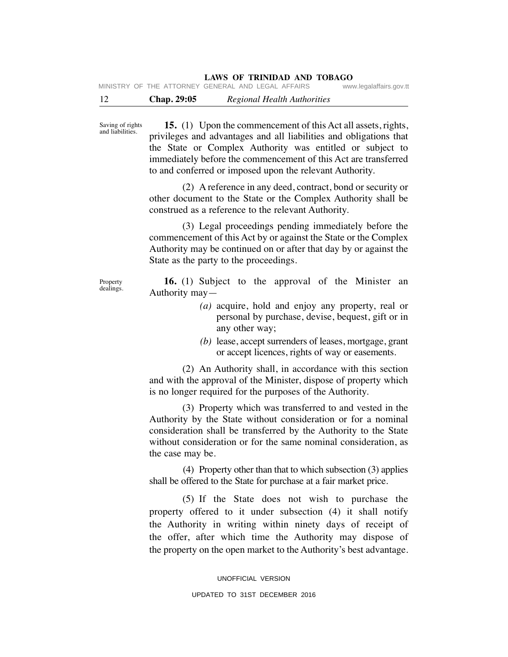| $\sim$ |  | $\mathbf{A} \mathbf{A} \mathbf{A}$ |  | $\mathbf{D}$ $\mathbf{I}$ $\mathbf{I}$ $\mathbf{I}$ $\mathbf{I}$ $\mathbf{I}$ $\mathbf{I}$ $\mathbf{I}$ $\mathbf{I}$ $\mathbf{I}$ $\mathbf{I}$ $\mathbf{I}$ $\mathbf{I}$ $\mathbf{I}$ $\mathbf{I}$ $\mathbf{I}$ $\mathbf{I}$ $\mathbf{I}$ $\mathbf{I}$ $\mathbf{I}$ $\mathbf{I}$ $\mathbf{I}$ $\mathbf{I}$ $\mathbf{I}$ $\mathbf{$ |                         |
|--------|--|------------------------------------|--|------------------------------------------------------------------------------------------------------------------------------------------------------------------------------------------------------------------------------------------------------------------------------------------------------------------------------------|-------------------------|
|        |  |                                    |  | IVIINDINI UF INE AITUNNEI GENENAL AND LEGAL AFFAING.                                                                                                                                                                                                                                                                               | www.iegalalialis.gov.tt |

12 **Chap. 29:05** *Regional Health Authorities*

Saving of rights and liabilities.

MINISTRY OF THE ATTORNEY

 **15.** (1) Upon the commencement of this Act all assets, rights, privileges and advantages and all liabilities and obligations that the State or Complex Authority was entitled or subject to immediately before the commencement of this Act are transferred to and conferred or imposed upon the relevant Authority.

 (2) A reference in any deed, contract, bond or security or other document to the State or the Complex Authority shall be construed as a reference to the relevant Authority.

 (3) Legal proceedings pending immediately before the commencement of this Act by or against the State or the Complex Authority may be continued on or after that day by or against the State as the party to the proceedings.

 **16.** (1) Subject to the approval of the Minister an Authority may—

- *(a)* acquire, hold and enjoy any property, real or personal by purchase, devise, bequest, gift or in any other way;
- *(b)* lease, accept surrenders of leases, mortgage, grant or accept licences, rights of way or easements.

 (2) An Authority shall, in accordance with this section and with the approval of the Minister, dispose of property which is no longer required for the purposes of the Authority.

 (3) Property which was transferred to and vested in the Authority by the State without consideration or for a nominal consideration shall be transferred by the Authority to the State without consideration or for the same nominal consideration, as the case may be.

 (4) Property other than that to which subsection (3) applies shall be offered to the State for purchase at a fair market price.

 (5) If the State does not wish to purchase the property offered to it under subsection (4) it shall notify the Authority in writing within ninety days of receipt of the offer, after which time the Authority may dispose of the property on the open market to the Authority's best advantage.

> UNOFFICIAL VERSION UPDATED TO 31ST DECEMBER 2016

Property dealings.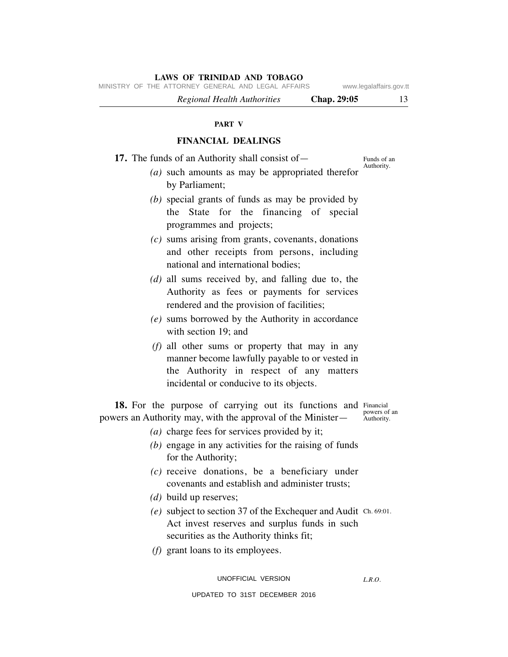MINISTRY OF THE ATTORNEY GENERAL AND LEGAL AFFAIRS www.legalaffairs.gov.tt

 *Regional Health Authorities* **Chap. 29:05** 13

#### **PART V**

# **FINANCIAL DEALINGS**

**17.** The funds of an Authority shall consist of —

Funds of an Authority.

- *(a)* such amounts as may be appropriated therefor by Parliament;
- *(b)* special grants of funds as may be provided by the State for the financing of special programmes and projects;
- *(c)* sums arising from grants, covenants, donations and other receipts from persons, including national and international bodies;
- *(d)* all sums received by, and falling due to, the Authority as fees or payments for services rendered and the provision of facilities;
- *(e)* sums borrowed by the Authority in accordance with section 19; and
- *(f)* all other sums or property that may in any manner become lawfully payable to or vested in the Authority in respect of any matters incidental or conducive to its objects.

18. For the purpose of carrying out its functions and Financial powers an Authority may, with the approval of the Minister—

powers of an Authority.

- *(a)* charge fees for services provided by it;
- *(b)* engage in any activities for the raising of funds for the Authority;
- *(c)* receive donations, be a beneficiary under covenants and establish and administer trusts;
- *(d)* build up reserves;
- $(e)$  subject to section 37 of the Exchequer and Audit Ch. 69:01. Act invest reserves and surplus funds in such securities as the Authority thinks fit;
	- *(f)* grant loans to its employees.

*L.R.O.*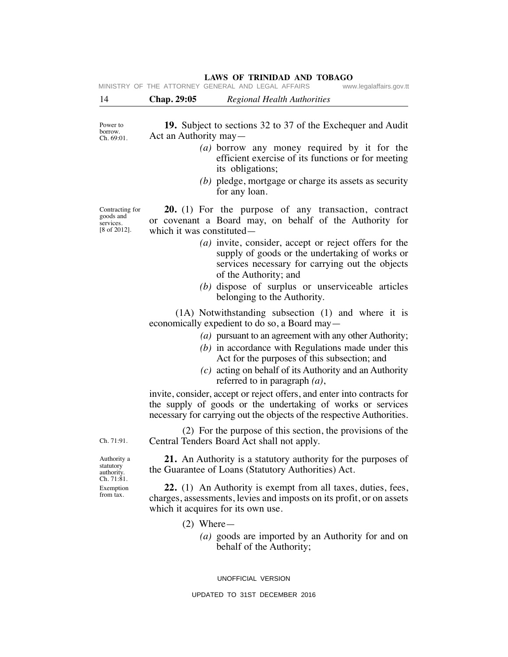|                                   |                       | MINISTRY OF THE ATTORNEY GENERAL AND LEGAL AFFAIRS                 | www.legalaffairs.gov.tt |
|-----------------------------------|-----------------------|--------------------------------------------------------------------|-------------------------|
| -14                               | <b>Chap. 29:05</b>    | Regional Health Authorities                                        |                         |
| Power to<br>borrow.<br>Ch. 69:01. | Act an Authority may— | <b>19.</b> Subject to sections 32 to 37 of the Exchequer and Audit |                         |
|                                   |                       | (a) borrow any money required by it for the                        |                         |

- efficient exercise of its functions or for meeting its obligations;
- *(b)* pledge, mortgage or charge its assets as security for any loan.

 **20.** (1) For the purpose of any transaction, contract or covenant a Board may, on behalf of the Authority for which it was constituted—

- *(a)* invite, consider, accept or reject offers for the supply of goods or the undertaking of works or services necessary for carrying out the objects of the Authority; and
- *(b)* dispose of surplus or unserviceable articles belonging to the Authority.

 (1A) Notwithstanding subsection (1) and where it is economically expedient to do so, a Board may—

- *(a)* pursuant to an agreement with any other Authority;
- *(b)* in accordance with Regulations made under this Act for the purposes of this subsection; and
- *(c)* acting on behalf of its Authority and an Authority referred to in paragraph *(a)*,

invite, consider, accept or reject offers, and enter into contracts for the supply of goods or the undertaking of works or services necessary for carrying out the objects of the respective Authorities.

 (2) For the purpose of this section, the provisions of the Central Tenders Board Act shall not apply.

 **21.** An Authority is a statutory authority for the purposes of the Guarantee of Loans (Statutory Authorities) Act.

 **22.** (1) An Authority is exempt from all taxes, duties, fees, charges, assessments, levies and imposts on its profit, or on assets which it acquires for its own use.

- (2) Where—
	- *(a)* goods are imported by an Authority for and on behalf of the Authority;

UNOFFICIAL VERSION

Authority a statutory authority. Ch. 71:81. Exemption from tax.

Ch. 71:91.

Contracting for goods and services. [8 of 2012].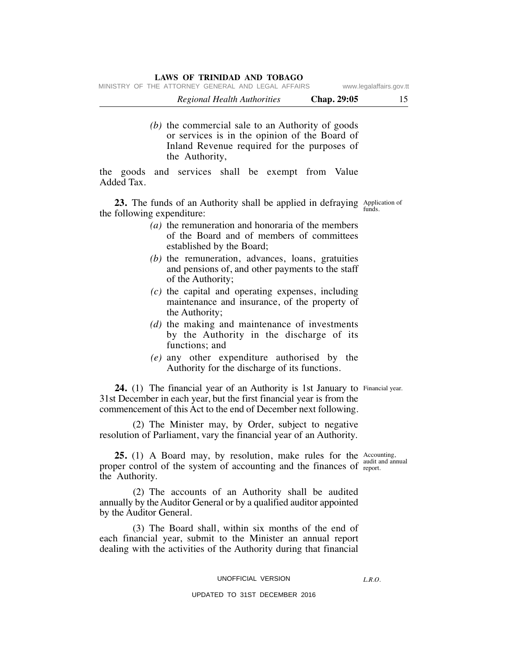MINISTRY OF THE ATTORNEY GENERAL AND LEGAL AFFAIRS www.legalaffairs.gov.tt

| Regional Health Authorities                      | Chap. 29:05 |  |
|--------------------------------------------------|-------------|--|
|                                                  |             |  |
| (b) the commercial sale to an Authority of goods |             |  |

or services is in the opinion of the Board of Inland Revenue required for the purposes of the Authority,

the goods and services shall be exempt from Value Added Tax.

**23.** The funds of an Authority shall be applied in defraying Applies the following argued iture. the following expenditure:

- *(a)* the remuneration and honoraria of the members of the Board and of members of committees established by the Board;
- *(b)* the remuneration, advances, loans, gratuities and pensions of, and other payments to the staff of the Authority;
- *(c)* the capital and operating expenses, including maintenance and insurance, of the property of the Authority;
- *(d)* the making and maintenance of investments by the Authority in the discharge of its functions; and
- *(e)* any other expenditure authorised by the Authority for the discharge of its functions.

**24.** (1) The financial year of an Authority is 1st January to Financial year. 31st December in each year, but the first financial year is from the commencement of this Act to the end of December next following.

 (2) The Minister may, by Order, subject to negative resolution of Parliament, vary the financial year of an Authority.

**25.** (1) A Board may, by resolution, make rules for the Accounting proper control of the system of accounting and the finances of  $_{\text{report}}^{a}$ the Authority.

 (2) The accounts of an Authority shall be audited annually by the Auditor General or by a qualified auditor appointed by the Auditor General.

 (3) The Board shall, within six months of the end of each financial year, submit to the Minister an annual report dealing with the activities of the Authority during that financial

#### UNOFFICIAL VERSION

#### UPDATED TO 31ST DECEMBER 2016

audit and annual

Application of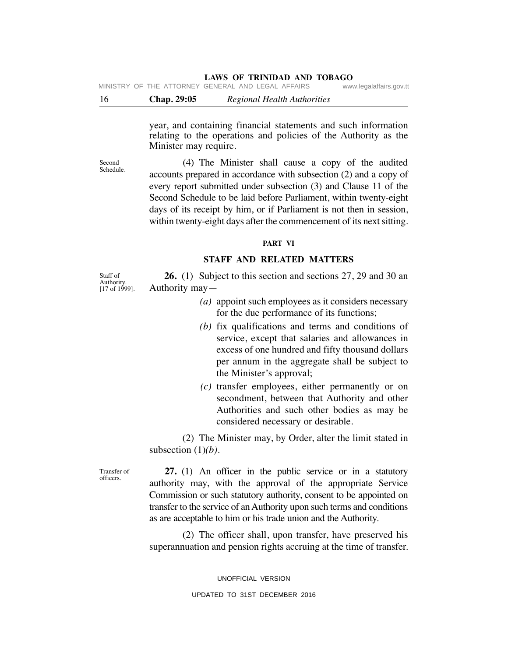16 **Chap. 29:05** *Regional Health Authorities* MINISTRY OF THE ATTORNEY GENERAL AND LEGAL AFFAIRS www.legalaffairs.gov.tt

> year, and containing financial statements and such information relating to the operations and policies of the Authority as the Minister may require.

> (4) The Minister shall cause a copy of the audited accounts prepared in accordance with subsection (2) and a copy of every report submitted under subsection (3) and Clause 11 of the Second Schedule to be laid before Parliament, within twenty-eight days of its receipt by him, or if Parliament is not then in session, within twenty-eight days after the commencement of its next sitting.

#### **PART VI**

# **STAFF AND RELATED MATTERS**

 **26.** (1) Subject to this section and sections 27, 29 and 30 an Authority may—

- *(a)* appoint such employees as it considers necessary for the due performance of its functions;
- *(b)* fix qualifications and terms and conditions of service, except that salaries and allowances in excess of one hundred and fifty thousand dollars per annum in the aggregate shall be subject to the Minister's approval;
- *(c)* transfer employees, either permanently or on secondment, between that Authority and other Authorities and such other bodies as may be considered necessary or desirable.

 (2) The Minister may, by Order, alter the limit stated in subsection (1)*(b)*.

 **27.** (1) An officer in the public service or in a statutory authority may, with the approval of the appropriate Service Commission or such statutory authority, consent to be appointed on transfer to the service of an Authority upon such terms and conditions as are acceptable to him or his trade union and the Authority.

 (2) The officer shall, upon transfer, have preserved his superannuation and pension rights accruing at the time of transfer.

> UNOFFICIAL VERSION UPDATED TO 31ST DECEMBER 2016

Staff of Authority.  $[17$  of  $1999]$ .

Second Schedule.

Transfer of officers.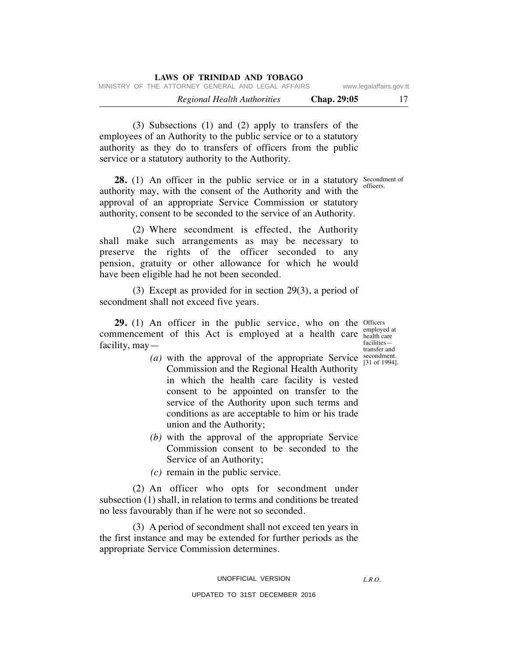| LAWS OF INIMIDAD AND TODAGO |             |  |  |  |                             |                                                    |  |  |
|-----------------------------|-------------|--|--|--|-----------------------------|----------------------------------------------------|--|--|
| www.legalaffairs.gov.tt     |             |  |  |  |                             | MINISTRY OF THE ATTORNEY GENERAL AND LEGAL AFFAIRS |  |  |
| 17                          | Chap. 29:05 |  |  |  | Regional Health Authorities |                                                    |  |  |

 (3) Subsections (1) and (2) apply to transfers of the employees of an Authority to the public service or to a statutory authority as they do to transfers of officers from the public service or a statutory authority to the Authority.

**LAWS OF TRINIDAD AND TOBAGO**

**28.** (1) An officer in the public service or in a statutory Secondment of authority may, with the consent of the Authority and with the approval of an appropriate Service Commission or statutory authority, consent to be seconded to the service of an Authority.

 (2) Where secondment is effected, the Authority shall make such arrangements as may be necessary to preserve the rights of the officer seconded to any pension, gratuity or other allowance for which he would have been eligible had he not been seconded.

 (3) Except as provided for in section 29(3), a period of secondment shall not exceed five years.

**29.** (1) An officer in the public service, who on the officers commencement of this Act is employed at a health care  $\frac{empolved}{\text{heath}}$ facility, may—

employed at facilities transfer and secondment.

- (a) with the approval of the appropriate Service  $\frac{\text{secondment}}{31 \text{ of } 1994}$ . Commission and the Regional Health Authority in which the health care facility is vested consent to be appointed on transfer to the service of the Authority upon such terms and conditions as are acceptable to him or his trade union and the Authority;
	- *(b)* with the approval of the appropriate Service Commission consent to be seconded to the Service of an Authority;
	- *(c)* remain in the public service.

 (2) An officer who opts for secondment under subsection (1) shall, in relation to terms and conditions be treated no less favourably than if he were not so seconded.

 (3) A period of secondment shall not exceed ten years in the first instance and may be extended for further periods as the appropriate Service Commission determines.

UPDATED TO 31ST DECEMBER 2016

officers.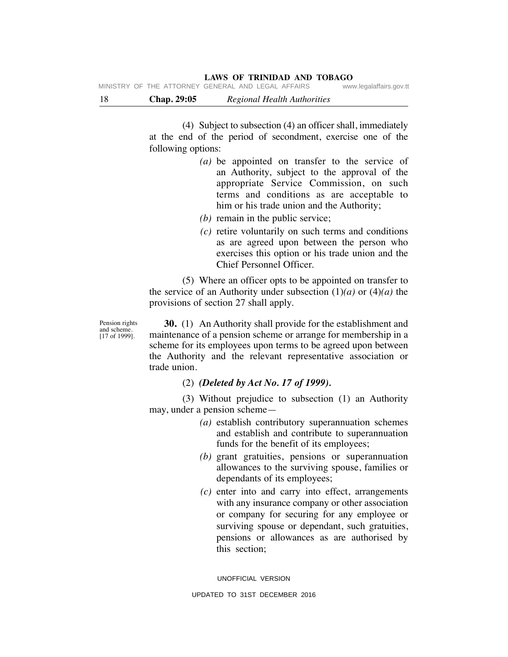18 **Chap. 29:05** *Regional Health Authorities*

 (4) Subject to subsection (4) an officer shall, immediately at the end of the period of secondment, exercise one of the following options:

- *(a)* be appointed on transfer to the service of an Authority, subject to the approval of the appropriate Service Commission, on such terms and conditions as are acceptable to him or his trade union and the Authority;
- *(b)* remain in the public service;
- *(c)* retire voluntarily on such terms and conditions as are agreed upon between the person who exercises this option or his trade union and the Chief Personnel Officer.

 (5) Where an officer opts to be appointed on transfer to the service of an Authority under subsection  $(1)(a)$  or  $(4)(a)$  the provisions of section 27 shall apply.

Pension rights and scheme. [17 of 1999].

 **30.** (1) An Authority shall provide for the establishment and maintenance of a pension scheme or arrange for membership in a scheme for its employees upon terms to be agreed upon between the Authority and the relevant representative association or trade union.

(2) *(Deleted by Act No. 17 of 1999).*

 (3) Without prejudice to subsection (1) an Authority may, under a pension scheme—

- *(a)* establish contributory superannuation schemes and establish and contribute to superannuation funds for the benefit of its employees;
- *(b)* grant gratuities, pensions or superannuation allowances to the surviving spouse, families or dependants of its employees;
- *(c)* enter into and carry into effect, arrangements with any insurance company or other association or company for securing for any employee or surviving spouse or dependant, such gratuities, pensions or allowances as are authorised by this section;

UNOFFICIAL VERSION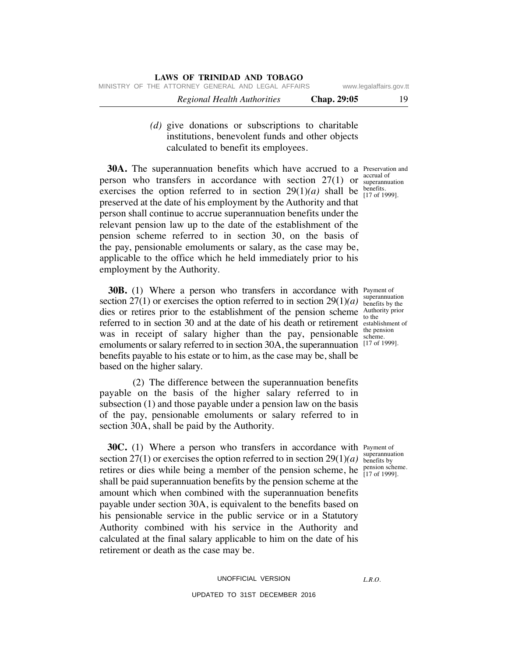*(d)* give donations or subscriptions to charitable institutions, benevolent funds and other objects calculated to benefit its employees.

**30A.** The superannuation benefits which have accrued to a Preservation and person who transfers in accordance with section  $27(1)$  or  $\frac{3}{2}$  superannuation exercises the option referred to in section  $29(1)(a)$  shall be  $_{[17 \text{ of } 1999]}^{benetits}$ . preserved at the date of his employment by the Authority and that person shall continue to accrue superannuation benefits under the relevant pension law up to the date of the establishment of the pension scheme referred to in section 30, on the basis of the pay, pensionable emoluments or salary, as the case may be, applicable to the office which he held immediately prior to his employment by the Authority.

**30B.** (1) Where a person who transfers in accordance with Payment of section 27(1) or exercises the option referred to in section  $29(1)(a)$  superamulation dies or retires prior to the establishment of the pension scheme  $\frac{\text{Authority prior}}{\text{to the}}$ referred to in section 30 and at the date of his death or retirement establishment of was in receipt of salary higher than the pay, pensionable emoluments or salary referred to in section 30A, the superannuation benefits payable to his estate or to him, as the case may be, shall be based on the higher salary.

 (2) The difference between the superannuation benefits payable on the basis of the higher salary referred to in subsection (1) and those payable under a pension law on the basis of the pay, pensionable emoluments or salary referred to in section 30A, shall be paid by the Authority.

**30C.** (1) Where a person who transfers in accordance with Payment of section 27(1) or exercises the option referred to in section  $29(1)(a)$  superantitive retires or dies while being a member of the pension scheme, he  $\frac{\text{pension scheme}}{\left[17 \text{ of } 1999\right]}$ . shall be paid superannuation benefits by the pension scheme at the amount which when combined with the superannuation benefits payable under section 30A, is equivalent to the benefits based on his pensionable service in the public service or in a Statutory Authority combined with his service in the Authority and calculated at the final salary applicable to him on the date of his retirement or death as the case may be.

accrual of benefits.

superannuation to the the pension scheme. [17 of 1999].

superannuation pension scheme.

*L.R.O.*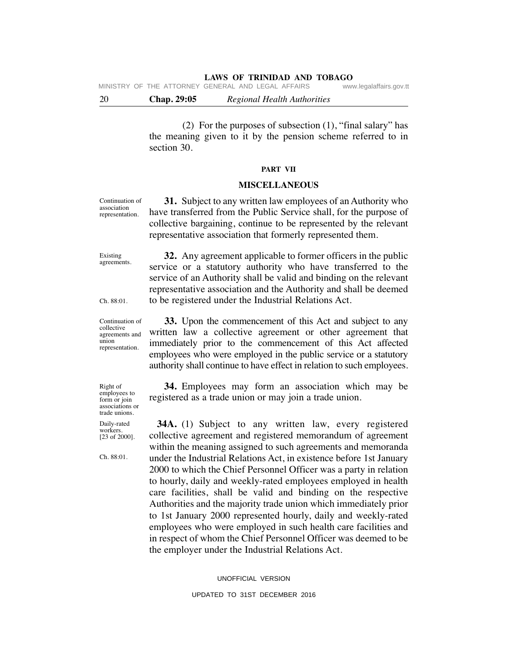MINISTRY OF THE ATTORNEY GENERAL AND LEGAL AFFAIRS www.legalaffairs.gov.tt

20 **Chap. 29:05** *Regional Health Authorities*

 (2) For the purposes of subsection (1), "final salary" has the meaning given to it by the pension scheme referred to in section 30.

#### **PART VII**

#### **MISCELLANEOUS**

Continuation of association representation.

 **31.** Subject to any written law employees of an Authority who have transferred from the Public Service shall, for the purpose of collective bargaining, continue to be represented by the relevant representative association that formerly represented them.

Existing agreements.

 **32.** Any agreement applicable to former officers in the public service or a statutory authority who have transferred to the service of an Authority shall be valid and binding on the relevant representative association and the Authority and shall be deemed to be registered under the Industrial Relations Act.

Ch. 88:01.

Continuation of collective agreements and union representation.

Right of employees to form or join associations or trade unions. Daily-rated workers. [23 of 2000].

Ch. 88:01.

 **33.** Upon the commencement of this Act and subject to any written law a collective agreement or other agreement that immediately prior to the commencement of this Act affected employees who were employed in the public service or a statutory authority shall continue to have effect in relation to such employees.

 **34.** Employees may form an association which may be registered as a trade union or may join a trade union.

 **34A.** (1) Subject to any written law, every registered collective agreement and registered memorandum of agreement within the meaning assigned to such agreements and memoranda under the Industrial Relations Act, in existence before 1st January 2000 to which the Chief Personnel Officer was a party in relation to hourly, daily and weekly-rated employees employed in health care facilities, shall be valid and binding on the respective Authorities and the majority trade union which immediately prior to 1st January 2000 represented hourly, daily and weekly-rated employees who were employed in such health care facilities and in respect of whom the Chief Personnel Officer was deemed to be the employer under the Industrial Relations Act.

UNOFFICIAL VERSION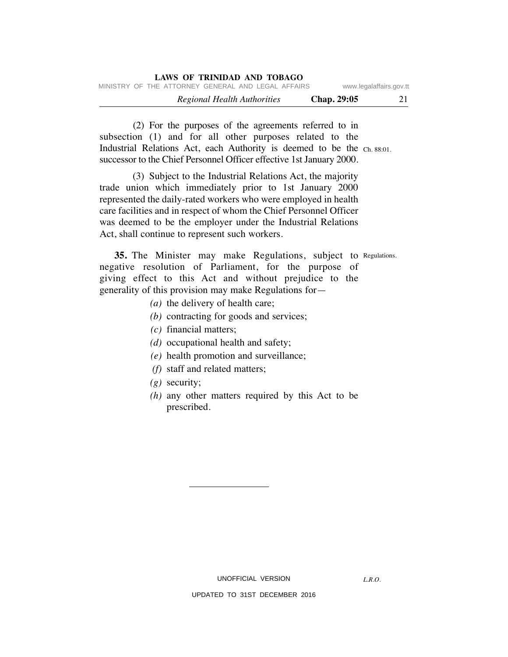| LAWS OF TRINIDAD AND TOBAGO                        |                         |  |  |  |  |
|----------------------------------------------------|-------------------------|--|--|--|--|
| MINISTRY OF THE ATTORNEY GENERAL AND LEGAL AFFAIRS | www.legalaffairs.gov.tt |  |  |  |  |
| Regional Health Authorities                        | 21<br>Chap. 29:05       |  |  |  |  |

Industrial Relations Act, each Authority is deemed to be the Ch. 88:01. (2) For the purposes of the agreements referred to in subsection (1) and for all other purposes related to the successor to the Chief Personnel Officer effective 1st January 2000.

 (3) Subject to the Industrial Relations Act, the majority trade union which immediately prior to 1st January 2000 represented the daily-rated workers who were employed in health care facilities and in respect of whom the Chief Personnel Officer was deemed to be the employer under the Industrial Relations Act, shall continue to represent such workers.

**35.** The Minister may make Regulations, subject to Regulations. negative resolution of Parliament, for the purpose of giving effect to this Act and without prejudice to the generality of this provision may make Regulations for—

- *(a)* the delivery of health care;
- *(b)* contracting for goods and services;
- *(c)* financial matters;
- *(d)* occupational health and safety;
- *(e)* health promotion and surveillance;
- *(f)* staff and related matters;
- *(g)* security;
- *(h)* any other matters required by this Act to be prescribed.

*L.R.O.*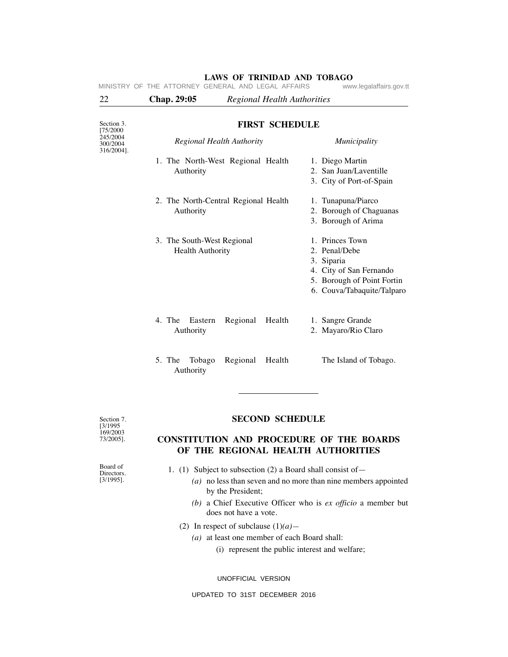| 22                                 | Chap. 29:05<br><b>Regional Health Authorities</b>     |                                                                                                                                       |  |  |  |  |  |  |  |
|------------------------------------|-------------------------------------------------------|---------------------------------------------------------------------------------------------------------------------------------------|--|--|--|--|--|--|--|
| Section 3.<br>[75/2000             | <b>FIRST SCHEDULE</b>                                 |                                                                                                                                       |  |  |  |  |  |  |  |
| 245/2004<br>300/2004<br>316/2004]. | Regional Health Authority                             | Municipality                                                                                                                          |  |  |  |  |  |  |  |
|                                    | 1. The North-West Regional Health<br>Authority        | 1. Diego Martin<br>2. San Juan/Laventille<br>3. City of Port-of-Spain                                                                 |  |  |  |  |  |  |  |
|                                    | 2. The North-Central Regional Health<br>Authority     | 1. Tunapuna/Piarco<br>2. Borough of Chaguanas<br>3. Borough of Arima                                                                  |  |  |  |  |  |  |  |
|                                    | 3. The South-West Regional<br><b>Health Authority</b> | 1. Princes Town<br>2. Penal/Debe<br>3. Siparia<br>4. City of San Fernando<br>5. Borough of Point Fortin<br>6. Couva/Tabaquite/Talparo |  |  |  |  |  |  |  |
|                                    | 4. The<br>Eastern<br>Regional<br>Health<br>Authority  | 1. Sangre Grande<br>2. Mayaro/Rio Claro                                                                                               |  |  |  |  |  |  |  |
|                                    | 5. The Tobago<br>Regional<br>Health<br>Authority      | The Island of Tobago.                                                                                                                 |  |  |  |  |  |  |  |

#### **LAWS OF TRINIDAD AND TOBAGO**<br>GENERAL AND LEGAL AFFAIRS www.legalaffairs.gov.tt MINISTRY OF THE ATTORNEY GENERAL AND LEGAL AFFAIRS

Section 7. [3/1995 169/2003 73/2005].

### **SECOND SCHEDULE**

# **CONSTITUTION AND PROCEDURE OF THE BOARDS OF THE REGIONAL HEALTH AUTHORITIES**

Board of Directors. [3/1995].

- 1. (1) Subject to subsection (2) a Board shall consist of—
	- *(a)* no less than seven and no more than nine members appointed by the President;
	- *(b)* a Chief Executive Officer who is *ex officio* a member but does not have a vote.
	- (2) In respect of subclause (1)*(a)—*
		- *(a)* at least one member of each Board shall:
			- (i) represent the public interest and welfare;

UNOFFICIAL VERSION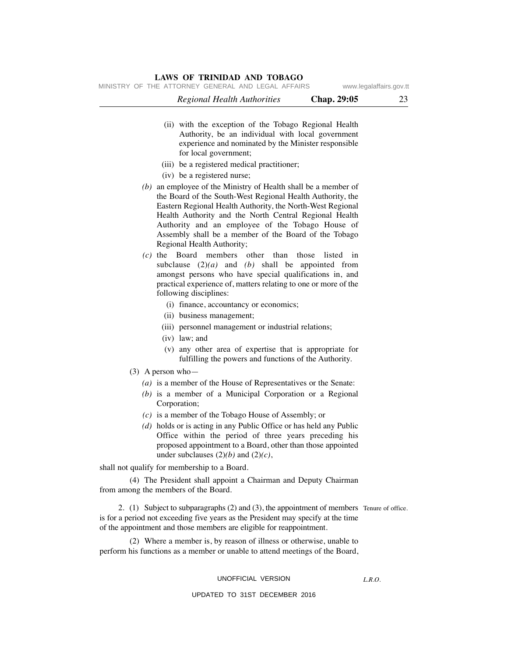MINISTRY OF THE ATTORNEY GENERAL AND LEGAL AFFAIRS www.legalaffairs.gov.tt

|           | <b>Regional Health Authorities</b>                                                                                                                                                                                                                                                                                                                                                                | Chap. 29:05           | 23 |
|-----------|---------------------------------------------------------------------------------------------------------------------------------------------------------------------------------------------------------------------------------------------------------------------------------------------------------------------------------------------------------------------------------------------------|-----------------------|----|
|           | (ii) with the exception of the Tobago Regional Health<br>Authority, be an individual with local government<br>experience and nominated by the Minister responsible<br>for local government;                                                                                                                                                                                                       |                       |    |
|           | (iii) be a registered medical practitioner;                                                                                                                                                                                                                                                                                                                                                       |                       |    |
|           | (iv) be a registered nurse;                                                                                                                                                                                                                                                                                                                                                                       |                       |    |
|           | $(b)$ an employee of the Ministry of Health shall be a member of<br>the Board of the South-West Regional Health Authority, the<br>Eastern Regional Health Authority, the North-West Regional<br>Health Authority and the North Central Regional Health<br>Authority and an employee of the Tobago House of<br>Assembly shall be a member of the Board of the Tobago<br>Regional Health Authority; |                       |    |
| $(c)$ the | Board<br>members<br>other<br>than<br>subclause $(2)(a)$ and $(b)$ shall be appointed from<br>amongst persons who have special qualifications in, and<br>practical experience of, matters relating to one or more of the<br>following disciplines:                                                                                                                                                 | those<br>listed<br>in |    |
|           | (i) finance, accountancy or economics;                                                                                                                                                                                                                                                                                                                                                            |                       |    |
|           | (ii) business management;                                                                                                                                                                                                                                                                                                                                                                         |                       |    |
|           | (iii) personnel management or industrial relations;<br>(iv) law; and                                                                                                                                                                                                                                                                                                                              |                       |    |
|           | (v) any other area of expertise that is appropriate for<br>fulfilling the powers and functions of the Authority.                                                                                                                                                                                                                                                                                  |                       |    |
|           | $(3)$ A person who-                                                                                                                                                                                                                                                                                                                                                                               |                       |    |
|           | (a) is a member of the House of Representatives or the Senate:                                                                                                                                                                                                                                                                                                                                    |                       |    |
|           | $(b)$ is a member of a Municipal Corporation or a Regional<br>Corporation;                                                                                                                                                                                                                                                                                                                        |                       |    |
|           | $(c)$ is a member of the Tobago House of Assembly; or                                                                                                                                                                                                                                                                                                                                             |                       |    |
|           | $(d)$ holds or is acting in any Public Office or has held any Public<br>Office within the period of three years preceding his<br>proposed appointment to a Board, other than those appointed<br>under subclauses $(2)(b)$ and $(2)(c)$ ,                                                                                                                                                          |                       |    |
|           | shall not qualify for membership to a Board.                                                                                                                                                                                                                                                                                                                                                      |                       |    |
|           | (4) The President shall appoint a Chairman and Deputy Chairman<br>from among the members of the Board.                                                                                                                                                                                                                                                                                            |                       |    |
|           | 2. (1) Subject to subparagraphs (2) and (3), the appointment of members Tenure of office.<br>is for a period not exceeding five years as the President may specify at the time<br>of the appointment and those members are eligible for reappointment.                                                                                                                                            |                       |    |
|           | (2) Where a member is, by reason of illness or otherwise, unable to<br>perform his functions as a member or unable to attend meetings of the Board,                                                                                                                                                                                                                                               |                       |    |

#### UNOFFICIAL VERSION

### UPDATED TO 31ST DECEMBER 2016

*L.R.O.*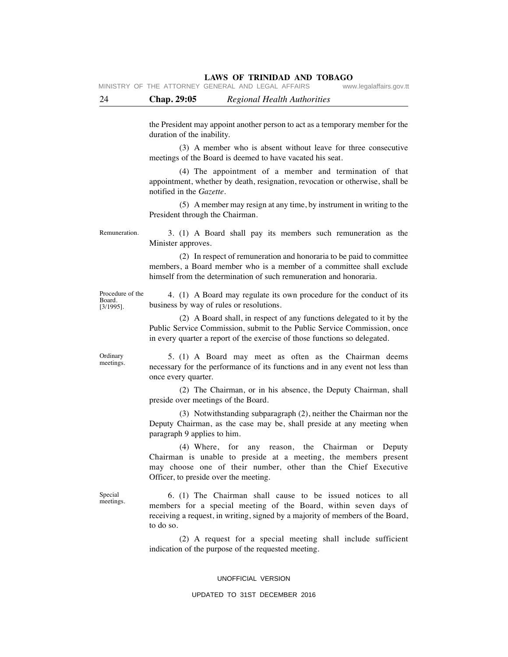MINISTRY OF THE ATTORNEY GENERAL AND LEGAL AFFAIRS www.legalaffairs.gov.tt

the President may appoint another person to act as a temporary member for the duration of the inability.

 (3) A member who is absent without leave for three consecutive meetings of the Board is deemed to have vacated his seat.

 (4)The appointment of a member and termination of that appointment, whether by death, resignation, revocation or otherwise, shall be notified in the *Gazette.*

 (5) A member may resign at any time, by instrument in writing to the President through the Chairman.

Remuneration.

3. (1) A Board shall pay its members such remuneration as the Minister approves.

 (2) In respect of remuneration and honoraria to be paid to committee members, a Board member who is a member of a committee shall exclude himself from the determination of such remuneration and honoraria.

Procedure of the Board. [3/1995].

4.(1) A Board may regulate its own procedure for the conduct of its business by way of rules or resolutions.

 (2) A Board shall, in respect of any functions delegated to it by the Public Service Commission, submit to the Public Service Commission, once in every quarter a report of the exercise of those functions so delegated.

**Ordinary** meetings.

5. (1) A Board may meet as often as the Chairman deems necessary for the performance of its functions and in any event not less than once every quarter.

 (2) The Chairman, or in his absence, the Deputy Chairman, shall preside over meetings of the Board.

 (3) Notwithstanding subparagraph (2), neither the Chairman nor the Deputy Chairman, as the case may be, shall preside at any meeting when paragraph 9 applies to him.

 (4) Where, for any reason, the Chairman or Deputy Chairman is unable to preside at a meeting, the members present may choose one of their number, other than the Chief Executive Officer, to preside over the meeting.

Special meetings.

6. (1) The Chairman shall cause to be issued notices to all members for a special meeting of the Board, within seven days of receiving a request, in writing, signed by a majority of members of the Board, to do so.

 (2) A request for a special meeting shall include sufficient indication of the purpose of the requested meeting.

#### UNOFFICIAL VERSION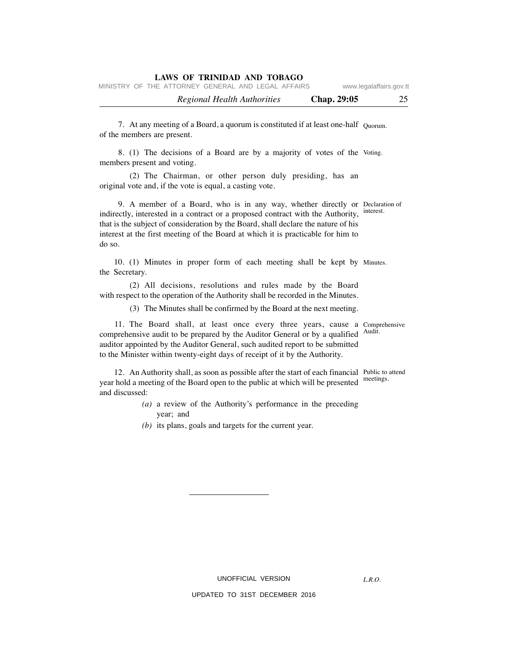| MINISTRY OF THE ATTORNEY GENERAL AND LEGAL AFFAIRS<br>www.legalaffairs.gov.tt |
|-------------------------------------------------------------------------------|
|-------------------------------------------------------------------------------|

| <b>Regional Health Authorities</b> | Chap. 29:05 |  |
|------------------------------------|-------------|--|
|                                    |             |  |

7. At any meeting of a Board, a quorum is constituted if at least one-half  $_{Quorum.}$ of the members are present.

8. (1) The decisions of a Board are by a majority of votes of the Voting. members present and voting.

 (2) The Chairman, or other person duly presiding, has an original vote and, if the vote is equal, a casting vote.

9. A member of a Board, who is in any way, whether directly or Declaration of indirectly, interested in a contract or a proposed contract with the Authority, interest. that is the subject of consideration by the Board, shall declare the nature of his interest at the first meeting of the Board at which it is practicable for him to do so.

10. (1) Minutes in proper form of each meeting shall be kept by Minutes. the Secretary.

 (2) All decisions, resolutions and rules made by the Board with respect to the operation of the Authority shall be recorded in the Minutes.

(3) The Minutes shall be confirmed by the Board at the next meeting.

11. The Board shall, at least once every three years, cause a Comprehensive comprehensive audit to be prepared by the Auditor General or by a qualified <sup>Audit.</sup> auditor appointed by the Auditor General, such audited report to be submitted to the Minister within twenty-eight days of receipt of it by the Authority.

12. An Authority shall, as soon as possible after the start of each financial Public to attend meetings. year hold a meeting of the Board open to the public at which will be presented and discussed:

- *(a)* a review of the Authority's performance in the preceding year; and
- *(b)* its plans, goals and targets for the current year.

UNOFFICIAL VERSION

UPDATED TO 31ST DECEMBER 2016

*L.R.O.*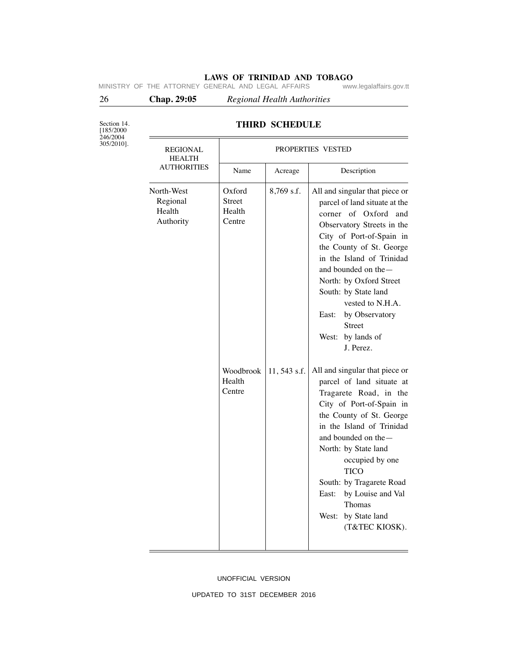# **LAWS OF TRINIDAD AND TOBAGO**<br>GENERAL AND LEGAL AFFAIRS www.legalaffairs.gov.tt

MINISTRY OF THE ATTORNEY GENERAL AND LEGAL AFFAIRS

26 **Chap. 29:05** *Regional Health Authorities*

Section 14. [185/2000 246/2004

305/2010].

# **THIRD SCHEDULE**

| REGIONAL<br><b>HEALTH</b>                     | PROPERTIES VESTED                           |             |                                                                                                                                                                                                                                                                                                                                                                                     |  |
|-----------------------------------------------|---------------------------------------------|-------------|-------------------------------------------------------------------------------------------------------------------------------------------------------------------------------------------------------------------------------------------------------------------------------------------------------------------------------------------------------------------------------------|--|
| <b>AUTHORITIES</b>                            | Name                                        | Acreage     | Description                                                                                                                                                                                                                                                                                                                                                                         |  |
| North-West<br>Regional<br>Health<br>Authority | Oxford<br><b>Street</b><br>Health<br>Centre | 8,769 s.f.  | All and singular that piece or<br>parcel of land situate at the<br>corner of Oxford and<br>Observatory Streets in the<br>City of Port-of-Spain in<br>the County of St. George<br>in the Island of Trinidad<br>and bounded on the -<br>North: by Oxford Street<br>South: by State land<br>vested to N.H.A.<br>by Observatory<br>East:<br>Street<br>by lands of<br>West:<br>J. Perez. |  |
|                                               | Woodbrook<br>Health<br>Centre               | 11,543 s.f. | All and singular that piece or<br>parcel of land situate at<br>Tragarete Road, in the<br>City of Port-of-Spain in<br>the County of St. George<br>in the Island of Trinidad<br>and bounded on the -<br>North: by State land<br>occupied by one<br><b>TICO</b><br>South: by Tragarete Road<br>by Louise and Val<br>East:<br>Thomas<br>West:<br>by State land<br>(T&TEC KIOSK).        |  |

#### UNOFFICIAL VERSION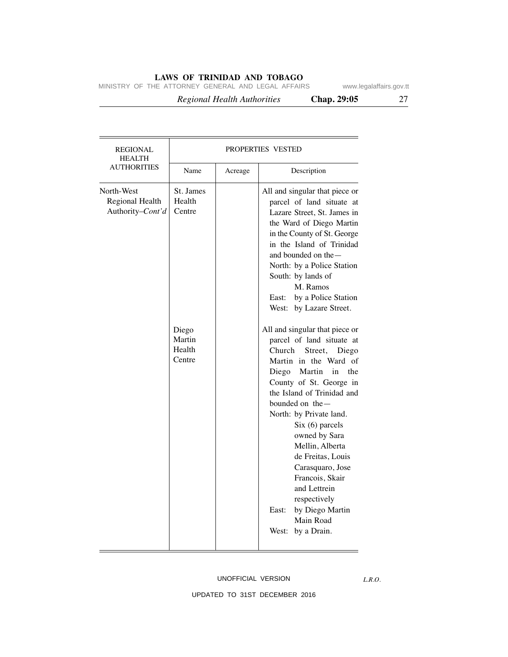MINISTRY OF THE ATTORNEY GENERAL AND LEGAL AFFAIRS www.legalaffairs.gov.tt

 *Regional Health Authorities* **Chap. 29:05** 27

| <b>REGIONAL</b><br><b>HEALTH</b>                  | <b>PROPERTIES VESTED</b>                                             |         |                                                                                                                                                                                                                                                                                                                                                                                                                                                                                                                                                                                                                                                                                                                                                                                                                     |  |
|---------------------------------------------------|----------------------------------------------------------------------|---------|---------------------------------------------------------------------------------------------------------------------------------------------------------------------------------------------------------------------------------------------------------------------------------------------------------------------------------------------------------------------------------------------------------------------------------------------------------------------------------------------------------------------------------------------------------------------------------------------------------------------------------------------------------------------------------------------------------------------------------------------------------------------------------------------------------------------|--|
| <b>AUTHORITIES</b>                                | Name                                                                 | Acreage | Description                                                                                                                                                                                                                                                                                                                                                                                                                                                                                                                                                                                                                                                                                                                                                                                                         |  |
| North-West<br>Regional Health<br>Authority-Cont'd | St. James<br>Health<br>Centre<br>Diego<br>Martin<br>Health<br>Centre |         | All and singular that piece or<br>parcel of land situate at<br>Lazare Street, St. James in<br>the Ward of Diego Martin<br>in the County of St. George<br>in the Island of Trinidad<br>and bounded on the —<br>North: by a Police Station<br>South: by lands of<br>M. Ramos<br>by a Police Station<br>East:<br>West: by Lazare Street.<br>All and singular that piece or<br>parcel of land situate at<br>Church<br>Street,<br>Diego<br>Martin in the Ward of<br>Diego Martin in<br>the<br>County of St. George in<br>the Island of Trinidad and<br>bounded on the -<br>North: by Private land.<br>$Six (6)$ parcels<br>owned by Sara<br>Mellin, Alberta<br>de Freitas, Louis<br>Carasquaro, Jose<br>Francois, Skair<br>and Lettrein<br>respectively<br>by Diego Martin<br>East:<br>Main Road<br>by a Drain.<br>West: |  |
|                                                   |                                                                      |         |                                                                                                                                                                                                                                                                                                                                                                                                                                                                                                                                                                                                                                                                                                                                                                                                                     |  |

#### UNOFFICIAL VERSION

*L.R.O.*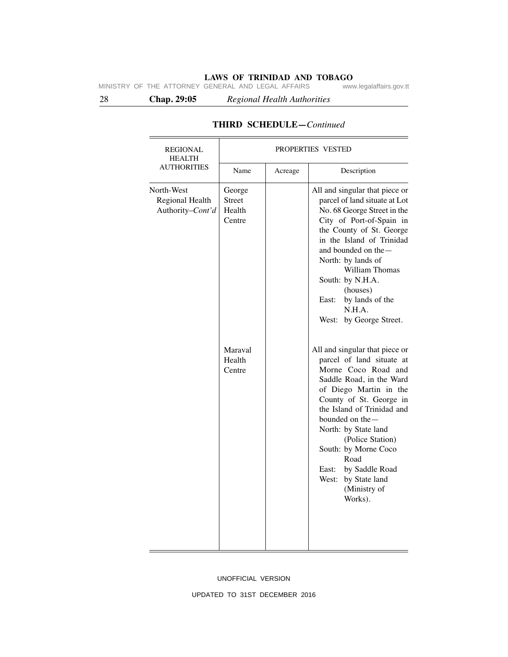**LAWS OF TRINIDAD AND TOBAGO**<br>GENERAL AND LEGAL AFFAIRS www.legalaffairs.gov.tt MINISTRY OF THE ATTORNEY GENERAL AND LEGAL AFFAIRS

28 **Chap. 29:05** *Regional Health Authorities*

| <b>REGIONAL</b><br><b>HEALTH</b>                  | PROPERTIES VESTED                           |         |                                                                                                                                                                                                                                                                                                                                                                                |  |
|---------------------------------------------------|---------------------------------------------|---------|--------------------------------------------------------------------------------------------------------------------------------------------------------------------------------------------------------------------------------------------------------------------------------------------------------------------------------------------------------------------------------|--|
| <b>AUTHORITIES</b>                                | Name                                        | Acreage | Description                                                                                                                                                                                                                                                                                                                                                                    |  |
| North-West<br>Regional Health<br>Authority-Cont'd | George<br><b>Street</b><br>Health<br>Centre |         | All and singular that piece or<br>parcel of land situate at Lot<br>No. 68 George Street in the<br>City of Port-of-Spain in<br>the County of St. George<br>in the Island of Trinidad<br>and bounded on the —<br>North: by lands of<br>William Thomas<br>South: by N.H.A.<br>(houses)<br>by lands of the<br>East:<br>N.H.A.<br>by George Street.<br>West:                        |  |
|                                                   | Maraval<br>Health<br>Centre                 |         | All and singular that piece or<br>parcel of land situate at<br>Morne Coco Road and<br>Saddle Road, in the Ward<br>of Diego Martin in the<br>County of St. George in<br>the Island of Trinidad and<br>bounded on the -<br>North: by State land<br>(Police Station)<br>South: by Morne Coco<br>Road<br>by Saddle Road<br>East:<br>West: by State land<br>(Ministry of<br>Works). |  |

# **THIRD SCHEDULE—***Continued*

UNOFFICIAL VERSION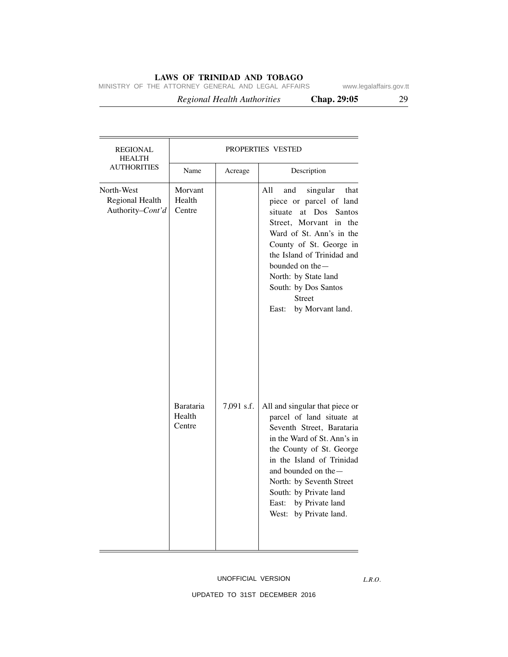MINISTRY OF THE ATTORNEY GENERAL AND LEGAL AFFAIRS www.legalaffairs.gov.tt

 *Regional Health Authorities* **Chap. 29:05** 29

| <b>REGIONAL</b><br><b>HEALTH</b>                  | PROPERTIES VESTED             |            |                                                                                                                                                                                                                                                                                                                       |  |
|---------------------------------------------------|-------------------------------|------------|-----------------------------------------------------------------------------------------------------------------------------------------------------------------------------------------------------------------------------------------------------------------------------------------------------------------------|--|
| <b>AUTHORITIES</b>                                | Name                          | Acreage    | Description                                                                                                                                                                                                                                                                                                           |  |
| North-West<br>Regional Health<br>Authority-Cont'd | Morvant<br>Health<br>Centre   |            | All<br>and<br>singular<br>that<br>piece or parcel of land<br>situate<br>at Dos<br>Santos<br>Street, Morvant in the<br>Ward of St. Ann's in the<br>County of St. George in<br>the Island of Trinidad and<br>bounded on the-<br>North: by State land<br>South: by Dos Santos<br><b>Street</b><br>East: by Morvant land. |  |
|                                                   | Barataria<br>Health<br>Centre | 7,091 s.f. | All and singular that piece or<br>parcel of land situate at<br>Seventh Street, Barataria<br>in the Ward of St. Ann's in<br>the County of St. George<br>in the Island of Trinidad<br>and bounded on the-<br>North: by Seventh Street<br>South: by Private land<br>East: by Private land<br>West: by Private land.      |  |

#### UNOFFICIAL VERSION

*L.R.O.*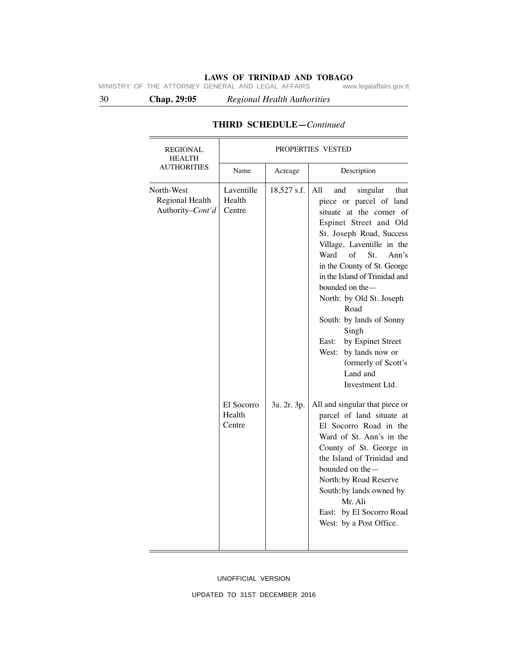**LAWS OF TRINIDAD AND TOBAGO**<br>GENERAL AND LEGAL AFFAIRS www.legalaffairs.gov.tt MINISTRY OF THE ATTORNEY GENERAL AND LEGAL AFFAIRS

30 **Chap. 29:05** *Regional Health Authorities*

| <b>REGIONAL</b><br><b>HEALTH</b>                  | PROPERTIES VESTED              |             |                                                                                                                                                                                                                                                                                                                                                                                                                                                                                                |  |
|---------------------------------------------------|--------------------------------|-------------|------------------------------------------------------------------------------------------------------------------------------------------------------------------------------------------------------------------------------------------------------------------------------------------------------------------------------------------------------------------------------------------------------------------------------------------------------------------------------------------------|--|
| <b>AUTHORITIES</b>                                | Name                           | Acreage     | Description                                                                                                                                                                                                                                                                                                                                                                                                                                                                                    |  |
| North-West<br>Regional Health<br>Authority-Cont'd | Laventille<br>Health<br>Centre | 18,527 s.f. | singular<br>All<br>and<br>that<br>piece or parcel of land<br>situate at the corner of<br>Espinet Street and Old<br>St. Joseph Road, Success<br>Village, Laventille in the<br>$\sigma$ f<br>Ward<br>St.<br>Ann's<br>in the County of St. George<br>in the Island of Trinidad and<br>bounded on the $-$<br>North: by Old St. Joseph<br>Road<br>South: by lands of Sonny<br>Singh<br>by Espinet Street<br>East:<br>West:<br>by lands now or<br>formerly of Scott's<br>Land and<br>Investment Ltd. |  |
|                                                   | El Socorro<br>Health<br>Centre | 3a. 2r. 3p. | All and singular that piece or<br>parcel of land situate at<br>El Socorro Road in the<br>Ward of St. Ann's in the<br>County of St. George in<br>the Island of Trinidad and<br>bounded on the -<br>North: by Road Reserve<br>South: by lands owned by<br>Mr. Ali<br>East: by El Socorro Road<br>West: by a Post Office.                                                                                                                                                                         |  |

# **THIRD SCHEDULE—***Continued*

UNOFFICIAL VERSION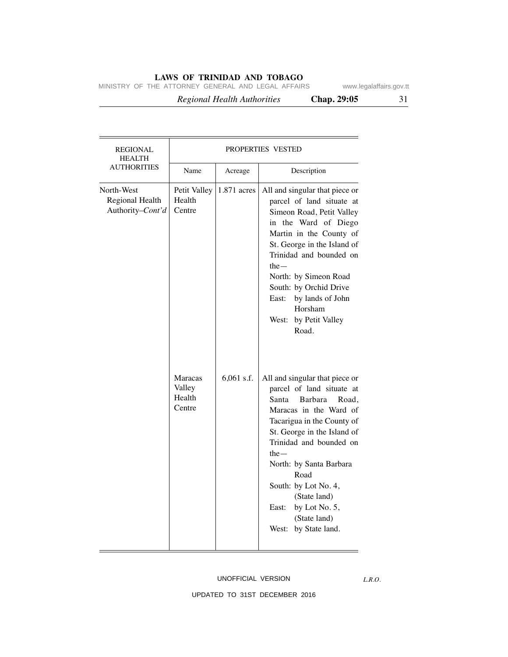MINISTRY OF THE ATTORNEY GENERAL AND LEGAL AFFAIRS www.legalaffairs.gov.tt

 *Regional Health Authorities* **Chap. 29:05** 31

| REGIONAL<br><b>HEALTH</b>                         | PROPERTIES VESTED                            |              |                                                                                                                                                                                                                                                                                                                                                                 |  |
|---------------------------------------------------|----------------------------------------------|--------------|-----------------------------------------------------------------------------------------------------------------------------------------------------------------------------------------------------------------------------------------------------------------------------------------------------------------------------------------------------------------|--|
| <b>AUTHORITIES</b>                                | Name                                         | Acreage      | Description                                                                                                                                                                                                                                                                                                                                                     |  |
| North-West<br>Regional Health<br>Authority-Cont'd | Petit Valley<br>Health<br>Centre             | 1.871 acres  | All and singular that piece or<br>parcel of land situate at<br>Simeon Road, Petit Valley<br>in the Ward of Diego<br>Martin in the County of<br>St. George in the Island of<br>Trinidad and bounded on<br>the $-$<br>North: by Simeon Road<br>South: by Orchid Drive<br>by lands of John<br>East:<br>Horsham<br>West: by Petit Valley<br>Road.                   |  |
|                                                   | <b>Maracas</b><br>Valley<br>Health<br>Centre | $6,061$ s.f. | All and singular that piece or<br>parcel of land situate at<br>Barbara<br>Santa<br>Road.<br>Maracas in the Ward of<br>Tacarigua in the County of<br>St. George in the Island of<br>Trinidad and bounded on<br>the $-$<br>North: by Santa Barbara<br>Road<br>South: by Lot No. 4,<br>(State land)<br>East: by Lot No. 5,<br>(State land)<br>West: by State land. |  |

#### UNOFFICIAL VERSION

*L.R.O.*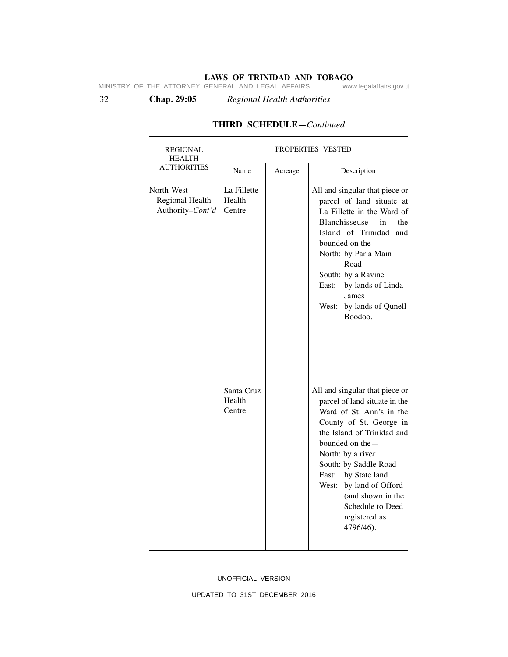**LAWS OF TRINIDAD AND TOBAGO**<br>GENERAL AND LEGAL AFFAIRS www.legalaffairs.gov.tt MINISTRY OF THE ATTORNEY GENERAL AND LEGAL AFFAIRS

32 **Chap. 29:05** *Regional Health Authorities*

| <b>REGIONAL</b>                                   | PROPERTIES VESTED               |         |                                                                                                                                                                                                                                                                                                                                                 |  |
|---------------------------------------------------|---------------------------------|---------|-------------------------------------------------------------------------------------------------------------------------------------------------------------------------------------------------------------------------------------------------------------------------------------------------------------------------------------------------|--|
| <b>HEALTH</b><br><b>AUTHORITIES</b>               | Name                            | Acreage | Description                                                                                                                                                                                                                                                                                                                                     |  |
| North-West<br>Regional Health<br>Authority-Cont'd | La Fillette<br>Health<br>Centre |         | All and singular that piece or<br>parcel of land situate at<br>La Fillette in the Ward of<br>Blanchisseuse<br>in<br>the<br>Island of Trinidad<br>and<br>bounded on the -<br>North: by Paria Main<br>Road<br>South: by a Ravine<br>East:<br>by lands of Linda<br>James<br>West: by lands of Qunell<br>Boodoo.                                    |  |
|                                                   | Santa Cruz<br>Health<br>Centre  |         | All and singular that piece or<br>parcel of land situate in the<br>Ward of St. Ann's in the<br>County of St. George in<br>the Island of Trinidad and<br>bounded on the -<br>North: by a river<br>South: by Saddle Road<br>East: by State land<br>West: by land of Offord<br>(and shown in the<br>Schedule to Deed<br>registered as<br>4796/46). |  |

# **THIRD SCHEDULE—***Continued*

UNOFFICIAL VERSION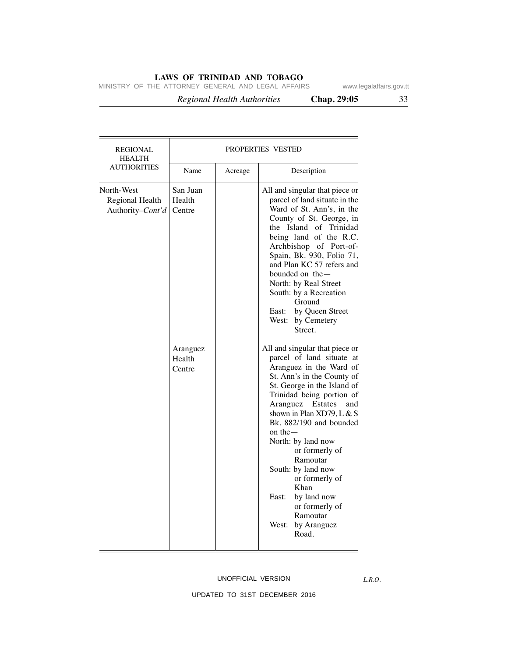MINISTRY OF THE ATTORNEY GENERAL AND LEGAL AFFAIRS www.legalaffairs.gov.tt

 *Regional Health Authorities* **Chap. 29:05** 33

Name Acreage Description REGIONAL PROPERTIES VESTED HEALTH **AUTHORITIES** North-West Regional Health Authority–*Cont'd* Aranguez Health **Centre** San Juan Health Centre All and singular that piece or parcel of land situate in the Ward of St. Ann's, in the County of St. George, in the Island of Trinidad being land of the R.C. Archbishop of Port-of-Spain, Bk. 930, Folio 71, and Plan KC 57 refers and bounded on the— North: by Real Street South: by a Recreation Ground East: by Queen Street West: by Cemetery Street. All and singular that piece or parcel of land situate at Aranguez in the Ward of St. Ann's in the County of St. George in the Island of Trinidad being portion of Aranguez Estates and shown in Plan XD79, L & S Bk. 882/190 and bounded on the— North: by land now

# or formerly of Ramoutar West: by Aranguez Road.

#### UNOFFICIAL VERSION

or formerly of Ramoutar South: by land now

or formerly of

Khan East: by land now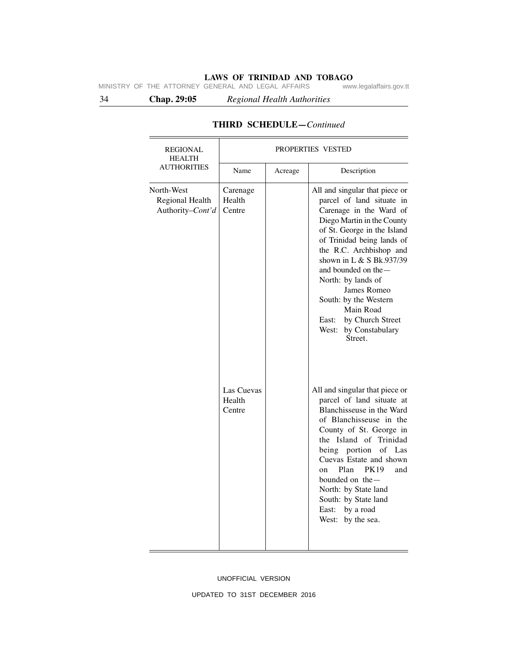**LAWS OF TRINIDAD AND TOBAGO**<br>GENERAL AND LEGAL AFFAIRS www.legalaffairs.gov.tt MINISTRY OF THE ATTORNEY GENERAL AND LEGAL AFFAIRS

34 **Chap. 29:05** *Regional Health Authorities*

| <b>REGIONAL</b><br><b>HEALTH</b>                  | PROPERTIES VESTED              |         |                                                                                                                                                                                                                                                                                                                                                                                                              |  |
|---------------------------------------------------|--------------------------------|---------|--------------------------------------------------------------------------------------------------------------------------------------------------------------------------------------------------------------------------------------------------------------------------------------------------------------------------------------------------------------------------------------------------------------|--|
| <b>AUTHORITIES</b>                                | Name                           | Acreage | Description                                                                                                                                                                                                                                                                                                                                                                                                  |  |
| North-West<br>Regional Health<br>Authority-Cont'd | Carenage<br>Health<br>Centre   |         | All and singular that piece or<br>parcel of land situate in<br>Carenage in the Ward of<br>Diego Martin in the County<br>of St. George in the Island<br>of Trinidad being lands of<br>the R.C. Archbishop and<br>shown in L & S Bk.937/39<br>and bounded on the —<br>North: by lands of<br>James Romeo<br>South: by the Western<br>Main Road<br>by Church Street<br>East:<br>West: by Constabulary<br>Street. |  |
|                                                   | Las Cuevas<br>Health<br>Centre |         | All and singular that piece or<br>parcel of land situate at<br>Blanchisseuse in the Ward<br>of Blanchisseuse in the<br>County of St. George in<br>the Island of Trinidad<br>being<br>portion<br>of<br>Las<br>Cuevas Estate and shown<br><b>PK19</b><br>Plan<br>and<br><sub>on</sub><br>bounded on the-<br>North: by State land<br>South: by State land<br>East: by a road<br>West: by the sea.               |  |

# **THIRD SCHEDULE—***Continued*

UNOFFICIAL VERSION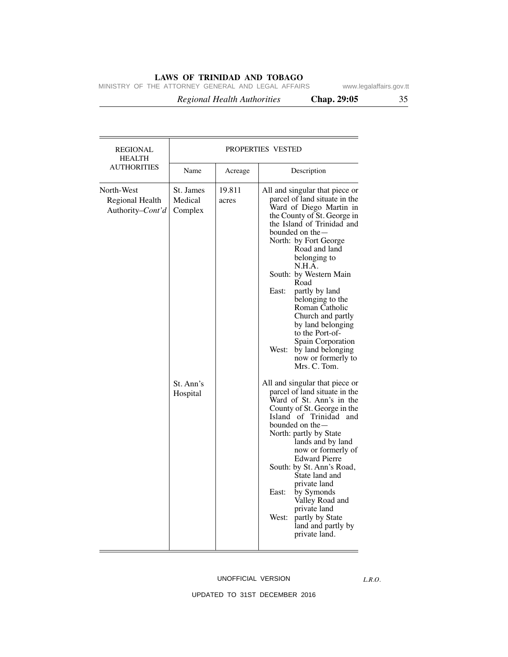MINISTRY OF THE ATTORNEY GENERAL AND LEGAL AFFAIRS www.legalaffairs.gov.tt

 *Regional Health Authorities* **Chap. 29:05** 35

North-West Regional Health Authority–*Cont'd* Name Acreage Description REGIONAL | PROPERTIES VESTED HEALTH AUTHORITIES 19.811 acres St. Ann's Hospital St. James Medical Complex All and singular that piece or parcel of land situate in the Ward of Diego Martin in the County of St. George in the Island of Trinidad and bounded on the— North: by Fort George Road and land belonging to N.H.A. South: by Western Main Road East: partly by land belonging to the Roman Catholic Church and partly by land belonging to the Port-of-Spain Corporation West: by land belonging now or formerly to Mrs. C. Tom. All and singular that piece or parcel of land situate in the Ward of St. Ann's in the County of St. George in the Island of Trinidad and bounded on the— North: partly by State lands and by land now or formerly of Edward Pierre South: by St. Ann's Road, State land and private land East: by Symonds Valley Road and private land West: partly by State land and partly by private land.

#### UNOFFICIAL VERSION

*L.R.O.*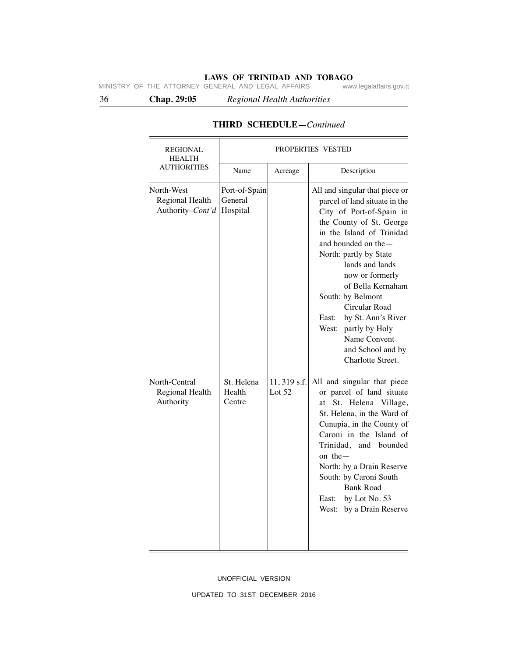**LAWS OF TRINIDAD AND TOBAGO**<br>GENERAL AND LEGAL AFFAIRS www.legalaffairs.gov.tt MINISTRY OF THE ATTORNEY GENERAL AND LEGAL AFFAIRS

36 **Chap. 29:05** *Regional Health Authorities*

| <b>REGIONAL</b><br><b>HEALTH</b><br><b>AUTHORITIES</b> | PROPERTIES VESTED                    |                          |                                                                                                                                                                                                                                                                                                                                                                                                                            |
|--------------------------------------------------------|--------------------------------------|--------------------------|----------------------------------------------------------------------------------------------------------------------------------------------------------------------------------------------------------------------------------------------------------------------------------------------------------------------------------------------------------------------------------------------------------------------------|
|                                                        | Name                                 | Acreage                  | Description                                                                                                                                                                                                                                                                                                                                                                                                                |
| North-West<br>Regional Health<br>Authority-Cont'd      | Port-of-Spain<br>General<br>Hospital |                          | All and singular that piece or<br>parcel of land situate in the<br>City of Port-of-Spain in<br>the County of St. George<br>in the Island of Trinidad<br>and bounded on the $-$<br>North: partly by State<br>lands and lands<br>now or formerly<br>of Bella Kernaham<br>South: by Belmont<br>Circular Road<br>by St. Ann's River<br>East:<br>West: partly by Holy<br>Name Convent<br>and School and by<br>Charlotte Street. |
| North-Central<br>Regional Health<br>Authority          | St. Helena<br>Health<br>Centre       | 11, 319 s.f.<br>Lot $52$ | All and singular that piece<br>or parcel of land situate<br>Helena Village,<br>St.<br>at<br>St. Helena, in the Ward of<br>Cunupia, in the County of<br>Caroni in the Island of<br>Trinidad, and bounded<br>on the $-$<br>North: by a Drain Reserve<br>South: by Caroni South<br><b>Bank Road</b><br>by Lot No. 53<br>East:<br>by a Drain Reserve<br>West:                                                                  |

# **THIRD SCHEDULE—***Continued*

UNOFFICIAL VERSION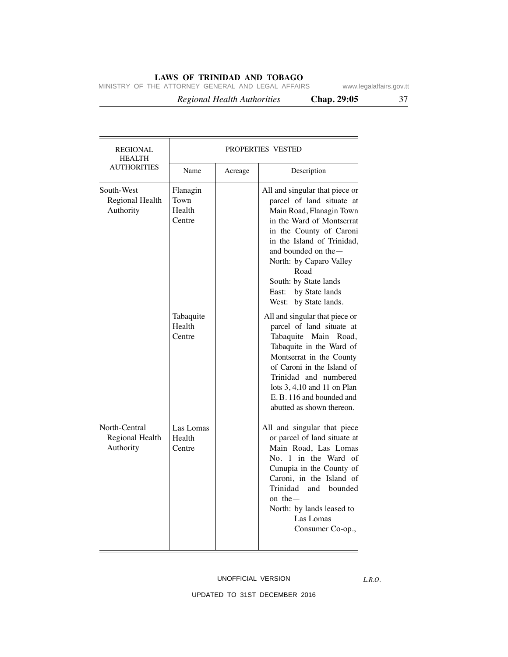MINISTRY OF THE ATTORNEY GENERAL AND LEGAL AFFAIRS www.legalaffairs.gov.tt

| iegaiditali s.gov.t |  |  |  |  |  |  |  |
|---------------------|--|--|--|--|--|--|--|
|                     |  |  |  |  |  |  |  |

 *Regional Health Authorities* **Chap. 29:05** 37

| <b>REGIONAL</b><br><b>HEALTH</b>              | <b>PROPERTIES VESTED</b>             |         |                                                                                                                                                                                                                                                                                                                      |  |
|-----------------------------------------------|--------------------------------------|---------|----------------------------------------------------------------------------------------------------------------------------------------------------------------------------------------------------------------------------------------------------------------------------------------------------------------------|--|
| <b>AUTHORITIES</b>                            | Name                                 | Acreage | Description                                                                                                                                                                                                                                                                                                          |  |
| South-West<br>Regional Health<br>Authority    | Flanagin<br>Town<br>Health<br>Centre |         | All and singular that piece or<br>parcel of land situate at<br>Main Road, Flanagin Town<br>in the Ward of Montserrat<br>in the County of Caroni<br>in the Island of Trinidad,<br>and bounded on the-<br>North: by Caparo Valley<br>Road<br>South: by State lands<br>by State lands<br>East:<br>West: by State lands. |  |
|                                               | Tabaquite<br>Health<br>Centre        |         | All and singular that piece or<br>parcel of land situate at<br>Tabaquite<br>Main<br>Road,<br>Tabaquite in the Ward of<br>Montserrat in the County<br>of Caroni in the Island of<br>Trinidad and numbered<br>lots 3, 4,10 and 11 on Plan<br>E. B. 116 and bounded and<br>abutted as shown thereon.                    |  |
| North-Central<br>Regional Health<br>Authority | Las Lomas<br>Health<br>Centre        |         | All and singular that piece<br>or parcel of land situate at<br>Main Road, Las Lomas<br>No. 1 in the Ward of<br>Cunupia in the County of<br>Caroni, in the Island of<br>Trinidad<br>and bounded<br>on the $-$<br>North: by lands leased to<br>Las Lomas<br>Consumer Co-op.,                                           |  |

## UNOFFICIAL VERSION

*L.R.O.*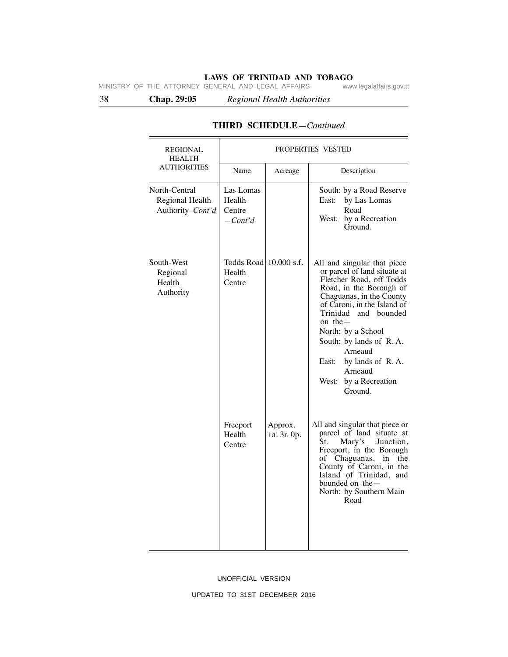38 **Chap. 29:05** *Regional Health Authorities*

| <b>REGIONAL</b><br><b>HEALTH</b>                     | PROPERTIES VESTED                          |                        |                                                                                                                                                                                                                                                                                                                                                             |  |  |
|------------------------------------------------------|--------------------------------------------|------------------------|-------------------------------------------------------------------------------------------------------------------------------------------------------------------------------------------------------------------------------------------------------------------------------------------------------------------------------------------------------------|--|--|
| <b>AUTHORITIES</b>                                   | Name                                       | Acreage                | Description                                                                                                                                                                                                                                                                                                                                                 |  |  |
| North-Central<br>Regional Health<br>Authority-Cont'd | Las Lomas<br>Health<br>Centre<br>$-Cont'd$ |                        | South: by a Road Reserve<br>by Las Lomas<br>East:<br>Road<br>West:<br>by a Recreation<br>Ground.                                                                                                                                                                                                                                                            |  |  |
| South-West<br>Regional<br>Health<br>Authority        | Todds Road 10,000 s.f.<br>Health<br>Centre |                        | All and singular that piece<br>or parcel of land situate at<br>Fletcher Road, off Todds<br>Road, in the Borough of<br>Chaguanas, in the County<br>of Caroni, in the Island of<br>Trinidad and bounded<br>on the $-$<br>North: by a School<br>South: by lands of R.A.<br>Arneaud<br>by lands of R.A.<br>East:<br>Arneaud<br>West: by a Recreation<br>Ground. |  |  |
|                                                      | Freeport<br>Health<br>Centre               | Approx.<br>1a. 3r. 0p. | All and singular that piece or<br>parcel of land situate at<br>St.<br>Mary's<br>Junction,<br>Freeport, in the Borough<br>of Chaguanas,<br>in<br>the<br>County of Caroni, in the<br>Island of Trinidad, and<br>bounded on the -<br>North: by Southern Main<br>Road                                                                                           |  |  |

# **THIRD SCHEDULE—***Continued*

### UNOFFICIAL VERSION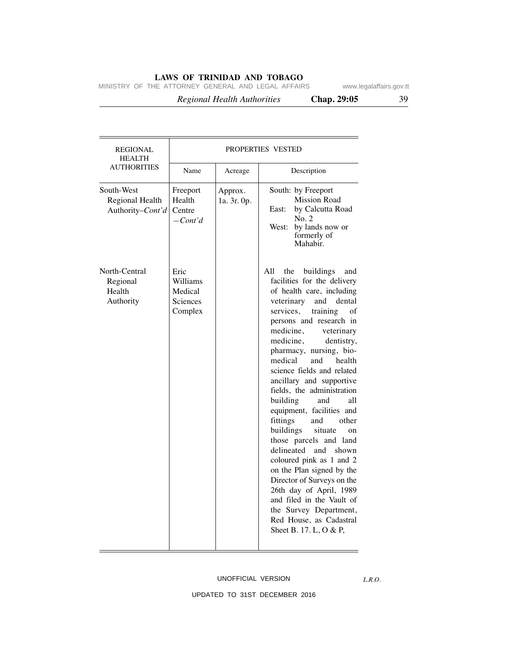MINISTRY OF THE ATTORNEY GENERAL AND LEGAL AFFAIRS www.legalaffairs.gov.tt

 *Regional Health Authorities* **Chap. 29:05** 39

| <b>REGIONAL</b><br><b>HEALTH</b>                  | PROPERTIES VESTED                                         |                        |                                                                                                                                                                                                                                                                                                                                                                                                                                                                                                                                                                                                                                                                                                                                                                                                 |  |
|---------------------------------------------------|-----------------------------------------------------------|------------------------|-------------------------------------------------------------------------------------------------------------------------------------------------------------------------------------------------------------------------------------------------------------------------------------------------------------------------------------------------------------------------------------------------------------------------------------------------------------------------------------------------------------------------------------------------------------------------------------------------------------------------------------------------------------------------------------------------------------------------------------------------------------------------------------------------|--|
| <b>AUTHORITIES</b>                                | Name                                                      | Acreage                | Description                                                                                                                                                                                                                                                                                                                                                                                                                                                                                                                                                                                                                                                                                                                                                                                     |  |
| South-West<br>Regional Health<br>Authority-Cont'd | Freeport<br>Health<br>Centre<br>$-Cont'd$                 | Approx.<br>1a. 3r. 0p. | South: by Freeport<br><b>Mission Road</b><br>by Calcutta Road<br>East:<br>No. 2<br>West:<br>by lands now or<br>formerly of<br>Mahabir.                                                                                                                                                                                                                                                                                                                                                                                                                                                                                                                                                                                                                                                          |  |
| North-Central<br>Regional<br>Health<br>Authority  | Eric<br>Williams<br>Medical<br><b>Sciences</b><br>Complex |                        | All<br>the<br>buildings<br>and<br>facilities for the delivery<br>of health care, including<br>veterinary<br>and<br>dental<br>training<br>services,<br>of<br>persons and research in<br>medicine,<br>veterinary<br>medicine,<br>dentistry,<br>pharmacy, nursing, bio-<br>medical<br>and<br>health<br>science fields and related<br>ancillary and supportive<br>fields, the administration<br>building<br>and<br>all<br>equipment, facilities and<br>fittings<br>other<br>and<br>buildings<br>situate<br>on<br>those parcels and land<br>delineated<br>and<br>shown<br>coloured pink as 1 and 2<br>on the Plan signed by the<br>Director of Surveys on the<br>26th day of April, 1989<br>and filed in the Vault of<br>the Survey Department,<br>Red House, as Cadastral<br>Sheet B. 17. L, O & P, |  |

## UNOFFICIAL VERSION

*L.R.O.*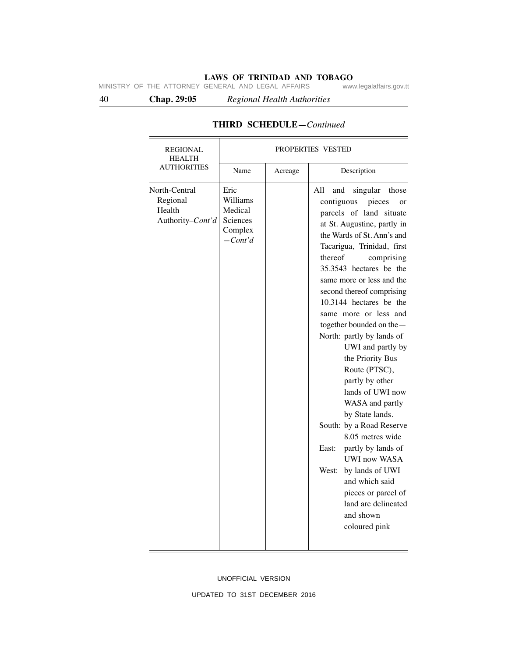40 **Chap. 29:05** *Regional Health Authorities*

| REGIONAL<br><b>HEALTH</b>                               | PROPERTIES VESTED                                               |         |                                                                                                                                                                                                                                                                                                                                                                                                                                                                                                                                                                                                                                                                                                                                                                                       |  |  |
|---------------------------------------------------------|-----------------------------------------------------------------|---------|---------------------------------------------------------------------------------------------------------------------------------------------------------------------------------------------------------------------------------------------------------------------------------------------------------------------------------------------------------------------------------------------------------------------------------------------------------------------------------------------------------------------------------------------------------------------------------------------------------------------------------------------------------------------------------------------------------------------------------------------------------------------------------------|--|--|
| <b>AUTHORITIES</b>                                      | Name                                                            | Acreage | Description                                                                                                                                                                                                                                                                                                                                                                                                                                                                                                                                                                                                                                                                                                                                                                           |  |  |
| North-Central<br>Regional<br>Health<br>Authority-Cont'd | Eric<br>Williams<br>Medical<br>Sciences<br>Complex<br>$-Cont'd$ |         | singular<br>All<br>and<br>those<br>contiguous<br>pieces<br>or<br>parcels of land situate<br>at St. Augustine, partly in<br>the Wards of St. Ann's and<br>Tacarigua, Trinidad, first<br>thereof<br>comprising<br>35.3543 hectares be the<br>same more or less and the<br>second thereof comprising<br>10.3144 hectares be the<br>same more or less and<br>together bounded on the-<br>North: partly by lands of<br>UWI and partly by<br>the Priority Bus<br>Route (PTSC),<br>partly by other<br>lands of UWI now<br>WASA and partly<br>by State lands.<br>South: by a Road Reserve<br>8.05 metres wide<br>partly by lands of<br>East:<br><b>UWI now WASA</b><br>West:<br>by lands of UWI<br>and which said<br>pieces or parcel of<br>land are delineated<br>and shown<br>coloured pink |  |  |

# **THIRD SCHEDULE—***Continued*

UNOFFICIAL VERSION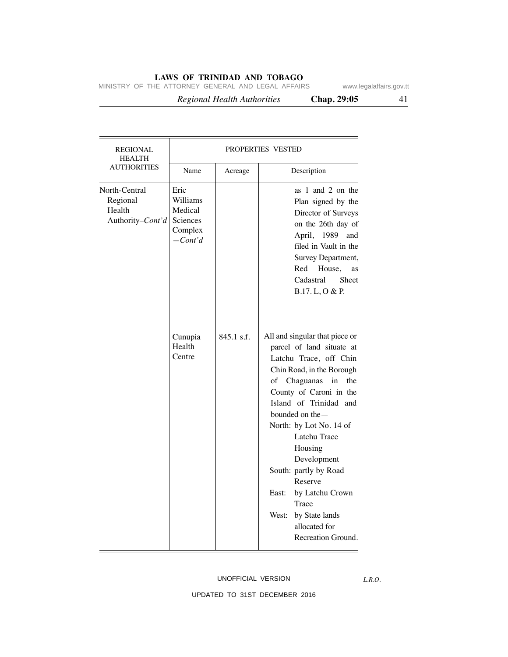MINISTRY OF THE ATTORNEY GENERAL AND LEGAL AFFAIRS www.legalaffairs.gov.tt

 *Regional Health Authorities* **Chap. 29:05** 41

| <b>REGIONAL</b><br><b>HEALTH</b>                        | PROPERTIES VESTED                                                                              |              |                                                                                                                                                                                                                                                                                                                                                                                                                                                                                                                                                                                                                                                                                   |  |
|---------------------------------------------------------|------------------------------------------------------------------------------------------------|--------------|-----------------------------------------------------------------------------------------------------------------------------------------------------------------------------------------------------------------------------------------------------------------------------------------------------------------------------------------------------------------------------------------------------------------------------------------------------------------------------------------------------------------------------------------------------------------------------------------------------------------------------------------------------------------------------------|--|
| <b>AUTHORITIES</b>                                      | Name                                                                                           | Acreage      | Description                                                                                                                                                                                                                                                                                                                                                                                                                                                                                                                                                                                                                                                                       |  |
| North-Central<br>Regional<br>Health<br>Authority-Cont'd | Eric<br>Williams<br>Medical<br>Sciences<br>Complex<br>$-Cont'd$<br>Cunupia<br>Health<br>Centre | $845.1$ s.f. | as 1 and 2 on the<br>Plan signed by the<br>Director of Surveys<br>on the 26th day of<br>April, 1989<br>and<br>filed in Vault in the<br>Survey Department,<br>Red<br>House,<br>as<br>Cadastral<br><b>Sheet</b><br>B.17. L, O & P.<br>All and singular that piece or<br>parcel of land situate at<br>Latchu Trace, off Chin<br>Chin Road, in the Borough<br>of<br>Chaguanas<br>in<br>the<br>County of Caroni in the<br>Island of Trinidad and<br>bounded on the $-$<br>North: by Lot No. 14 of<br>Latchu Trace<br>Housing<br>Development<br>South: partly by Road<br>Reserve<br>East:<br>by Latchu Crown<br>Trace<br>by State lands<br>West:<br>allocated for<br>Recreation Ground. |  |

## UNOFFICIAL VERSION

UPDATED TO 31ST DECEMBER 2016

*L.R.O.*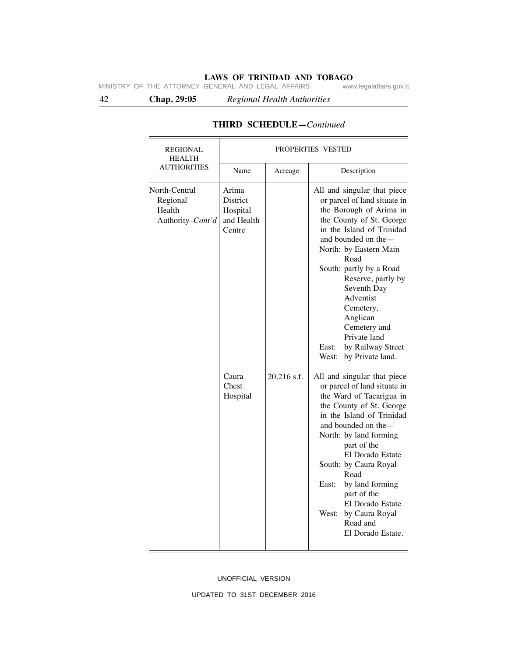42 **Chap. 29:05** *Regional Health Authorities*

| <b>REGIONAL</b><br><b>HEALTH</b>                        |                                                                                     |             |                                                                                                                                                                                                                                                                                                                                                                                                                                                                                                                                                                                                                                                                                                                                                                                                                 |  |  |
|---------------------------------------------------------|-------------------------------------------------------------------------------------|-------------|-----------------------------------------------------------------------------------------------------------------------------------------------------------------------------------------------------------------------------------------------------------------------------------------------------------------------------------------------------------------------------------------------------------------------------------------------------------------------------------------------------------------------------------------------------------------------------------------------------------------------------------------------------------------------------------------------------------------------------------------------------------------------------------------------------------------|--|--|
|                                                         | PROPERTIES VESTED                                                                   |             |                                                                                                                                                                                                                                                                                                                                                                                                                                                                                                                                                                                                                                                                                                                                                                                                                 |  |  |
| <b>AUTHORITIES</b>                                      | Name                                                                                | Acreage     | Description                                                                                                                                                                                                                                                                                                                                                                                                                                                                                                                                                                                                                                                                                                                                                                                                     |  |  |
| North-Central<br>Regional<br>Health<br>Authority-Cont'd | Arima<br>District<br>Hospital<br>and Health<br>Centre<br>Caura<br>Chest<br>Hospital | 20,216 s.f. | All and singular that piece<br>or parcel of land situate in<br>the Borough of Arima in<br>the County of St. George<br>in the Island of Trinidad<br>and bounded on the -<br>North: by Eastern Main<br>Road<br>South: partly by a Road<br>Reserve, partly by<br>Seventh Day<br>Adventist<br>Cemetery,<br>Anglican<br>Cemetery and<br>Private land<br>East:<br>by Railway Street<br>by Private land.<br>West:<br>All and singular that piece<br>or parcel of land situate in<br>the Ward of Tacarigua in<br>the County of St. George<br>in the Island of Trinidad<br>and bounded on the -<br>North: by land forming<br>part of the<br>El Dorado Estate<br>South: by Caura Royal<br>Road<br>by land forming<br>East:<br>part of the<br>El Dorado Estate<br>West:<br>by Caura Royal<br>Road and<br>El Dorado Estate. |  |  |

# **THIRD SCHEDULE—***Continued*

UNOFFICIAL VERSION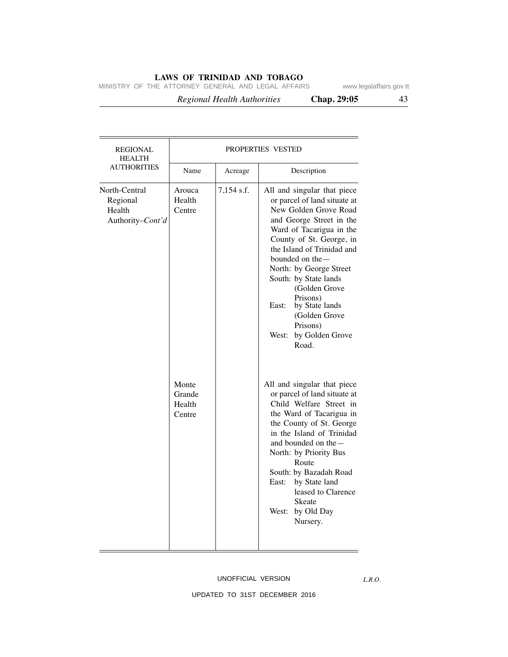MINISTRY OF THE ATTORNEY GENERAL AND LEGAL AFFAIRS www.legalaffairs.gov.tt

 *Regional Health Authorities* **Chap. 29:05** 43

| REGIONAL<br><b>HEALTH</b>                               | PROPERTIES VESTED                   |            |                                                                                                                                                                                                                                                                                                                                                                                                            |  |
|---------------------------------------------------------|-------------------------------------|------------|------------------------------------------------------------------------------------------------------------------------------------------------------------------------------------------------------------------------------------------------------------------------------------------------------------------------------------------------------------------------------------------------------------|--|
| <b>AUTHORITIES</b>                                      | Name                                | Acreage    | Description                                                                                                                                                                                                                                                                                                                                                                                                |  |
| North-Central<br>Regional<br>Health<br>Authority-Cont'd | Arouca<br>Health<br>Centre          | 7,154 s.f. | All and singular that piece<br>or parcel of land situate at<br>New Golden Grove Road<br>and George Street in the<br>Ward of Tacarigua in the<br>County of St. George, in<br>the Island of Trinidad and<br>bounded on the $-$<br>North: by George Street<br>South: by State lands<br>(Golden Grove<br>Prisons)<br>East:<br>by State lands<br>(Golden Grove<br>Prisons)<br>by Golden Grove<br>West:<br>Road. |  |
|                                                         | Monte<br>Grande<br>Health<br>Centre |            | All and singular that piece<br>or parcel of land situate at<br>Child Welfare Street in<br>the Ward of Tacarigua in<br>the County of St. George<br>in the Island of Trinidad<br>and bounded on the -<br>North: by Priority Bus<br>Route<br>South: by Bazadah Road<br>East:<br>by State land<br>leased to Clarence<br>Skeate<br>West:<br>by Old Day<br>Nursery.                                              |  |

### UNOFFICIAL VERSION

*L.R.O.*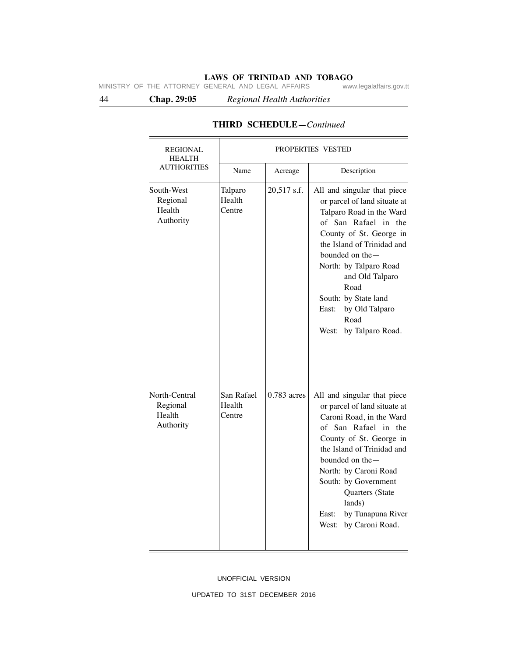44 **Chap. 29:05** *Regional Health Authorities*

| <b>REGIONAL</b><br><b>HEALTH</b>                 | PROPERTIES VESTED              |               |                                                                                                                                                                                                                                                                                                                                             |  |
|--------------------------------------------------|--------------------------------|---------------|---------------------------------------------------------------------------------------------------------------------------------------------------------------------------------------------------------------------------------------------------------------------------------------------------------------------------------------------|--|
| <b>AUTHORITIES</b>                               | Name                           | Acreage       | Description                                                                                                                                                                                                                                                                                                                                 |  |
| South-West<br>Regional<br>Health<br>Authority    | Talparo<br>Health<br>Centre    | 20,517 s.f.   | All and singular that piece<br>or parcel of land situate at<br>Talparo Road in the Ward<br>of San Rafael in the<br>County of St. George in<br>the Island of Trinidad and<br>bounded on the $-$<br>North: by Talparo Road<br>and Old Talparo<br>Road<br>South: by State land<br>by Old Talparo<br>East:<br>Road<br>by Talparo Road.<br>West: |  |
| North-Central<br>Regional<br>Health<br>Authority | San Rafael<br>Health<br>Centre | $0.783$ acres | All and singular that piece<br>or parcel of land situate at<br>Caroni Road, in the Ward<br>of San Rafael in the<br>County of St. George in<br>the Island of Trinidad and<br>bounded on the-<br>North: by Caroni Road<br>South: by Government<br>Quarters (State<br>lands)<br>by Tunapuna River<br>East:<br>by Caroni Road.<br>West:         |  |

# **THIRD SCHEDULE—***Continued*

UNOFFICIAL VERSION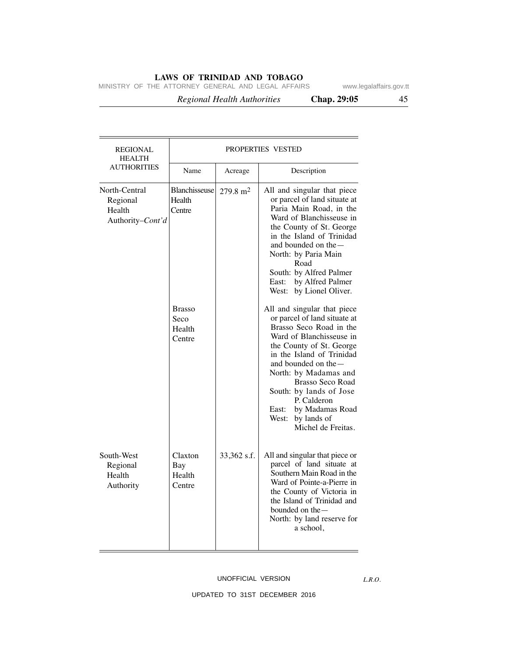MINISTRY OF THE ATTORNEY GENERAL AND LEGAL AFFAIRS www.legalaffairs.gov.tt

 *Regional Health Authorities* **Chap. 29:05** 45

 $\overline{\phantom{a}}$ 

| <b>REGIONAL</b><br><b>HEALTH</b>                      | PROPERTIES VESTED                                        |         |                                                                                                                                                                                |  |  |  |
|-------------------------------------------------------|----------------------------------------------------------|---------|--------------------------------------------------------------------------------------------------------------------------------------------------------------------------------|--|--|--|
| <b>AUTHORITIES</b>                                    | Name                                                     | Acreage | Description                                                                                                                                                                    |  |  |  |
| rth-Central<br>Regional<br>Health<br>Authority-Cont'd | Blanchisseuse   279.8 m <sup>2</sup><br>Health<br>Centre |         | All and singular tha<br>or parcel of land sit<br>Paria Main Road,<br>Ward of Blanchiss<br>the County of St.<br>in the Island of T.<br>and bounded on the<br>North: by Paria Ma |  |  |  |

|                                                         | Name                                      | Acreage             | Description                                                                                                                                                                                                                                                                                                                                                             |
|---------------------------------------------------------|-------------------------------------------|---------------------|-------------------------------------------------------------------------------------------------------------------------------------------------------------------------------------------------------------------------------------------------------------------------------------------------------------------------------------------------------------------------|
| North-Central<br>Regional<br>Health<br>Authority-Cont'd | Blanchisseuse<br>Health<br>Centre         | $279.8 \text{ m}^2$ | All and singular that piece<br>or parcel of land situate at<br>Paria Main Road, in the<br>Ward of Blanchisseuse in<br>the County of St. George<br>in the Island of Trinidad<br>and bounded on the -<br>North: by Paria Main<br>Road<br>South: by Alfred Palmer<br>East: by Alfred Palmer<br>West: by Lionel Oliver.                                                     |
|                                                         | <b>Brasso</b><br>Seco<br>Health<br>Centre |                     | All and singular that piece<br>or parcel of land situate at<br>Brasso Seco Road in the<br>Ward of Blanchisseuse in<br>the County of St. George<br>in the Island of Trinidad<br>and bounded on the-<br>North: by Madamas and<br><b>Brasso Seco Road</b><br>South: by lands of Jose<br>P. Calderon<br>by Madamas Road<br>East:<br>West: by lands of<br>Michel de Freitas. |
| South-West<br>Regional<br>Health<br>Authority           | Claxton<br><b>Bay</b><br>Health<br>Centre | 33,362 s.f.         | All and singular that piece or<br>parcel of land situate at<br>Southern Main Road in the<br>Ward of Pointe-a-Pierre in<br>the County of Victoria in<br>the Island of Trinidad and<br>bounded on the-<br>North: by land reserve for<br>a school,                                                                                                                         |

## UNOFFICIAL VERSION

*L.R.O.*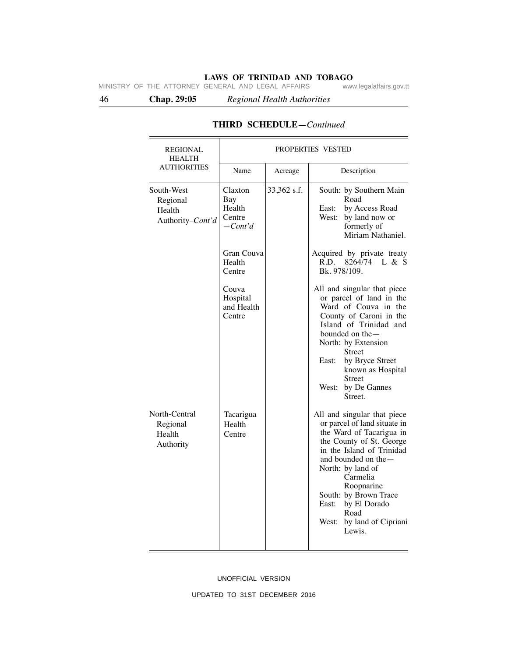46 **Chap. 29:05** *Regional Health Authorities*

| <b>REGIONAL</b><br><b>HEALTH</b>                     | PROPERTIES VESTED                               |             |                                                                                                                                                                                                                                                                                                                               |  |  |
|------------------------------------------------------|-------------------------------------------------|-------------|-------------------------------------------------------------------------------------------------------------------------------------------------------------------------------------------------------------------------------------------------------------------------------------------------------------------------------|--|--|
| <b>AUTHORITIES</b>                                   | Name                                            | Acreage     | Description                                                                                                                                                                                                                                                                                                                   |  |  |
| South-West<br>Regional<br>Health<br>Authority-Cont'd | Claxton<br>Bay<br>Health<br>Centre<br>$-Cont'd$ | 33,362 s.f. | South: by Southern Main<br>Road<br>East:<br>by Access Road<br>West:<br>by land now or<br>formerly of<br>Miriam Nathaniel.                                                                                                                                                                                                     |  |  |
|                                                      | Gran Couva<br>Health<br>Centre                  |             | Acquired by private treaty<br>$8264/74$ L & S<br>R.D.<br>Bk. 978/109.                                                                                                                                                                                                                                                         |  |  |
|                                                      | Couva<br>Hospital<br>and Health<br>Centre       |             | All and singular that piece<br>or parcel of land in the<br>Ward of Couva in the<br>County of Caroni in the<br>Island of Trinidad and<br>bounded on the —<br>North: by Extension<br><b>Street</b><br>East:<br>by Bryce Street<br>known as Hospital<br><b>Street</b><br>by De Gannes<br>West:<br>Street.                        |  |  |
| North-Central<br>Regional<br>Health<br>Authority     | Tacarigua<br>Health<br>Centre                   |             | All and singular that piece<br>or parcel of land situate in<br>the Ward of Tacarigua in<br>the County of St. George<br>in the Island of Trinidad<br>and bounded on the $-$<br>North: by land of<br>Carmelia<br>Roopnarine<br>South: by Brown Trace<br>by El Dorado<br>East:<br>Road<br>West:<br>by land of Cipriani<br>Lewis. |  |  |

# **THIRD SCHEDULE—***Continued*

UNOFFICIAL VERSION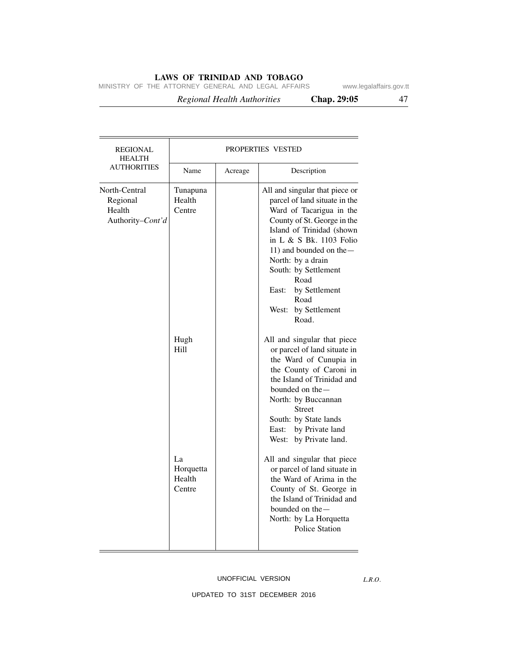MINISTRY OF THE ATTORNEY GENERAL AND LEGAL AFFAIRS www.legalaffairs.gov.tt

 *Regional Health Authorities* **Chap. 29:05** 47

| <b>REGIONAL</b><br><b>HEALTH</b>                        |                                     |         | PROPERTIES VESTED                                                                                                                                                                                                                                                                                                                        |
|---------------------------------------------------------|-------------------------------------|---------|------------------------------------------------------------------------------------------------------------------------------------------------------------------------------------------------------------------------------------------------------------------------------------------------------------------------------------------|
| <b>AUTHORITIES</b>                                      | Name                                | Acreage | Description                                                                                                                                                                                                                                                                                                                              |
| North-Central<br>Regional<br>Health<br>Authority-Cont'd | Tunapuna<br>Health<br>Centre        |         | All and singular that piece or<br>parcel of land situate in the<br>Ward of Tacarigua in the<br>County of St. George in the<br>Island of Trinidad (shown<br>in L & S Bk. 1103 Folio<br>11) and bounded on the -<br>North: by a drain<br>South: by Settlement<br>Road<br>by Settlement<br>East:<br>Road<br>by Settlement<br>West:<br>Road. |
|                                                         | Hugh<br>Hill                        |         | All and singular that piece<br>or parcel of land situate in<br>the Ward of Cunupia in<br>the County of Caroni in<br>the Island of Trinidad and<br>bounded on the —<br>North: by Buccannan<br><b>Street</b><br>South: by State lands<br>East: by Private land<br>West: by Private land.                                                   |
|                                                         | La<br>Horquetta<br>Health<br>Centre |         | All and singular that piece<br>or parcel of land situate in<br>the Ward of Arima in the<br>County of St. George in<br>the Island of Trinidad and<br>bounded on the $-$<br>North: by La Horquetta<br><b>Police Station</b>                                                                                                                |

## UNOFFICIAL VERSION

*L.R.O.*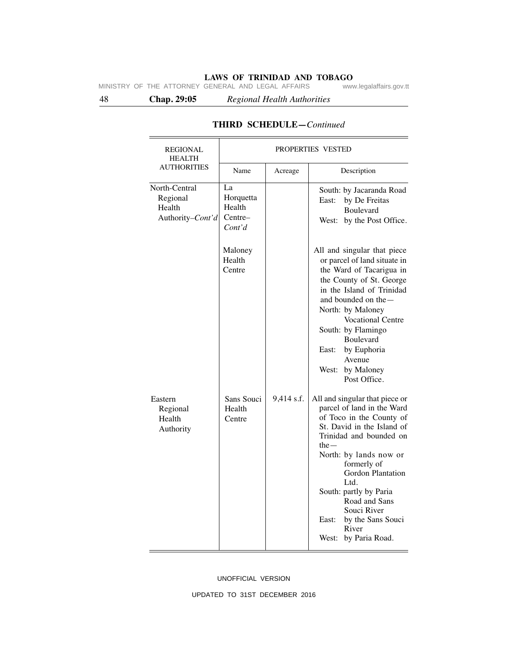48 **Chap. 29:05** *Regional Health Authorities*

| <b>REGIONAL</b><br><b>HEALTH</b>                        |                                                |            | PROPERTIES VESTED                                                                                                                                                                                                                                                                                                                                                  |
|---------------------------------------------------------|------------------------------------------------|------------|--------------------------------------------------------------------------------------------------------------------------------------------------------------------------------------------------------------------------------------------------------------------------------------------------------------------------------------------------------------------|
| <b>AUTHORITIES</b>                                      | Name                                           | Acreage    | Description                                                                                                                                                                                                                                                                                                                                                        |
| North-Central<br>Regional<br>Health<br>Authority-Cont'd | La<br>Horquetta<br>Health<br>Centre-<br>Cont'd |            | South: by Jacaranda Road<br>by De Freitas<br>East:<br>Boulevard<br>by the Post Office.<br>West:                                                                                                                                                                                                                                                                    |
|                                                         | Maloney<br>Health<br>Centre                    |            | All and singular that piece<br>or parcel of land situate in<br>the Ward of Tacarigua in<br>the County of St. George<br>in the Island of Trinidad<br>and bounded on the -<br>North: by Maloney<br><b>Vocational Centre</b><br>South: by Flamingo<br>Boulevard<br>East:<br>by Euphoria<br>Avenue<br>by Maloney<br>West:<br>Post Office.                              |
| Eastern<br>Regional<br>Health<br>Authority              | Sans Souci<br>Health<br>Centre                 | 9,414 s.f. | All and singular that piece or<br>parcel of land in the Ward<br>of Toco in the County of<br>St. David in the Island of<br>Trinidad and bounded on<br>$the -$<br>North: by lands now or<br>formerly of<br><b>Gordon Plantation</b><br>Ltd.<br>South: partly by Paria<br>Road and Sans<br>Souci River<br>by the Sans Souci<br>East:<br>River<br>West: by Paria Road. |

# **THIRD SCHEDULE—***Continued*

### UNOFFICIAL VERSION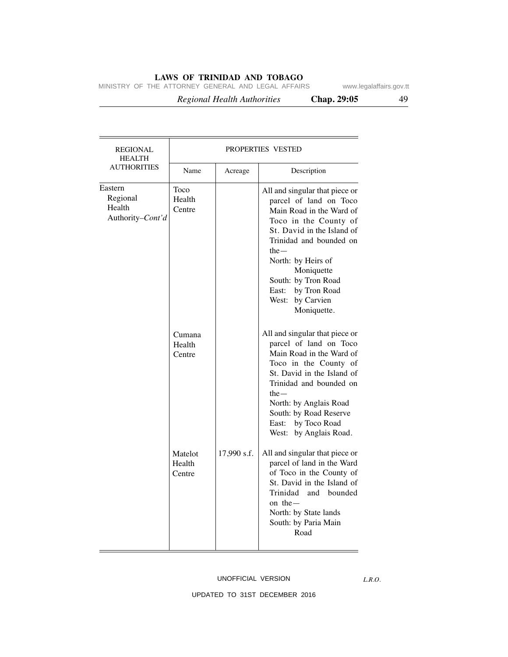MINISTRY OF THE ATTORNEY GENERAL AND LEGAL AFFAIRS www.legalaffairs.gov.tt

 *Regional Health Authorities* **Chap. 29:05** 49

| $\overline{1}$ |  |
|----------------|--|

| <b>REGIONAL</b><br><b>HEALTH</b>                  |                             |             | PROPERTIES VESTED                                                                                                                                                                                                                                                                                        |
|---------------------------------------------------|-----------------------------|-------------|----------------------------------------------------------------------------------------------------------------------------------------------------------------------------------------------------------------------------------------------------------------------------------------------------------|
| <b>AUTHORITIES</b>                                | Name                        | Acreage     | Description                                                                                                                                                                                                                                                                                              |
| Eastern<br>Regional<br>Health<br>Authority-Cont'd | Toco<br>Health<br>Centre    |             | All and singular that piece or<br>parcel of land on Toco<br>Main Road in the Ward of<br>Toco in the County of<br>St. David in the Island of<br>Trinidad and bounded on<br>the $-$<br>North: by Heirs of<br>Moniquette<br>South: by Tron Road<br>by Tron Road<br>East:<br>West: by Carvien<br>Moniquette. |
|                                                   | Cumana<br>Health<br>Centre  |             | All and singular that piece or<br>parcel of land on Toco<br>Main Road in the Ward of<br>Toco in the County of<br>St. David in the Island of<br>Trinidad and bounded on<br>$the-$<br>North: by Anglais Road<br>South: by Road Reserve<br>by Toco Road<br>East:<br>West: by Anglais Road.                  |
|                                                   | Matelot<br>Health<br>Centre | 17,990 s.f. | All and singular that piece or<br>parcel of land in the Ward<br>of Toco in the County of<br>St. David in the Island of<br>Trinidad<br>and bounded<br>on the $-$<br>North: by State lands<br>South: by Paria Main<br>Road                                                                                 |

## UNOFFICIAL VERSION

*L.R.O.*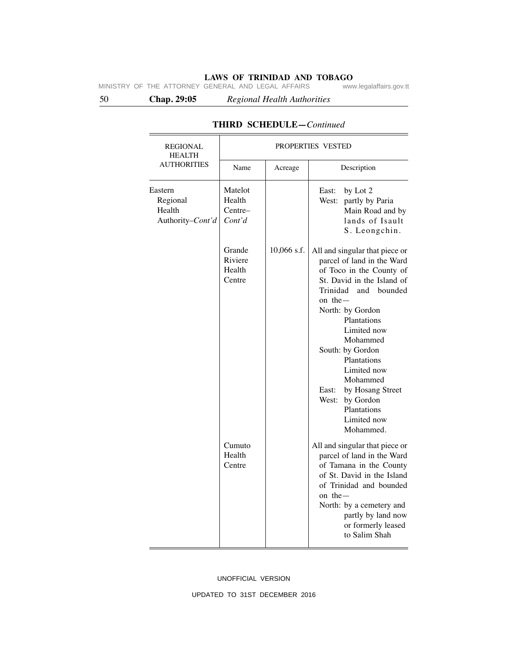50 **Chap. 29:05** *Regional Health Authorities*

| REGIONAL<br><b>HEALTH</b>                         |                                        |             | PROPERTIES VESTED                                                                                                                                                                                                                                                                                                                                                                      |
|---------------------------------------------------|----------------------------------------|-------------|----------------------------------------------------------------------------------------------------------------------------------------------------------------------------------------------------------------------------------------------------------------------------------------------------------------------------------------------------------------------------------------|
| <b>AUTHORITIES</b>                                | Name                                   | Acreage     | Description                                                                                                                                                                                                                                                                                                                                                                            |
| Eastern<br>Regional<br>Health<br>Authority-Cont'd | Matelot<br>Health<br>Centre-<br>Cont'd |             | East:<br>by Lot 2<br>West:<br>partly by Paria<br>Main Road and by<br>lands of Isault<br>S. Leongchin.                                                                                                                                                                                                                                                                                  |
|                                                   | Grande<br>Riviere<br>Health<br>Centre  | 10,066 s.f. | All and singular that piece or<br>parcel of land in the Ward<br>of Toco in the County of<br>St. David in the Island of<br>Trinidad and bounded<br>on the $-$<br>North: by Gordon<br>Plantations<br>Limited now<br>Mohammed<br>South: by Gordon<br>Plantations<br>Limited now<br>Mohammed<br>East:<br>by Hosang Street<br>West:<br>by Gordon<br>Plantations<br>Limited now<br>Mohammed. |
|                                                   | Cumuto<br>Health<br>Centre             |             | All and singular that piece or<br>parcel of land in the Ward<br>of Tamana in the County<br>of St. David in the Island<br>of Trinidad and bounded<br>on the $-$<br>North: by a cemetery and<br>partly by land now<br>or formerly leased<br>to Salim Shah                                                                                                                                |

# **THIRD SCHEDULE—***Continued*

UNOFFICIAL VERSION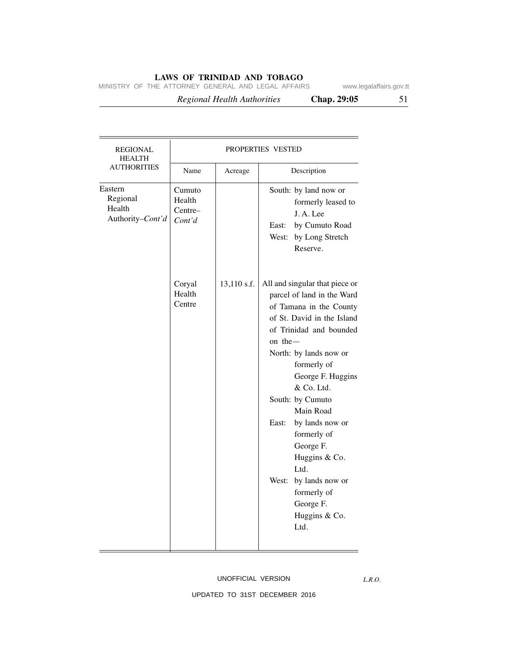MINISTRY OF THE ATTORNEY GENERAL AND LEGAL AFFAIRS www.legalaffairs.gov.tt

 *Regional Health Authorities* **Chap. 29:05** 51

| <b>REGIONAL</b><br><b>HEALTH</b>                  | PROPERTIES VESTED                     |             |                                                                                                                                                                                                                                                                                                                                                                                                                                               |
|---------------------------------------------------|---------------------------------------|-------------|-----------------------------------------------------------------------------------------------------------------------------------------------------------------------------------------------------------------------------------------------------------------------------------------------------------------------------------------------------------------------------------------------------------------------------------------------|
| <b>AUTHORITIES</b>                                | Name                                  | Acreage     | Description                                                                                                                                                                                                                                                                                                                                                                                                                                   |
| Eastern<br>Regional<br>Health<br>Authority-Cont'd | Cumuto<br>Health<br>Centre-<br>Cont'd |             | South: by land now or<br>formerly leased to<br>J.A.Lee<br>East: by Cumuto Road<br>West: by Long Stretch<br>Reserve.                                                                                                                                                                                                                                                                                                                           |
|                                                   | Coryal<br>Health<br>Centre            | 13,110 s.f. | All and singular that piece or<br>parcel of land in the Ward<br>of Tamana in the County<br>of St. David in the Island<br>of Trinidad and bounded<br>on the $-$<br>North: by lands now or<br>formerly of<br>George F. Huggins<br>& Co. Ltd.<br>South: by Cumuto<br>Main Road<br>by lands now or<br>East:<br>formerly of<br>George F.<br>Huggins & Co.<br>Ltd.<br>West:<br>by lands now or<br>formerly of<br>George F.<br>Huggins & Co.<br>Ltd. |

UNOFFICIAL VERSION

*L.R.O.*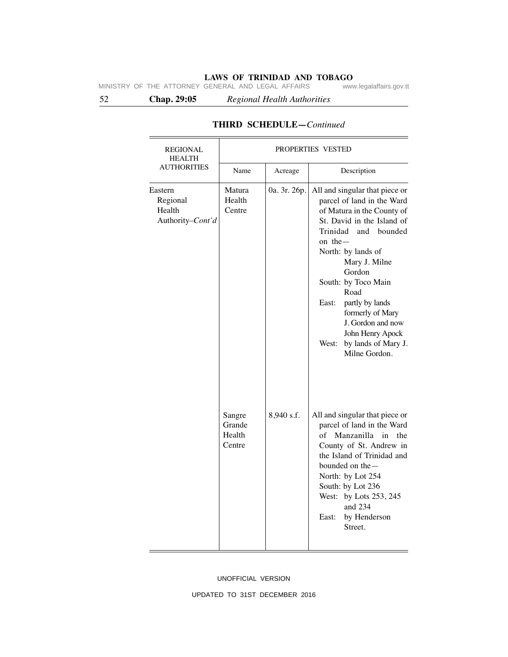52 **Chap. 29:05** *Regional Health Authorities*

| REGIONAL<br><b>HEALTH</b><br><b>AUTHORITIES</b>   | PROPERTIES VESTED                    |              |                                                                                                                                                                                                                                                                                                                                                                                          |
|---------------------------------------------------|--------------------------------------|--------------|------------------------------------------------------------------------------------------------------------------------------------------------------------------------------------------------------------------------------------------------------------------------------------------------------------------------------------------------------------------------------------------|
|                                                   | Name                                 | Acreage      | Description                                                                                                                                                                                                                                                                                                                                                                              |
| Eastern<br>Regional<br>Health<br>Authority-Cont'd | Matura<br>Health<br>Centre           | 0a. 3r. 26p. | All and singular that piece or<br>parcel of land in the Ward<br>of Matura in the County of<br>St. David in the Island of<br>Trinidad and bounded<br>on the $-$<br>North: by lands of<br>Mary J. Milne<br>Gordon<br>South: by Toco Main<br>Road<br>partly by lands<br>East:<br>formerly of Mary<br>J. Gordon and now<br>John Henry Apock<br>by lands of Mary J.<br>West:<br>Milne Gordon. |
|                                                   | Sangre<br>Grande<br>Health<br>Centre | 8,940 s.f.   | All and singular that piece or<br>parcel of land in the Ward<br>Manzanilla<br>of<br>in<br>the<br>County of St. Andrew in<br>the Island of Trinidad and<br>bounded on the $-$<br>North: by Lot 254<br>South: by Lot 236<br>West: by Lots 253, 245<br>and 234<br>East:<br>by Henderson<br>Street.                                                                                          |

# **THIRD SCHEDULE—***Continued*

### UNOFFICIAL VERSION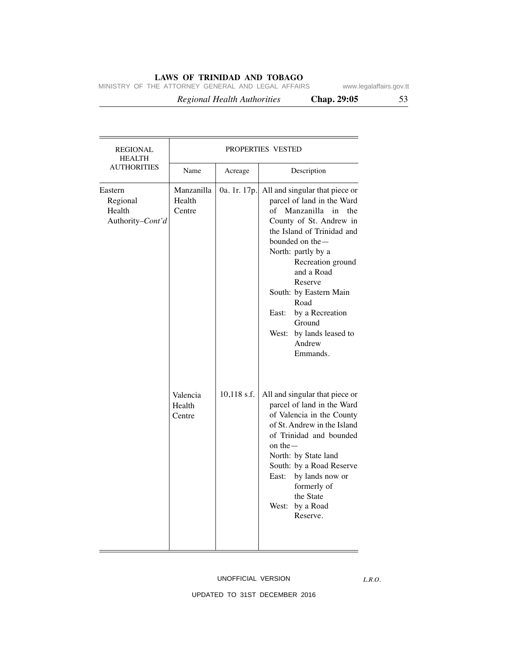MINISTRY OF THE ATTORNEY GENERAL AND LEGAL AFFAIRS www.legalaffairs.gov.tt

 *Regional Health Authorities* **Chap. 29:05** 53

| <b>REGIONAL</b><br><b>HEALTH</b>                  | PROPERTIES VESTED              |              |                                                                                                                                                                                                                                                                                                                                                                         |
|---------------------------------------------------|--------------------------------|--------------|-------------------------------------------------------------------------------------------------------------------------------------------------------------------------------------------------------------------------------------------------------------------------------------------------------------------------------------------------------------------------|
| <b>AUTHORITIES</b>                                | Name                           | Acreage      | Description                                                                                                                                                                                                                                                                                                                                                             |
| Eastern<br>Regional<br>Health<br>Authority-Cont'd | Manzanilla<br>Health<br>Centre | 0a. 1r. 17p. | All and singular that piece or<br>parcel of land in the Ward<br>of<br>Manzanilla<br>in<br>the<br>County of St. Andrew in<br>the Island of Trinidad and<br>bounded on the-<br>North: partly by a<br>Recreation ground<br>and a Road<br>Reserve<br>South: by Eastern Main<br>Road<br>by a Recreation<br>East:<br>Ground<br>West: by lands leased to<br>Andrew<br>Emmands. |
|                                                   | Valencia<br>Health<br>Centre   | 10,118 s.f.  | All and singular that piece or<br>parcel of land in the Ward<br>of Valencia in the County<br>of St. Andrew in the Island<br>of Trinidad and bounded<br>on the $-$<br>North: by State land<br>South: by a Road Reserve<br>East:<br>by lands now or<br>formerly of<br>the State<br>West: by a Road<br>Reserve.                                                            |

## UNOFFICIAL VERSION

*L.R.O.*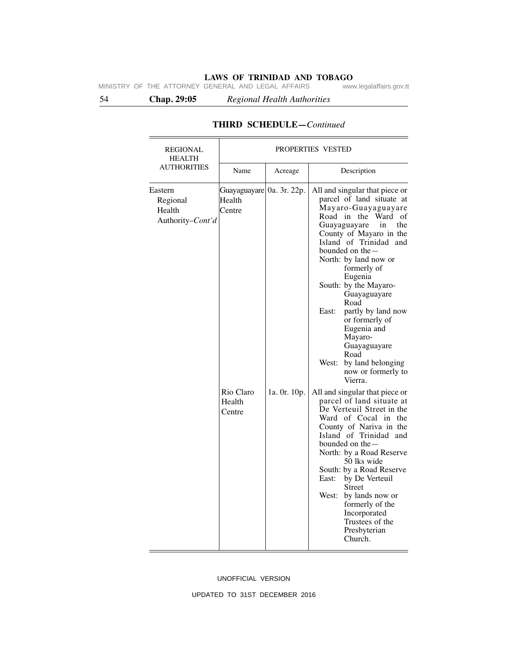54 **Chap. 29:05** *Regional Health Authorities*

| <b>REGIONAL</b><br><b>HEALTH</b>                  | PROPERTIES VESTED                                          |              |                                                                                                                                                                                                                                                                                                                                                                                                                                                                                                                            |
|---------------------------------------------------|------------------------------------------------------------|--------------|----------------------------------------------------------------------------------------------------------------------------------------------------------------------------------------------------------------------------------------------------------------------------------------------------------------------------------------------------------------------------------------------------------------------------------------------------------------------------------------------------------------------------|
| <b>AUTHORITIES</b>                                | Name                                                       | Acreage      | Description                                                                                                                                                                                                                                                                                                                                                                                                                                                                                                                |
| Eastern<br>Regional<br>Health<br>Authority-Cont'd | Guayaguayare 0a. 3r. 22p.<br>Health<br>Centre<br>Rio Claro | 1a. 0r. 10p. | All and singular that piece or<br>parcel of land situate at<br>Mayaro-Guayaguayare<br>Road in the Ward<br>of<br>the<br>Guayaguayare<br>in<br>County of Mayaro in the<br>Island of Trinidad and<br>bounded on the —<br>North: by land now or<br>formerly of<br>Eugenia<br>South: by the Mayaro-<br>Guayaguayare<br>Road<br>East:<br>partly by land now<br>or formerly of<br>Eugenia and<br>Mayaro-<br>Guayaguayare<br>Road<br>by land belonging<br>West:<br>now or formerly to<br>Vierra.<br>All and singular that piece or |
|                                                   | Health<br>Centre                                           |              | parcel of land situate at<br>De Verteuil Street in the<br>Ward of Cocal in the<br>County of Nariva in the<br>Island of Trinidad and<br>bounded on the $-$<br>North: by a Road Reserve<br>50 lks wide<br>South: by a Road Reserve<br>East:<br>by De Verteuil<br>Street<br>West:<br>by lands now or<br>formerly of the<br>Incorporated<br>Trustees of the<br>Presbyterian<br>Church.                                                                                                                                         |

# **THIRD SCHEDULE—***Continued*

UNOFFICIAL VERSION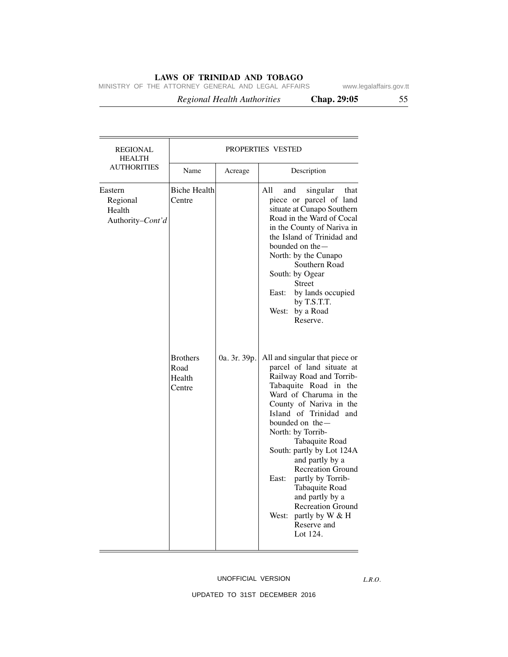MINISTRY OF THE ATTORNEY GENERAL AND LEGAL AFFAIRS www.legalaffairs.gov.tt

 *Regional Health Authorities* **Chap. 29:05** 55

| <b>REGIONAL</b><br><b>HEALTH</b>                  |                                                                              |              | <b>PROPERTIES VESTED</b>                                                                                                                                                                                                                                                                                                                                                                                                                                                                                                                                                                                                                                                                                                                                                                                                                                         |  |
|---------------------------------------------------|------------------------------------------------------------------------------|--------------|------------------------------------------------------------------------------------------------------------------------------------------------------------------------------------------------------------------------------------------------------------------------------------------------------------------------------------------------------------------------------------------------------------------------------------------------------------------------------------------------------------------------------------------------------------------------------------------------------------------------------------------------------------------------------------------------------------------------------------------------------------------------------------------------------------------------------------------------------------------|--|
| AUTHORITIES                                       | Name                                                                         | Acreage      | Description                                                                                                                                                                                                                                                                                                                                                                                                                                                                                                                                                                                                                                                                                                                                                                                                                                                      |  |
| Eastern<br>Regional<br>Health<br>Authority-Cont'd | <b>Biche Health</b><br>Centre<br><b>Brothers</b><br>Road<br>Health<br>Centre | 0a. 3r. 39p. | All<br>and<br>singular<br>that<br>piece or parcel of land<br>situate at Cunapo Southern<br>Road in the Ward of Cocal<br>in the County of Nariva in<br>the Island of Trinidad and<br>bounded on the —<br>North: by the Cunapo<br>Southern Road<br>South: by Ogear<br><b>Street</b><br>by lands occupied<br>East:<br>by T.S.T.T.<br>by a Road<br>West:<br>Reserve.<br>All and singular that piece or<br>parcel of land situate at<br>Railway Road and Torrib-<br>Tabaquite Road in the<br>Ward of Charuma in the<br>County of Nariva in the<br>Island of Trinidad and<br>bounded on the -<br>North: by Torrib-<br>Tabaquite Road<br>South: partly by Lot 124A<br>and partly by a<br><b>Recreation Ground</b><br>partly by Torrib-<br>East:<br>Tabaquite Road<br>and partly by a<br><b>Recreation Ground</b><br>partly by W & H<br>West:<br>Reserve and<br>Lot 124. |  |

### UNOFFICIAL VERSION

*L.R.O.*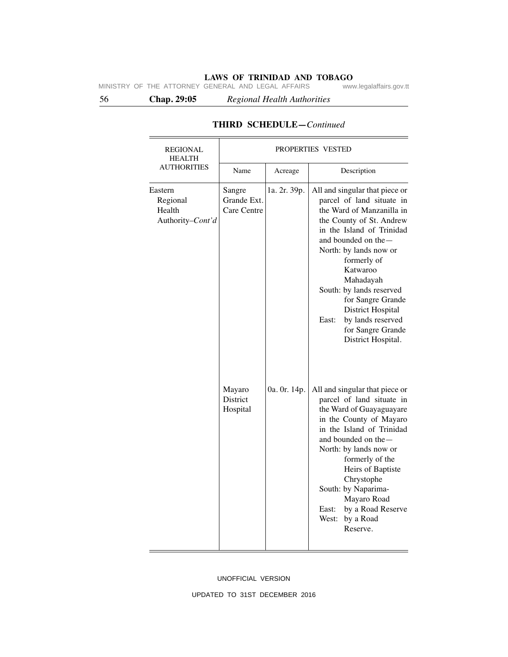56 **Chap. 29:05** *Regional Health Authorities*

| <b>REGIONAL</b><br><b>HEALTH</b>                  | PROPERTIES VESTED                    |              |                                                                                                                                                                                                                                                                                                                                                                                                   |
|---------------------------------------------------|--------------------------------------|--------------|---------------------------------------------------------------------------------------------------------------------------------------------------------------------------------------------------------------------------------------------------------------------------------------------------------------------------------------------------------------------------------------------------|
| <b>AUTHORITIES</b>                                | Name                                 | Acreage      | Description                                                                                                                                                                                                                                                                                                                                                                                       |
| Eastern<br>Regional<br>Health<br>Authority-Cont'd | Sangre<br>Grande Ext.<br>Care Centre | 1a. 2r. 39p. | All and singular that piece or<br>parcel of land situate in<br>the Ward of Manzanilla in<br>the County of St. Andrew<br>in the Island of Trinidad<br>and bounded on the -<br>North: by lands now or<br>formerly of<br>Katwaroo<br>Mahadayah<br>South: by lands reserved<br>for Sangre Grande<br><b>District Hospital</b><br>by lands reserved<br>East:<br>for Sangre Grande<br>District Hospital. |
|                                                   | Mayaro<br>District<br>Hospital       | 0a. 0r. 14p. | All and singular that piece or<br>parcel of land situate in<br>the Ward of Guayaguayare<br>in the County of Mayaro<br>in the Island of Trinidad<br>and bounded on the -<br>North: by lands now or<br>formerly of the<br>Heirs of Baptiste<br>Chrystophe<br>South: by Naparima-<br>Mayaro Road<br>East:<br>by a Road Reserve<br>West:<br>by a Road<br>Reserve.                                     |

# **THIRD SCHEDULE—***Continued*

UNOFFICIAL VERSION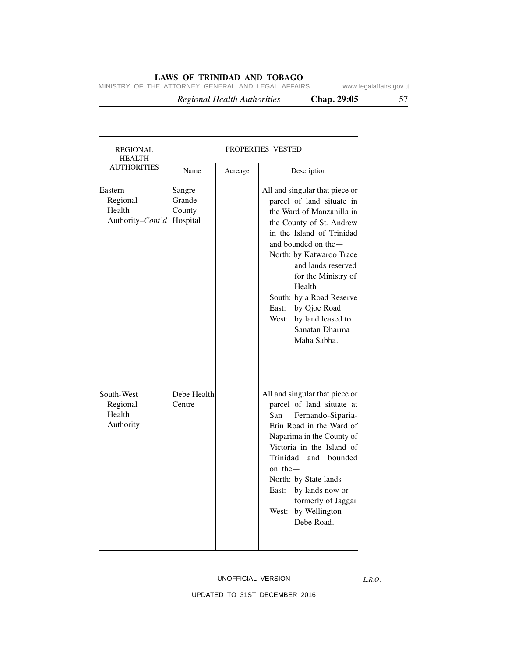MINISTRY OF THE ATTORNEY GENERAL AND LEGAL AFFAIRS www.legalaffairs.gov.tt

 *Regional Health Authorities* **Chap. 29:05** 57

| REGIONAL<br><b>HEALTH</b>                         |                                        |         | PROPERTIES VESTED                                                                                                                                                                                                                                                                                                                                                                |
|---------------------------------------------------|----------------------------------------|---------|----------------------------------------------------------------------------------------------------------------------------------------------------------------------------------------------------------------------------------------------------------------------------------------------------------------------------------------------------------------------------------|
| <b>AUTHORITIES</b>                                | Name                                   | Acreage | Description                                                                                                                                                                                                                                                                                                                                                                      |
| Eastern<br>Regional<br>Health<br>Authority-Cont'd | Sangre<br>Grande<br>County<br>Hospital |         | All and singular that piece or<br>parcel of land situate in<br>the Ward of Manzanilla in<br>the County of St. Andrew<br>in the Island of Trinidad<br>and bounded on the -<br>North: by Katwaroo Trace<br>and lands reserved<br>for the Ministry of<br>Health<br>South: by a Road Reserve<br>by Ojoe Road<br>East:<br>West:<br>by land leased to<br>Sanatan Dharma<br>Maha Sabha. |
| South-West<br>Regional<br>Health<br>Authority     | Debe Health<br>Centre                  |         | All and singular that piece or<br>parcel of land situate at<br>Fernando-Siparia-<br>San<br>Erin Road in the Ward of<br>Naparima in the County of<br>Victoria in the Island of<br>Trinidad<br>bounded<br>and<br>on the $-$<br>North: by State lands<br>East:<br>by lands now or<br>formerly of Jaggai<br>West: by Wellington-<br>Debe Road.                                       |

## UNOFFICIAL VERSION

*L.R.O.*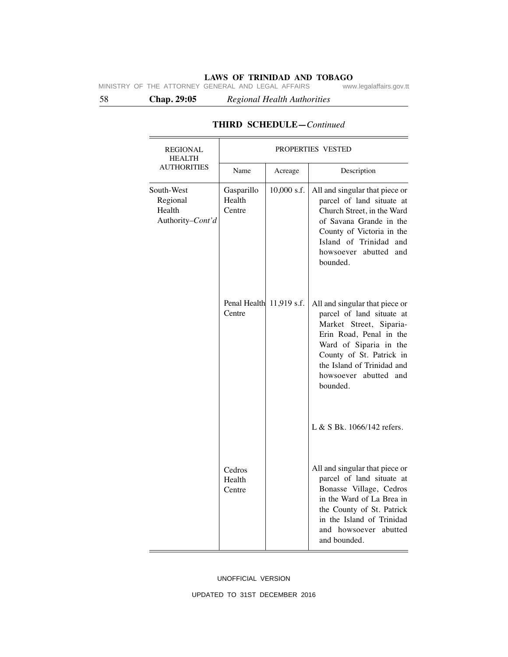58 **Chap. 29:05** *Regional Health Authorities*

| <b>REGIONAL</b><br><b>HEALTH</b><br><b>AUTHORITIES</b> | PROPERTIES VESTED                  |               |                                                                                                                                                                                                                                            |  |
|--------------------------------------------------------|------------------------------------|---------------|--------------------------------------------------------------------------------------------------------------------------------------------------------------------------------------------------------------------------------------------|--|
|                                                        | Name                               | Acreage       | Description                                                                                                                                                                                                                                |  |
| South-West<br>Regional<br>Health<br>Authority-Cont'd   | Gasparillo<br>Health<br>Centre     | $10,000$ s.f. | All and singular that piece or<br>parcel of land situate at<br>Church Street, in the Ward<br>of Savana Grande in the<br>County of Victoria in the<br>Island of Trinidad and<br>abutted<br>howsoever<br>and<br>bounded.                     |  |
|                                                        | Penal Health 11,919 s.f.<br>Centre |               | All and singular that piece or<br>parcel of land situate at<br>Market Street, Siparia-<br>Erin Road, Penal in the<br>Ward of Siparia in the<br>County of St. Patrick in<br>the Island of Trinidad and<br>howsoever abutted and<br>bounded. |  |
|                                                        |                                    |               | L & S Bk. $1066/142$ refers.                                                                                                                                                                                                               |  |
|                                                        | Cedros<br>Health<br>Centre         |               | All and singular that piece or<br>parcel of land situate at<br>Bonasse Village, Cedros<br>in the Ward of La Brea in<br>the County of St. Patrick<br>in the Island of Trinidad<br>and howsoever abutted<br>and bounded.                     |  |

# **THIRD SCHEDULE—***Continued*

UNOFFICIAL VERSION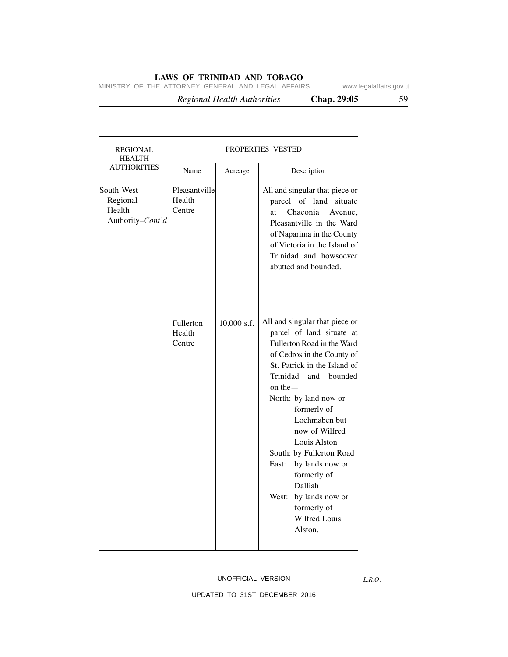MINISTRY OF THE ATTORNEY GENERAL AND LEGAL AFFAIRS www.legalaffairs.gov.tt

 *Regional Health Authorities* **Chap. 29:05** 59

| REGIONAL<br><b>HEALTH</b>                            | PROPERTIES VESTED                                                  |             |                                                                                                                                                                                                                                                                                                                                                                                                                                                                      |  |
|------------------------------------------------------|--------------------------------------------------------------------|-------------|----------------------------------------------------------------------------------------------------------------------------------------------------------------------------------------------------------------------------------------------------------------------------------------------------------------------------------------------------------------------------------------------------------------------------------------------------------------------|--|
| <b>AUTHORITIES</b>                                   | Name                                                               | Acreage     | Description                                                                                                                                                                                                                                                                                                                                                                                                                                                          |  |
| South-West<br>Regional<br>Health<br>Authority-Cont'd | Pleasantville<br>Health<br>Centre<br>Fullerton<br>Health<br>Centre | 10,000 s.f. | All and singular that piece or<br>parcel of land<br>situate<br>Chaconia<br>at<br>Avenue,<br>Pleasantville in the Ward<br>of Naparima in the County<br>of Victoria in the Island of<br>Trinidad and howsoever<br>abutted and bounded.<br>All and singular that piece or<br>parcel of land situate at<br>Fullerton Road in the Ward<br>of Cedros in the County of<br>St. Patrick in the Island of<br>Trinidad<br>and<br>bounded<br>on the $-$<br>North: by land now or |  |
|                                                      |                                                                    |             | formerly of<br>Lochmaben but<br>now of Wilfred<br>Louis Alston<br>South: by Fullerton Road<br>by lands now or<br>East:<br>formerly of<br>Dalliah<br>by lands now or<br>West:<br>formerly of<br>Wilfred Louis<br>Alston.                                                                                                                                                                                                                                              |  |

## UNOFFICIAL VERSION

*L.R.O.*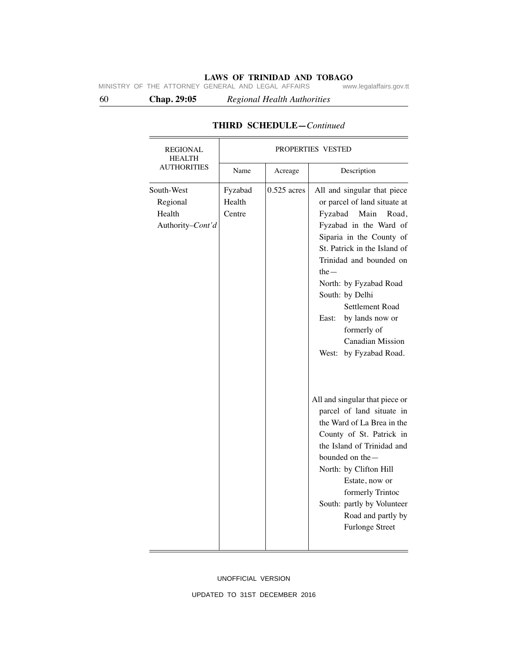60 **Chap. 29:05** *Regional Health Authorities*

| <b>REGIONAL</b><br><b>HEALTH</b>                     | PROPERTIES VESTED           |               |                                                                                                                                                                                                                                                                                                                                                                                                                                                                                                                                                                                                                                                                                                              |  |
|------------------------------------------------------|-----------------------------|---------------|--------------------------------------------------------------------------------------------------------------------------------------------------------------------------------------------------------------------------------------------------------------------------------------------------------------------------------------------------------------------------------------------------------------------------------------------------------------------------------------------------------------------------------------------------------------------------------------------------------------------------------------------------------------------------------------------------------------|--|
| <b>AUTHORITIES</b>                                   | Name                        | Acreage       | Description                                                                                                                                                                                                                                                                                                                                                                                                                                                                                                                                                                                                                                                                                                  |  |
| South-West<br>Regional<br>Health<br>Authority-Cont'd | Fyzabad<br>Health<br>Centre | $0.525$ acres | All and singular that piece<br>or parcel of land situate at<br>Main<br>Fyzabad<br>Road,<br>Fyzabad in the Ward of<br>Siparia in the County of<br>St. Patrick in the Island of<br>Trinidad and bounded on<br>the $-$<br>North: by Fyzabad Road<br>South: by Delhi<br>Settlement Road<br>East:<br>by lands now or<br>formerly of<br><b>Canadian Mission</b><br>West: by Fyzabad Road.<br>All and singular that piece or<br>parcel of land situate in<br>the Ward of La Brea in the<br>County of St. Patrick in<br>the Island of Trinidad and<br>bounded on the —<br>North: by Clifton Hill<br>Estate, now or<br>formerly Trintoc<br>South: partly by Volunteer<br>Road and partly by<br><b>Furlonge Street</b> |  |

# **THIRD SCHEDULE—***Continued*

UNOFFICIAL VERSION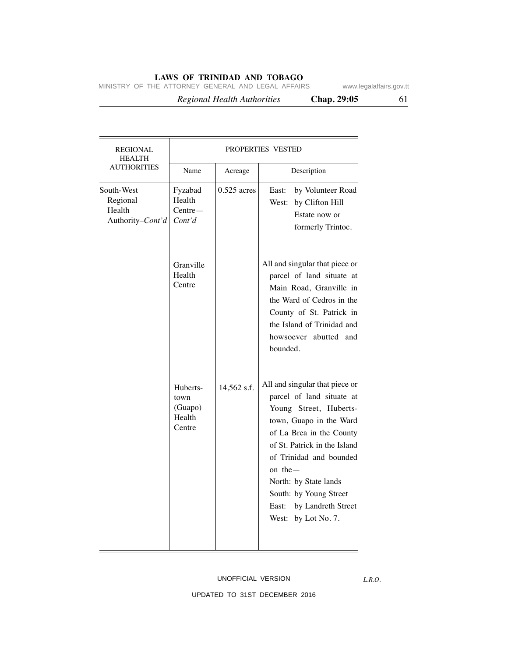MINISTRY OF THE ATTORNEY GENERAL AND LEGAL AFFAIRS www.legalaffairs.gov.tt

 *Regional Health Authorities* **Chap. 29:05** 61

| <b>REGIONAL</b><br><b>HEALTH</b>                     | PROPERTIES VESTED                               |               |                                                                                                                                                                                                                                                                                                                                |  |
|------------------------------------------------------|-------------------------------------------------|---------------|--------------------------------------------------------------------------------------------------------------------------------------------------------------------------------------------------------------------------------------------------------------------------------------------------------------------------------|--|
| <b>AUTHORITIES</b>                                   | Name                                            | Acreage       | Description                                                                                                                                                                                                                                                                                                                    |  |
| South-West<br>Regional<br>Health<br>Authority-Cont'd | Fyzabad<br>Health<br>$Centre-$<br>Cont'd        | $0.525$ acres | by Volunteer Road<br>East:<br>by Clifton Hill<br>West:<br>Estate now or<br>formerly Trintoc.                                                                                                                                                                                                                                   |  |
|                                                      | Granville<br>Health<br>Centre                   |               | All and singular that piece or<br>parcel of land situate at<br>Main Road, Granville in<br>the Ward of Cedros in the<br>County of St. Patrick in<br>the Island of Trinidad and<br>howsoever abutted and<br>bounded.                                                                                                             |  |
|                                                      | Huberts-<br>town<br>(Guapo)<br>Health<br>Centre | 14,562 s.f.   | All and singular that piece or<br>parcel of land situate at<br>Young Street, Huberts-<br>town, Guapo in the Ward<br>of La Brea in the County<br>of St. Patrick in the Island<br>of Trinidad and bounded<br>on the $-$<br>North: by State lands<br>South: by Young Street<br>by Landreth Street<br>East:<br>West: by Lot No. 7. |  |

# UNOFFICIAL VERSION

*L.R.O.*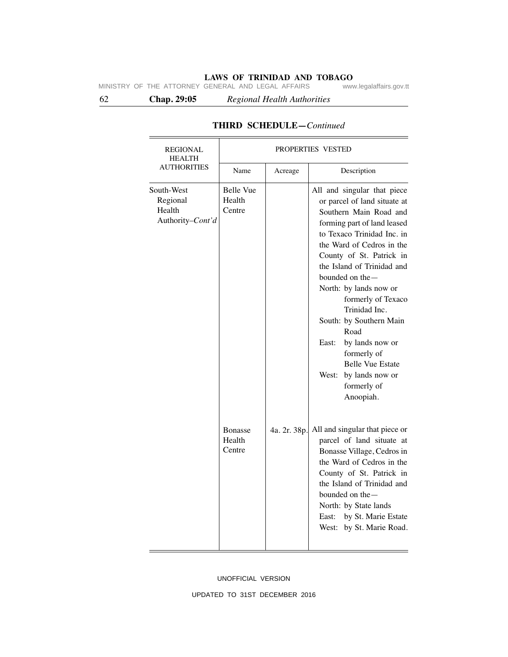62 **Chap. 29:05** *Regional Health Authorities*

| <b>REGIONAL</b><br><b>HEALTH</b>                     | PROPERTIES VESTED                    |              |                                                                                                                                                                                                                                                                                                                                                                                                                                                                                                   |  |
|------------------------------------------------------|--------------------------------------|--------------|---------------------------------------------------------------------------------------------------------------------------------------------------------------------------------------------------------------------------------------------------------------------------------------------------------------------------------------------------------------------------------------------------------------------------------------------------------------------------------------------------|--|
| <b>AUTHORITIES</b>                                   | Name                                 | Acreage      | Description                                                                                                                                                                                                                                                                                                                                                                                                                                                                                       |  |
| South-West<br>Regional<br>Health<br>Authority-Cont'd | <b>Belle Vue</b><br>Health<br>Centre |              | All and singular that piece<br>or parcel of land situate at<br>Southern Main Road and<br>forming part of land leased<br>to Texaco Trinidad Inc. in<br>the Ward of Cedros in the<br>County of St. Patrick in<br>the Island of Trinidad and<br>bounded on the $-$<br>North: by lands now or<br>formerly of Texaco<br>Trinidad Inc.<br>South: by Southern Main<br>Road<br>East:<br>by lands now or<br>formerly of<br><b>Belle Vue Estate</b><br>West:<br>by lands now or<br>formerly of<br>Anoopiah. |  |
|                                                      | <b>Bonasse</b><br>Health<br>Centre   | 4a. 2r. 38p. | All and singular that piece or<br>parcel of land situate at<br>Bonasse Village, Cedros in<br>the Ward of Cedros in the<br>County of St. Patrick in<br>the Island of Trinidad and<br>bounded on the -<br>North: by State lands<br>by St. Marie Estate<br>East:<br>West: by St. Marie Road.                                                                                                                                                                                                         |  |

# **THIRD SCHEDULE—***Continued*

### UNOFFICIAL VERSION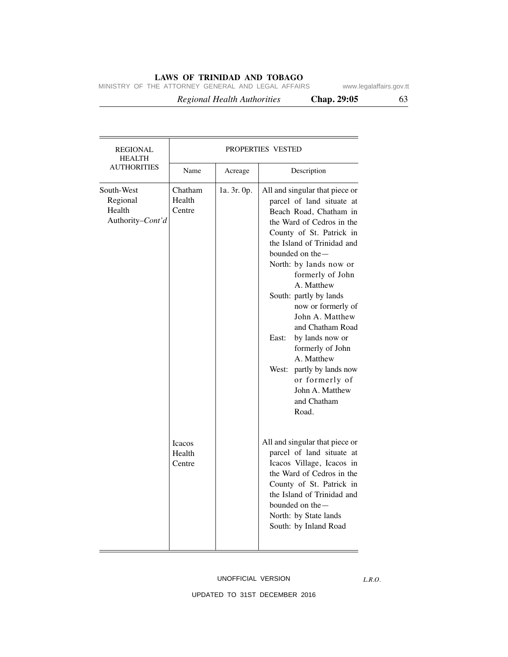MINISTRY OF THE ATTORNEY GENERAL AND LEGAL AFFAIRS www.legalaffairs.gov.tt

 *Regional Health Authorities* **Chap. 29:05** 63

| <b>REGIONAL</b><br><b>HEALTH</b><br><b>AUTHORITIES</b> | PROPERTIES VESTED                 |             |                                                                                                                                                                                                                                                                                                                                                                                                                                                                                                            |  |
|--------------------------------------------------------|-----------------------------------|-------------|------------------------------------------------------------------------------------------------------------------------------------------------------------------------------------------------------------------------------------------------------------------------------------------------------------------------------------------------------------------------------------------------------------------------------------------------------------------------------------------------------------|--|
|                                                        | Name                              | Acreage     | Description                                                                                                                                                                                                                                                                                                                                                                                                                                                                                                |  |
| South-West<br>Regional<br>Health<br>Authority-Cont'd   | Chatham<br>Health<br>Centre       | 1a. 3r. 0p. | All and singular that piece or<br>parcel of land situate at<br>Beach Road, Chatham in<br>the Ward of Cedros in the<br>County of St. Patrick in<br>the Island of Trinidad and<br>bounded on the-<br>North: by lands now or<br>formerly of John<br>A. Matthew<br>South: partly by lands<br>now or formerly of<br>John A. Matthew<br>and Chatham Road<br>by lands now or<br>East:<br>formerly of John<br>A. Matthew<br>West: partly by lands now<br>or formerly of<br>John A. Matthew<br>and Chatham<br>Road. |  |
|                                                        | <b>Icacos</b><br>Health<br>Centre |             | All and singular that piece or<br>parcel of land situate at<br>Icacos Village, Icacos in<br>the Ward of Cedros in the<br>County of St. Patrick in<br>the Island of Trinidad and<br>bounded on the-<br>North: by State lands<br>South: by Inland Road                                                                                                                                                                                                                                                       |  |

*L.R.O.*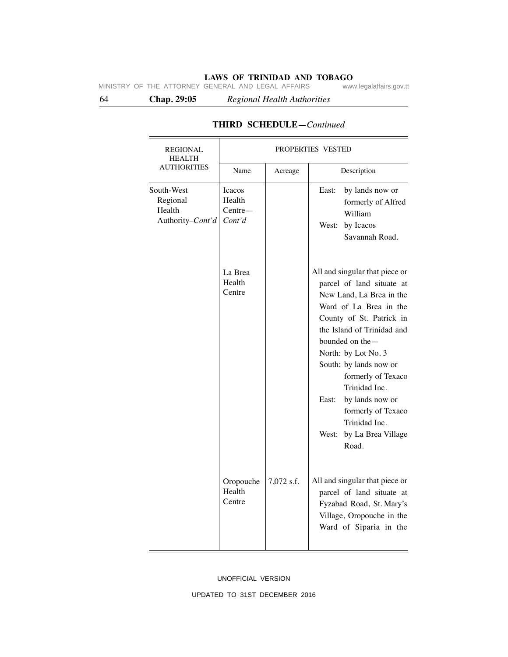64 **Chap. 29:05** *Regional Health Authorities*

| <b>REGIONAL</b><br><b>HEALTH</b>                     | PROPERTIES VESTED                              |            |                                                                                                                                                                                                                                                                                                                                                                                                   |  |
|------------------------------------------------------|------------------------------------------------|------------|---------------------------------------------------------------------------------------------------------------------------------------------------------------------------------------------------------------------------------------------------------------------------------------------------------------------------------------------------------------------------------------------------|--|
| <b>AUTHORITIES</b>                                   | Name                                           | Acreage    | Description                                                                                                                                                                                                                                                                                                                                                                                       |  |
| South-West<br>Regional<br>Health<br>Authority-Cont'd | <b>Icacos</b><br>Health<br>$Centre-$<br>Cont'd |            | by lands now or<br>East:<br>formerly of Alfred<br>William<br>by Icacos<br>West:<br>Savannah Road.                                                                                                                                                                                                                                                                                                 |  |
|                                                      | La Brea<br>Health<br>Centre                    |            | All and singular that piece or<br>parcel of land situate at<br>New Land, La Brea in the<br>Ward of La Brea in the<br>County of St. Patrick in<br>the Island of Trinidad and<br>bounded on the-<br>North: by Lot No. 3<br>South: by lands now or<br>formerly of Texaco<br>Trinidad Inc.<br>East:<br>by lands now or<br>formerly of Texaco<br>Trinidad Inc.<br>by La Brea Village<br>West:<br>Road. |  |
|                                                      | Oropouche<br>Health<br>Centre                  | 7,072 s.f. | All and singular that piece or<br>parcel of land situate at<br>Fyzabad Road, St. Mary's<br>Village, Oropouche in the<br>Ward of Siparia in the                                                                                                                                                                                                                                                    |  |

# **THIRD SCHEDULE—***Continued*

## UNOFFICIAL VERSION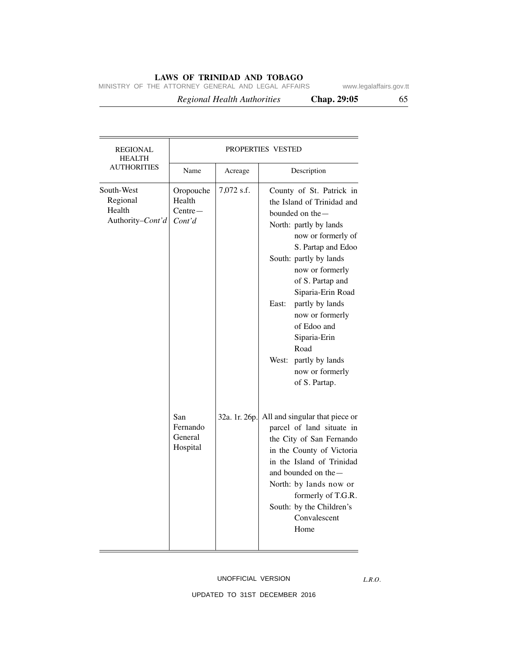MINISTRY OF THE ATTORNEY GENERAL AND LEGAL AFFAIRS www.legalaffairs.gov.tt

 *Regional Health Authorities* **Chap. 29:05** 65

| <b>REGIONAL</b><br><b>HEALTH</b>                     | PROPERTIES VESTED                          |               |                                                                                                                                                                                                                                                                                                                                                                                          |  |
|------------------------------------------------------|--------------------------------------------|---------------|------------------------------------------------------------------------------------------------------------------------------------------------------------------------------------------------------------------------------------------------------------------------------------------------------------------------------------------------------------------------------------------|--|
| <b>AUTHORITIES</b>                                   | Name                                       | Acreage       | Description                                                                                                                                                                                                                                                                                                                                                                              |  |
| South-West<br>Regional<br>Health<br>Authority-Cont'd | Oropouche<br>Health<br>$Centre-$<br>Cont'd | 7,072 s.f.    | County of St. Patrick in<br>the Island of Trinidad and<br>bounded on the-<br>North: partly by lands<br>now or formerly of<br>S. Partap and Edoo<br>South: partly by lands<br>now or formerly<br>of S. Partap and<br>Siparia-Erin Road<br>East:<br>partly by lands<br>now or formerly<br>of Edoo and<br>Siparia-Erin<br>Road<br>West: partly by lands<br>now or formerly<br>of S. Partap. |  |
|                                                      | San<br>Fernando<br>General<br>Hospital     | 32a. 1r. 26p. | All and singular that piece or<br>parcel of land situate in<br>the City of San Fernando<br>in the County of Victoria<br>in the Island of Trinidad<br>and bounded on the $-$<br>North: by lands now or<br>formerly of T.G.R.<br>South: by the Children's<br>Convalescent<br>Home                                                                                                          |  |

## UNOFFICIAL VERSION

*L.R.O.*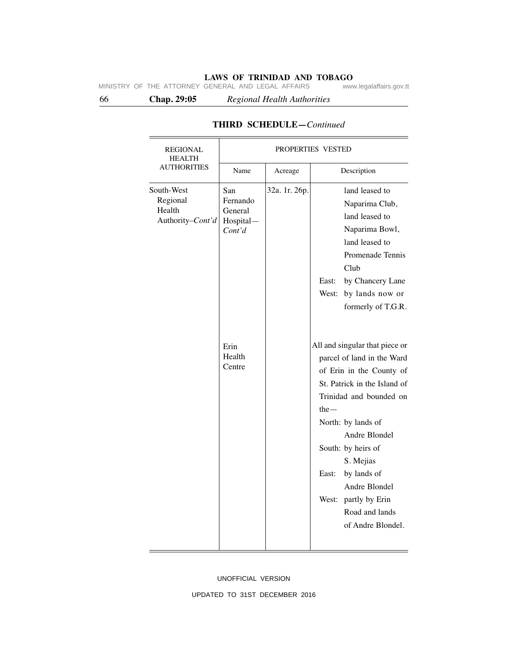66 **Chap. 29:05** *Regional Health Authorities*

| <b>REGIONAL</b><br><b>HEALTH</b>                     | PROPERTIES VESTED                                                             |               |                                                                                                                                                                                                                                                                                                                                                                                                                                                                                                                                                       |
|------------------------------------------------------|-------------------------------------------------------------------------------|---------------|-------------------------------------------------------------------------------------------------------------------------------------------------------------------------------------------------------------------------------------------------------------------------------------------------------------------------------------------------------------------------------------------------------------------------------------------------------------------------------------------------------------------------------------------------------|
| <b>AUTHORITIES</b>                                   | Name                                                                          | Acreage       | Description                                                                                                                                                                                                                                                                                                                                                                                                                                                                                                                                           |
| South-West<br>Regional<br>Health<br>Authority-Cont'd | San<br>Fernando<br>General<br>Hospital-<br>Cont'd<br>Erin<br>Health<br>Centre | 32a. 1r. 26p. | land leased to<br>Naparima Club,<br>land leased to<br>Naparima Bowl,<br>land leased to<br>Promenade Tennis<br>Club<br>by Chancery Lane<br>East:<br>by lands now or<br>West:<br>formerly of T.G.R.<br>All and singular that piece or<br>parcel of land in the Ward<br>of Erin in the County of<br>St. Patrick in the Island of<br>Trinidad and bounded on<br>the $-$<br>North: by lands of<br>Andre Blondel<br>South: by heirs of<br>S. Mejias<br>by lands of<br>East:<br>Andre Blondel<br>West: partly by Erin<br>Road and lands<br>of Andre Blondel. |

# **THIRD SCHEDULE—***Continued*

UNOFFICIAL VERSION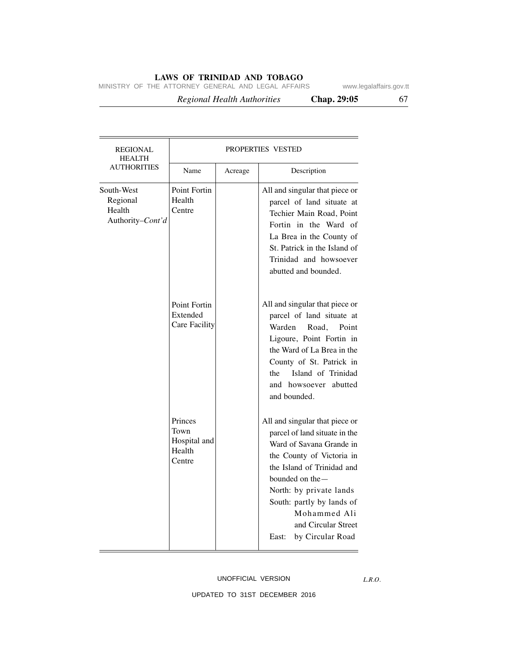MINISTRY OF THE ATTORNEY GENERAL AND LEGAL AFFAIRS www.legalaffairs.gov.tt

 *Regional Health Authorities* **Chap. 29:05** 67

| REGIONAL<br><b>HEALTH</b><br><b>AUTHORITIES</b>      | PROPERTIES VESTED                                   |         |                                                                                                                                                                                                                                                                                                          |  |
|------------------------------------------------------|-----------------------------------------------------|---------|----------------------------------------------------------------------------------------------------------------------------------------------------------------------------------------------------------------------------------------------------------------------------------------------------------|--|
|                                                      | Name                                                | Acreage | Description                                                                                                                                                                                                                                                                                              |  |
| South-West<br>Regional<br>Health<br>Authority-Cont'd | Point Fortin<br>Health<br>Centre                    |         | All and singular that piece or<br>parcel of land situate at<br>Techier Main Road, Point<br>Fortin in the Ward of<br>La Brea in the County of<br>St. Patrick in the Island of<br>Trinidad and howsoever<br>abutted and bounded.                                                                           |  |
|                                                      | Point Fortin<br>Extended<br>Care Facility           |         | All and singular that piece or<br>parcel of land situate at<br>Warden<br>Road.<br>Point<br>Ligoure, Point Fortin in<br>the Ward of La Brea in the<br>County of St. Patrick in<br>Island of Trinidad<br>the<br>and howsoever abutted<br>and bounded.                                                      |  |
|                                                      | Princes<br>Town<br>Hospital and<br>Health<br>Centre |         | All and singular that piece or<br>parcel of land situate in the<br>Ward of Savana Grande in<br>the County of Victoria in<br>the Island of Trinidad and<br>bounded on the $-$<br>North: by private lands<br>South: partly by lands of<br>Mohammed Ali<br>and Circular Street<br>by Circular Road<br>East: |  |

### UNOFFICIAL VERSION

*L.R.O.*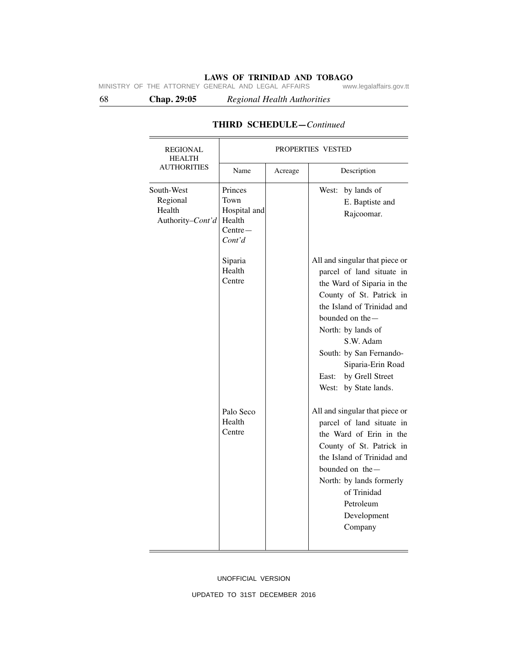68 **Chap. 29:05** *Regional Health Authorities*

South-West Regional Health Authority*–Cont'd* Name Acreage Bescription REGIONAL PROPERTIES VESTED HEALTH AUTHORITIES Palo Seco Health **Centre** Siparia Health Centre Princes Town Hospital and Health Centre— *Cont'd* West: by lands of E. Baptiste and Rajcoomar. All and singular that piece or parcel of land situate in the Ward of Siparia in the County of St. Patrick in the Island of Trinidad and bounded on the— North: by lands of S.W. Adam South: by San Fernando-Siparia-Erin Road East: by Grell Street West: by State lands. All and singular that piece or parcel of land situate in the Ward of Erin in the County of St. Patrick in the Island of Trinidad and bounded on the— North: by lands formerly of Trinidad Petroleum Development Company

# **THIRD SCHEDULE—***Continued*

UNOFFICIAL VERSION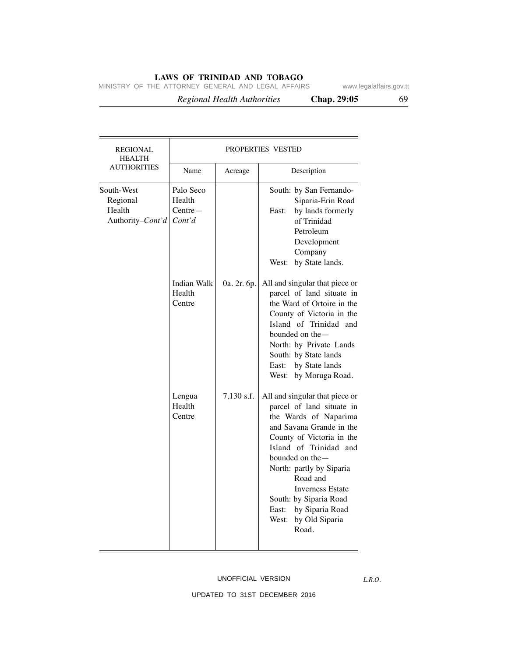MINISTRY OF THE ATTORNEY GENERAL AND LEGAL AFFAIRS www.legalaffairs.gov.tt

 *Regional Health Authorities* **Chap. 29:05** 69

| <b>REGIONAL</b><br><b>HEALTH</b><br><b>AUTHORITIES</b>       | PROPERTIES VESTED                          |             |                                                                                                                                                                                                                                                                                                                                                      |  |
|--------------------------------------------------------------|--------------------------------------------|-------------|------------------------------------------------------------------------------------------------------------------------------------------------------------------------------------------------------------------------------------------------------------------------------------------------------------------------------------------------------|--|
|                                                              | Name                                       | Acreage     | Description                                                                                                                                                                                                                                                                                                                                          |  |
| South-West<br>Regional<br>Health<br>Authority– <i>Cont'd</i> | Palo Seco<br>Health<br>$Centre-$<br>Cont'd |             | South: by San Fernando-<br>Siparia-Erin Road<br>by lands formerly<br>East:<br>of Trinidad<br>Petroleum<br>Development<br>Company<br>West: by State lands.                                                                                                                                                                                            |  |
|                                                              | <b>Indian Walk</b><br>Health<br>Centre     | 0a. 2r. 6p. | All and singular that piece or<br>parcel of land situate in<br>the Ward of Ortoire in the<br>County of Victoria in the<br>Island of Trinidad and<br>bounded on the —<br>North: by Private Lands<br>South: by State lands<br>East: by State lands<br>West: by Moruga Road.                                                                            |  |
|                                                              | Lengua<br>Health<br>Centre                 | 7,130 s.f.  | All and singular that piece or<br>parcel of land situate in<br>the Wards of Naparima<br>and Savana Grande in the<br>County of Victoria in the<br>Island of Trinidad and<br>bounded on the-<br>North: partly by Siparia<br>Road and<br><b>Inverness Estate</b><br>South: by Siparia Road<br>by Siparia Road<br>East:<br>West: by Old Siparia<br>Road. |  |

## UNOFFICIAL VERSION

*L.R.O.*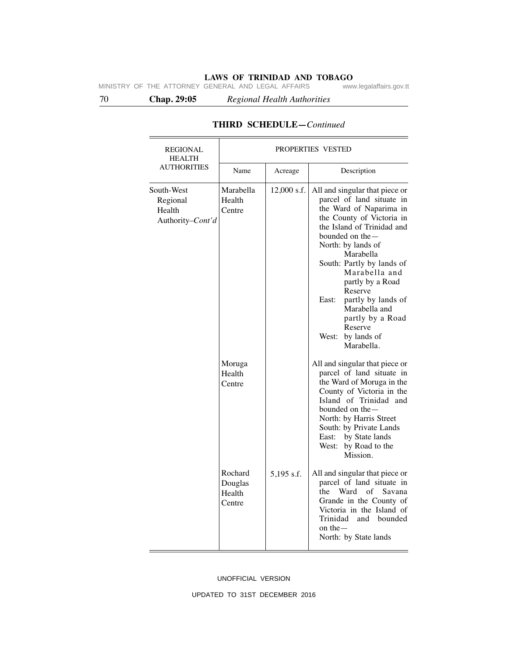70 **Chap. 29:05** *Regional Health Authorities*

| <b>REGIONAL</b><br><b>HEALTH</b>                     | PROPERTIES VESTED                      |             |                                                                                                                                                                                                                                                                                                                                                                                                              |  |
|------------------------------------------------------|----------------------------------------|-------------|--------------------------------------------------------------------------------------------------------------------------------------------------------------------------------------------------------------------------------------------------------------------------------------------------------------------------------------------------------------------------------------------------------------|--|
| <b>AUTHORITIES</b>                                   | Name                                   | Acreage     | Description                                                                                                                                                                                                                                                                                                                                                                                                  |  |
| South-West<br>Regional<br>Health<br>Authority-Cont'd | Marabella<br>Health<br>Centre          | 12,000 s.f. | All and singular that piece or<br>parcel of land situate in<br>the Ward of Naparima in<br>the County of Victoria in<br>the Island of Trinidad and<br>bounded on the $-$<br>North: by lands of<br>Marabella<br>South: Partly by lands of<br>Marabella and<br>partly by a Road<br>Reserve<br>partly by lands of<br>East:<br>Marabella and<br>partly by a Road<br>Reserve<br>by lands of<br>West:<br>Marabella. |  |
|                                                      | Moruga<br>Health<br>Centre             |             | All and singular that piece or<br>parcel of land situate in<br>the Ward of Moruga in the<br>County of Victoria in the<br>Island of Trinidad and<br>bounded on the-<br>North: by Harris Street<br>South: by Private Lands<br>by State lands<br>East:<br>West: by Road to the<br>Mission.                                                                                                                      |  |
|                                                      | Rochard<br>Douglas<br>Health<br>Centre | 5,195 s.f.  | All and singular that piece or<br>parcel of land situate in<br>Ward<br>$\sigma$ f<br>Savana<br>the<br>Grande in the County of<br>Victoria in the Island of<br>Trinidad<br>and<br>bounded<br>on the $-$<br>North: by State lands                                                                                                                                                                              |  |

# **THIRD SCHEDULE—***Continued*

### UNOFFICIAL VERSION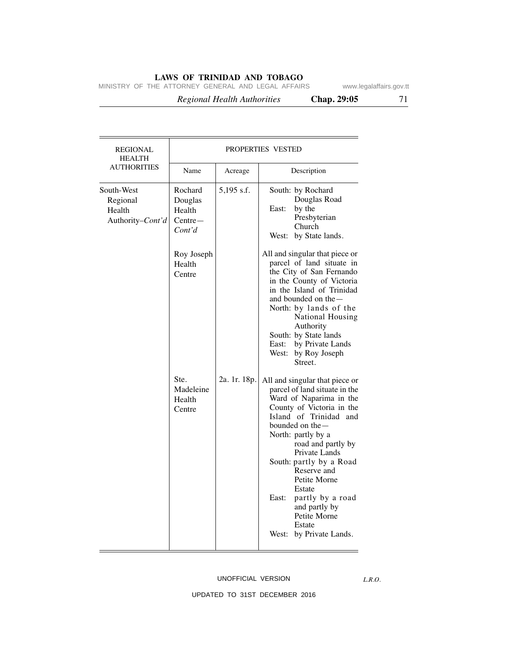MINISTRY OF THE ATTORNEY GENERAL AND LEGAL AFFAIRS www.legalaffairs.gov.tt

 *Regional Health Authorities* **Chap. 29:05** 71

| REGIONAL<br><b>HEALTH</b><br>AUTHORITIES             | <b>PROPERTIES VESTED</b>                            |              |                                                                                                                                                                                                                                                                                                                                                                                                              |  |
|------------------------------------------------------|-----------------------------------------------------|--------------|--------------------------------------------------------------------------------------------------------------------------------------------------------------------------------------------------------------------------------------------------------------------------------------------------------------------------------------------------------------------------------------------------------------|--|
|                                                      | Name                                                | Acreage      | Description                                                                                                                                                                                                                                                                                                                                                                                                  |  |
| South-West<br>Regional<br>Health<br>Authority-Cont'd | Rochard<br>Douglas<br>Health<br>$Centre-$<br>Cont'd | 5,195 s.f.   | South: by Rochard<br>Douglas Road<br>by the<br>East:<br>Presbyterian<br>Church<br>West: by State lands.                                                                                                                                                                                                                                                                                                      |  |
|                                                      | Roy Joseph<br>Health<br>Centre                      |              | All and singular that piece or<br>parcel of land situate in<br>the City of San Fernando<br>in the County of Victoria<br>in the Island of Trinidad<br>and bounded on the -<br>North: by lands of the<br>National Housing<br>Authority<br>South: by State lands<br>by Private Lands<br>East:<br>by Roy Joseph<br>West:<br>Street.                                                                              |  |
|                                                      | Ste.<br>Madeleine<br>Health<br>Centre               | 2a. 1r. 18p. | All and singular that piece or<br>parcel of land situate in the<br>Ward of Naparima in the<br>County of Victoria in the<br>Island of Trinidad and<br>bounded on the —<br>North: partly by a<br>road and partly by<br>Private Lands<br>South: partly by a Road<br>Reserve and<br>Petite Morne<br>Estate<br>East:<br>partly by a road<br>and partly by<br>Petite Morne<br>Estate<br>West:<br>by Private Lands. |  |

## UNOFFICIAL VERSION

*L.R.O.*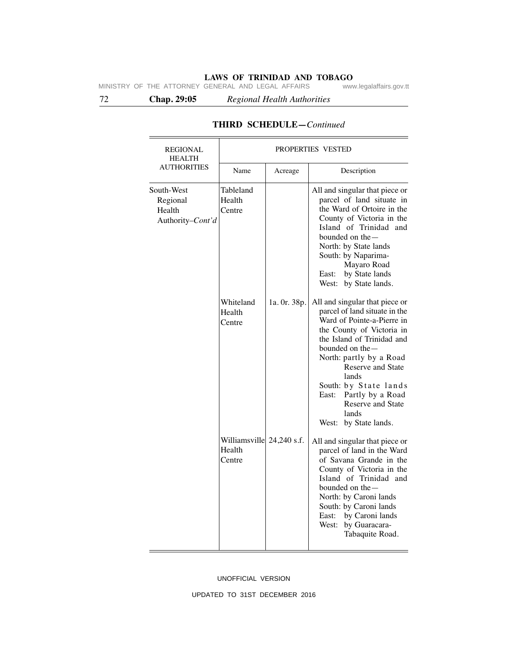72 **Chap. 29:05** *Regional Health Authorities*

| <b>REGIONAL</b><br><b>HEALTH</b><br><b>AUTHORITIES</b> | PROPERTIES VESTED                             |              |                                                                                                                                                                                                                                                                                                                                                        |  |
|--------------------------------------------------------|-----------------------------------------------|--------------|--------------------------------------------------------------------------------------------------------------------------------------------------------------------------------------------------------------------------------------------------------------------------------------------------------------------------------------------------------|--|
|                                                        | Name                                          | Acreage      | Description                                                                                                                                                                                                                                                                                                                                            |  |
| South-West<br>Regional<br>Health<br>Authority-Cont'd   | Tableland<br>Health<br>Centre                 |              | All and singular that piece or<br>parcel of land situate in<br>the Ward of Ortoire in the<br>County of Victoria in the<br>Island of Trinidad and<br>bounded on the -<br>North: by State lands<br>South: by Naparima-<br>Mayaro Road<br>by State lands<br>East:<br>West: by State lands.                                                                |  |
|                                                        | Whiteland<br>Health<br>Centre                 | 1a. 0r. 38p. | All and singular that piece or<br>parcel of land situate in the<br>Ward of Pointe-a-Pierre in<br>the County of Victoria in<br>the Island of Trinidad and<br>bounded on the —<br>North: partly by a Road<br>Reserve and State<br>lands<br>South: by State lands<br>East: Partly by a Road<br><b>Reserve and State</b><br>lands<br>West: by State lands. |  |
|                                                        | Williamsville 24,240 s.f.<br>Health<br>Centre |              | All and singular that piece or<br>parcel of land in the Ward<br>of Savana Grande in the<br>County of Victoria in the<br>Island of Trinidad and<br>bounded on the —<br>North: by Caroni lands<br>South: by Caroni lands<br>by Caroni lands<br>East:<br>West:<br>by Guaracara-<br>Tabaquite Road.                                                        |  |

# **THIRD SCHEDULE—***Continued*

UNOFFICIAL VERSION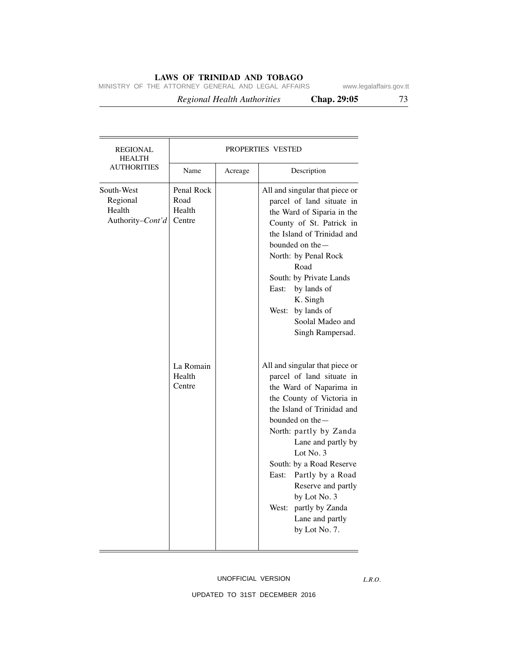MINISTRY OF THE ATTORNEY GENERAL AND LEGAL AFFAIRS www.legalaffairs.gov.tt

 *Regional Health Authorities* **Chap. 29:05** 73

| REGIONAL<br><b>HEALTH</b>                            |                                        |         | <b>PROPERTIES VESTED</b>                                                                                                                                                                                                                                                                                                                                                                           |
|------------------------------------------------------|----------------------------------------|---------|----------------------------------------------------------------------------------------------------------------------------------------------------------------------------------------------------------------------------------------------------------------------------------------------------------------------------------------------------------------------------------------------------|
| <b>AUTHORITIES</b>                                   | Name                                   | Acreage | Description                                                                                                                                                                                                                                                                                                                                                                                        |
| South-West<br>Regional<br>Health<br>Authority-Cont'd | Penal Rock<br>Road<br>Health<br>Centre |         | All and singular that piece or<br>parcel of land situate in<br>the Ward of Siparia in the<br>County of St. Patrick in<br>the Island of Trinidad and<br>bounded on the $-$<br>North: by Penal Rock<br>Road<br>South: by Private Lands<br>by lands of<br>East:<br>K. Singh<br>by lands of<br>West:<br>Soolal Madeo and<br>Singh Rampersad.                                                           |
|                                                      | La Romain<br>Health<br>Centre          |         | All and singular that piece or<br>parcel of land situate in<br>the Ward of Naparima in<br>the County of Victoria in<br>the Island of Trinidad and<br>bounded on the-<br>North: partly by Zanda<br>Lane and partly by<br>Lot No. $3$<br>South: by a Road Reserve<br>Partly by a Road<br>East:<br>Reserve and partly<br>by Lot No. 3<br>partly by Zanda<br>West:<br>Lane and partly<br>by Lot No. 7. |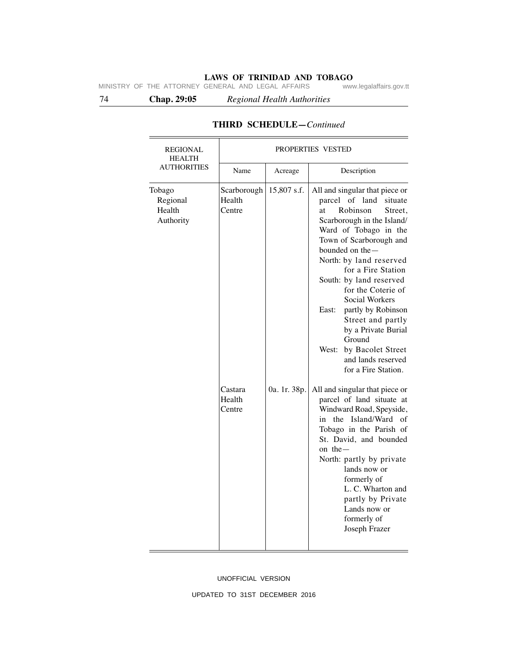74 **Chap. 29:05** *Regional Health Authorities*

| <b>REGIONAL</b><br><b>HEALTH</b><br><b>AUTHORITIES</b> | PROPERTIES VESTED               |              |                                                                                                                                                                                                                                                                                                                                                                                                                                                                                   |
|--------------------------------------------------------|---------------------------------|--------------|-----------------------------------------------------------------------------------------------------------------------------------------------------------------------------------------------------------------------------------------------------------------------------------------------------------------------------------------------------------------------------------------------------------------------------------------------------------------------------------|
|                                                        | Name                            | Acreage      | Description                                                                                                                                                                                                                                                                                                                                                                                                                                                                       |
| Tobago<br>Regional<br>Health<br>Authority              | Scarborough<br>Health<br>Centre | 15,807 s.f.  | All and singular that piece or<br>of land<br>parcel<br>situate<br>Robinson<br>Street,<br>at<br>Scarborough in the Island/<br>Ward of Tobago in the<br>Town of Scarborough and<br>bounded on the-<br>North: by land reserved<br>for a Fire Station<br>South: by land reserved<br>for the Coterie of<br>Social Workers<br>partly by Robinson<br>East:<br>Street and partly<br>by a Private Burial<br>Ground<br>West: by Bacolet Street<br>and lands reserved<br>for a Fire Station. |
|                                                        | Castara<br>Health<br>Centre     | 0a. 1r. 38p. | All and singular that piece or<br>parcel of land situate at<br>Windward Road, Speyside,<br>the Island/Ward of<br>in<br>Tobago in the Parish of<br>St. David, and bounded<br>on the $-$<br>North: partly by private<br>lands now or<br>formerly of<br>L. C. Wharton and<br>partly by Private<br>Lands now or<br>formerly of<br>Joseph Frazer                                                                                                                                       |

# **THIRD SCHEDULE—***Continued*

UNOFFICIAL VERSION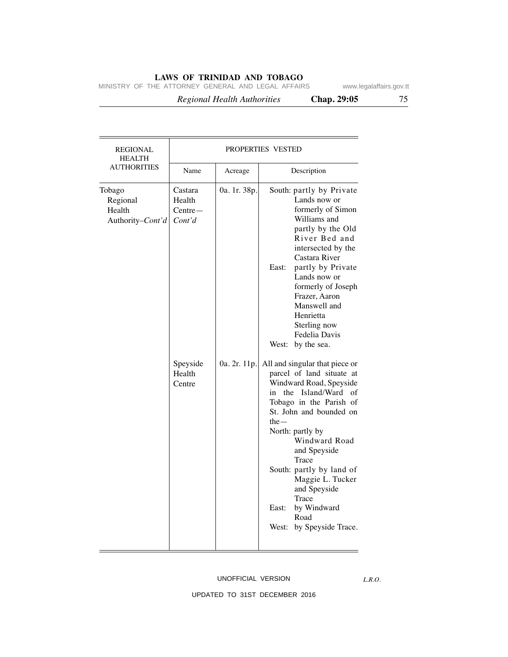MINISTRY OF THE ATTORNEY GENERAL AND LEGAL AFFAIRS www.legalaffairs.gov.tt

 *Regional Health Authorities* **Chap. 29:05** 75

| <b>REGIONAL</b><br><b>HEALTH</b>                 | PROPERTIES VESTED                        |              |                                                                                                                                                                                                                                                                                                                                                                                    |
|--------------------------------------------------|------------------------------------------|--------------|------------------------------------------------------------------------------------------------------------------------------------------------------------------------------------------------------------------------------------------------------------------------------------------------------------------------------------------------------------------------------------|
| <b>AUTHORITIES</b>                               | Name                                     | Acreage      | Description                                                                                                                                                                                                                                                                                                                                                                        |
| Tobago<br>Regional<br>Health<br>Authority-Cont'd | Castara<br>Health<br>$Centre-$<br>Cont'd | 0a. 1r. 38p. | South: partly by Private<br>Lands now or<br>formerly of Simon<br>Williams and<br>partly by the Old<br>River Bed and<br>intersected by the<br>Castara River<br>partly by Private<br>East:<br>Lands now or<br>formerly of Joseph<br>Frazer, Aaron<br>Manswell and<br>Henrietta<br>Sterling now<br>Fedelia Davis<br>West: by the sea.                                                 |
|                                                  | Speyside<br>Health<br>Centre             | 0a. 2r. 11p. | All and singular that piece or<br>parcel of land situate at<br>Windward Road, Speyside<br>in the Island/Ward of<br>Tobago in the Parish of<br>St. John and bounded on<br>$the-$<br>North: partly by<br>Windward Road<br>and Speyside<br>Trace<br>South: partly by land of<br>Maggie L. Tucker<br>and Speyside<br>Trace<br>by Windward<br>East:<br>Road<br>West: by Speyside Trace. |

#### UNOFFICIAL VERSION

*L.R.O.*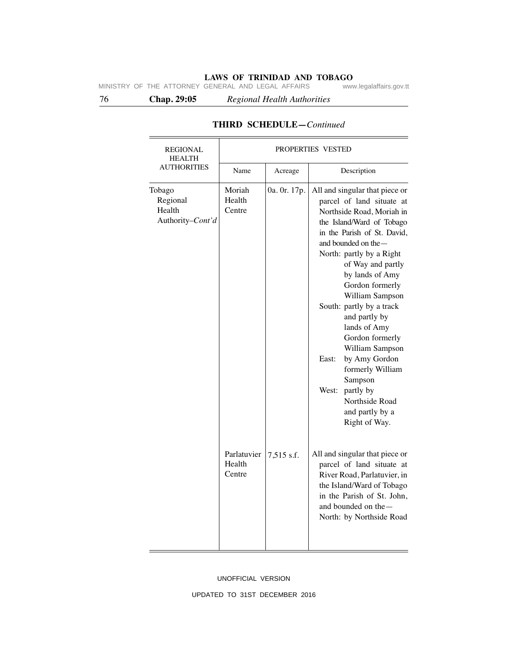76 **Chap. 29:05** *Regional Health Authorities*

| <b>REGIONAL</b><br><b>HEALTH</b>                 | PROPERTIES VESTED               |              |                                                                                                                                                                                                                                                                                                                                                                                                                                                                                                                                |
|--------------------------------------------------|---------------------------------|--------------|--------------------------------------------------------------------------------------------------------------------------------------------------------------------------------------------------------------------------------------------------------------------------------------------------------------------------------------------------------------------------------------------------------------------------------------------------------------------------------------------------------------------------------|
| <b>AUTHORITIES</b>                               | Name                            | Acreage      | Description                                                                                                                                                                                                                                                                                                                                                                                                                                                                                                                    |
| Tobago<br>Regional<br>Health<br>Authority-Cont'd | Moriah<br>Health<br>Centre      | 0a. 0r. 17p. | All and singular that piece or<br>parcel of land situate at<br>Northside Road, Moriah in<br>the Island/Ward of Tobago<br>in the Parish of St. David,<br>and bounded on the -<br>North: partly by a Right<br>of Way and partly<br>by lands of Amy<br>Gordon formerly<br>William Sampson<br>South: partly by a track<br>and partly by<br>lands of Amy<br>Gordon formerly<br>William Sampson<br>East:<br>by Amy Gordon<br>formerly William<br>Sampson<br>West:<br>partly by<br>Northside Road<br>and partly by a<br>Right of Way. |
|                                                  | Parlatuvier<br>Health<br>Centre | 7,515 s.f.   | All and singular that piece or<br>parcel of land situate at<br>River Road, Parlatuvier, in<br>the Island/Ward of Tobago<br>in the Parish of St. John,<br>and bounded on the-<br>North: by Northside Road                                                                                                                                                                                                                                                                                                                       |

# **THIRD SCHEDULE—***Continued*

#### UNOFFICIAL VERSION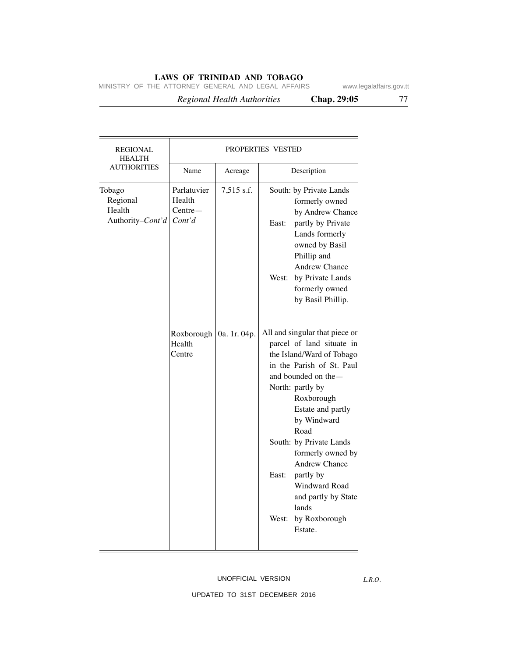MINISTRY OF THE ATTORNEY GENERAL AND LEGAL AFFAIRS www.legalaffairs.gov.tt

 *Regional Health Authorities* **Chap. 29:05** 77

| <b>REGIONAL</b><br><b>HEALTH</b>                 | PROPERTIES VESTED                            |              |                |                                                                                                                                                                                                                                                                                                                                                                                               |
|--------------------------------------------------|----------------------------------------------|--------------|----------------|-----------------------------------------------------------------------------------------------------------------------------------------------------------------------------------------------------------------------------------------------------------------------------------------------------------------------------------------------------------------------------------------------|
| <b>AUTHORITIES</b>                               | Name                                         | Acreage      |                | Description                                                                                                                                                                                                                                                                                                                                                                                   |
| Tobago<br>Regional<br>Health<br>Authority-Cont'd | Parlatuvier<br>Health<br>$Centre-$<br>Cont'd | 7,515 s.f.   | East:          | South: by Private Lands<br>formerly owned<br>by Andrew Chance<br>partly by Private<br>Lands formerly<br>owned by Basil<br>Phillip and<br>Andrew Chance<br>West: by Private Lands<br>formerly owned<br>by Basil Phillip.                                                                                                                                                                       |
|                                                  | Roxborough<br>Health<br>Centre               | 0a. 1r. 04p. | East:<br>West: | All and singular that piece or<br>parcel of land situate in<br>the Island/Ward of Tobago<br>in the Parish of St. Paul<br>and bounded on the -<br>North: partly by<br>Roxborough<br>Estate and partly<br>by Windward<br>Road<br>South: by Private Lands<br>formerly owned by<br><b>Andrew Chance</b><br>partly by<br>Windward Road<br>and partly by State<br>lands<br>by Roxborough<br>Estate. |

#### UNOFFICIAL VERSION

*L.R.O.*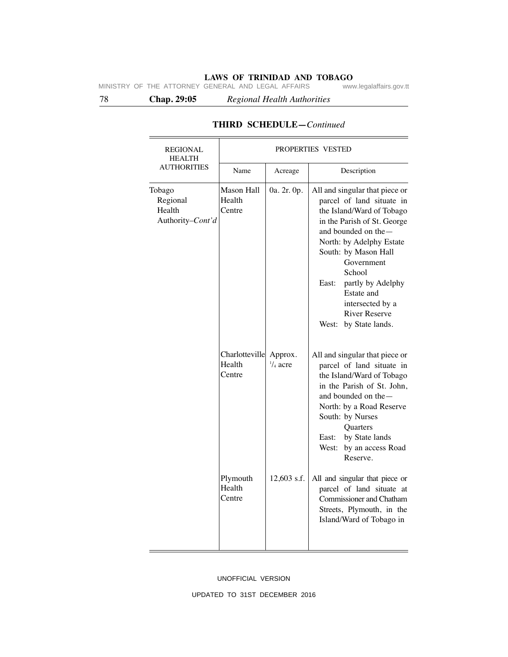78 **Chap. 29:05** *Regional Health Authorities*

| <b>REGIONAL</b><br><b>HEALTH</b>                 | PROPERTIES VESTED                  |                               |                                                                                                                                                                                                                                                                                                                                                |
|--------------------------------------------------|------------------------------------|-------------------------------|------------------------------------------------------------------------------------------------------------------------------------------------------------------------------------------------------------------------------------------------------------------------------------------------------------------------------------------------|
| <b>AUTHORITIES</b>                               | Name                               | Acreage                       | Description                                                                                                                                                                                                                                                                                                                                    |
| Tobago<br>Regional<br>Health<br>Authority-Cont'd | Mason Hall<br>Health<br>Centre     | 0a. 2r. 0p.                   | All and singular that piece or<br>parcel of land situate in<br>the Island/Ward of Tobago<br>in the Parish of St. George<br>and bounded on the-<br>North: by Adelphy Estate<br>South: by Mason Hall<br>Government<br>School<br>partly by Adelphy<br>East:<br>Estate and<br>intersected by a<br><b>River Reserve</b><br>by State lands.<br>West: |
|                                                  | Charlotteville<br>Health<br>Centre | Approx.<br>$\frac{1}{4}$ acre | All and singular that piece or<br>parcel of land situate in<br>the Island/Ward of Tobago<br>in the Parish of St. John,<br>and bounded on the $-$<br>North: by a Road Reserve<br>South: by Nurses<br>Quarters<br>by State lands<br>East:<br>West: by an access Road<br>Reserve.                                                                 |
|                                                  | Plymouth<br>Health<br>Centre       | 12,603 s.f.                   | All and singular that piece or<br>parcel of land situate at<br>Commissioner and Chatham<br>Streets, Plymouth, in the<br>Island/Ward of Tobago in                                                                                                                                                                                               |

# **THIRD SCHEDULE—***Continued*

#### UNOFFICIAL VERSION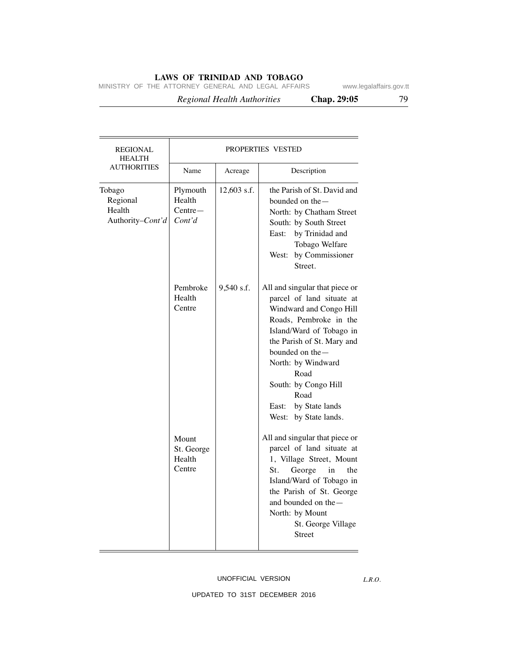MINISTRY OF THE ATTORNEY GENERAL AND LEGAL AFFAIRS www.legalaffairs.gov.tt

 *Regional Health Authorities* **Chap. 29:05** 79

| REGIONAL<br><b>HEALTH</b>                        | <b>PROPERTIES VESTED</b>                  |             |                                                                                                                                                                                                                                                                                                                  |
|--------------------------------------------------|-------------------------------------------|-------------|------------------------------------------------------------------------------------------------------------------------------------------------------------------------------------------------------------------------------------------------------------------------------------------------------------------|
| <b>AUTHORITIES</b>                               | Name                                      | Acreage     | Description                                                                                                                                                                                                                                                                                                      |
| Tobago<br>Regional<br>Health<br>Authority-Cont'd | Plymouth<br>Health<br>$Centre-$<br>Cont'd | 12,603 s.f. | the Parish of St. David and<br>bounded on the -<br>North: by Chatham Street<br>South: by South Street<br>by Trinidad and<br>East:<br>Tobago Welfare<br>by Commissioner<br>West:<br>Street.                                                                                                                       |
|                                                  | Pembroke<br>Health<br>Centre              | 9,540 s.f.  | All and singular that piece or<br>parcel of land situate at<br>Windward and Congo Hill<br>Roads, Pembroke in the<br>Island/Ward of Tobago in<br>the Parish of St. Mary and<br>bounded on the -<br>North: by Windward<br>Road<br>South: by Congo Hill<br>Road<br>East:<br>by State lands<br>West: by State lands. |
|                                                  | Mount<br>St. George<br>Health<br>Centre   |             | All and singular that piece or<br>parcel of land situate at<br>1, Village Street, Mount<br>St.<br>the<br>George<br>in<br>Island/Ward of Tobago in<br>the Parish of St. George<br>and bounded on the-<br>North: by Mount<br>St. George Village<br><b>Street</b>                                                   |

#### UNOFFICIAL VERSION

*L.R.O.*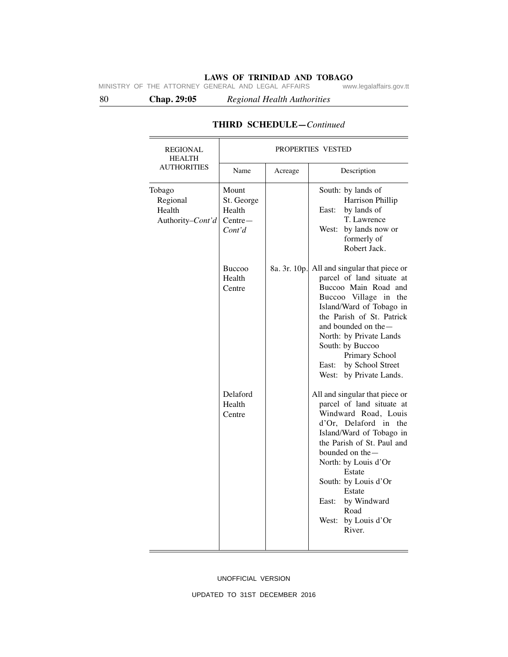80 **Chap. 29:05** *Regional Health Authorities*

| <b>REGIONAL</b><br><b>HEALTH</b>                 | <b>PROPERTIES VESTED</b>                             |              |                                                                                                                                                                                                                                                                                                                                |
|--------------------------------------------------|------------------------------------------------------|--------------|--------------------------------------------------------------------------------------------------------------------------------------------------------------------------------------------------------------------------------------------------------------------------------------------------------------------------------|
| <b>AUTHORITIES</b>                               | Name                                                 | Acreage      | Description                                                                                                                                                                                                                                                                                                                    |
| Tobago<br>Regional<br>Health<br>Authority-Cont'd | Mount<br>St. George<br>Health<br>$Centre-$<br>Cont'd |              | South: by lands of<br>Harrison Phillip<br>by lands of<br>East:<br>T. Lawrence<br>by lands now or<br>West:<br>formerly of<br>Robert Jack.                                                                                                                                                                                       |
|                                                  | <b>Buccoo</b><br>Health<br>Centre                    | 8a. 3r. 10p. | All and singular that piece or<br>parcel of land situate at<br>Buccoo Main Road and<br>Buccoo Village in the<br>Island/Ward of Tobago in<br>the Parish of St. Patrick<br>and bounded on the-<br>North: by Private Lands<br>South: by Buccoo<br>Primary School<br>by School Street<br>East:<br>West: by Private Lands.          |
|                                                  | Delaford<br>Health<br>Centre                         |              | All and singular that piece or<br>parcel of land situate at<br>Windward Road, Louis<br>d'Or, Delaford in the<br>Island/Ward of Tobago in<br>the Parish of St. Paul and<br>bounded on the-<br>North: by Louis d'Or<br>Estate<br>South: by Louis d'Or<br>Estate<br>by Windward<br>East:<br>Road<br>West: by Louis d'Or<br>River. |

## **THIRD SCHEDULE—***Continued*

UNOFFICIAL VERSION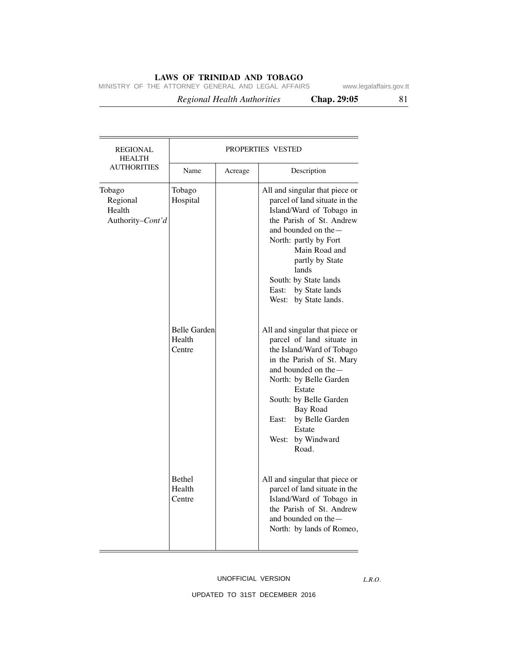MINISTRY OF THE ATTORNEY GENERAL AND LEGAL AFFAIRS www.legalaffairs.gov.tt

 *Regional Health Authorities* **Chap. 29:05** 81

| <b>REGIONAL</b><br><b>HEALTH</b>                 | PROPERTIES VESTED                       |         |                                                                                                                                                                                                                                                                                                         |
|--------------------------------------------------|-----------------------------------------|---------|---------------------------------------------------------------------------------------------------------------------------------------------------------------------------------------------------------------------------------------------------------------------------------------------------------|
| <b>AUTHORITIES</b>                               | Name                                    | Acreage | Description                                                                                                                                                                                                                                                                                             |
| Tobago<br>Regional<br>Health<br>Authority-Cont'd | Tobago<br>Hospital                      |         | All and singular that piece or<br>parcel of land situate in the<br>Island/Ward of Tobago in<br>the Parish of St. Andrew<br>and bounded on the -<br>North: partly by Fort<br>Main Road and<br>partly by State<br>lands<br>South: by State lands<br>by State lands<br>East:<br>West: by State lands.      |
|                                                  | <b>Belle Garden</b><br>Health<br>Centre |         | All and singular that piece or<br>parcel of land situate in<br>the Island/Ward of Tobago<br>in the Parish of St. Mary<br>and bounded on the $-$<br>North: by Belle Garden<br>Estate<br>South: by Belle Garden<br><b>Bay Road</b><br>by Belle Garden<br>East:<br>Estate<br>by Windward<br>West:<br>Road. |
|                                                  | <b>Bethel</b><br>Health<br>Centre       |         | All and singular that piece or<br>parcel of land situate in the<br>Island/Ward of Tobago in<br>the Parish of St. Andrew<br>and bounded on the —<br>North: by lands of Romeo,                                                                                                                            |

### UNOFFICIAL VERSION

*L.R.O.*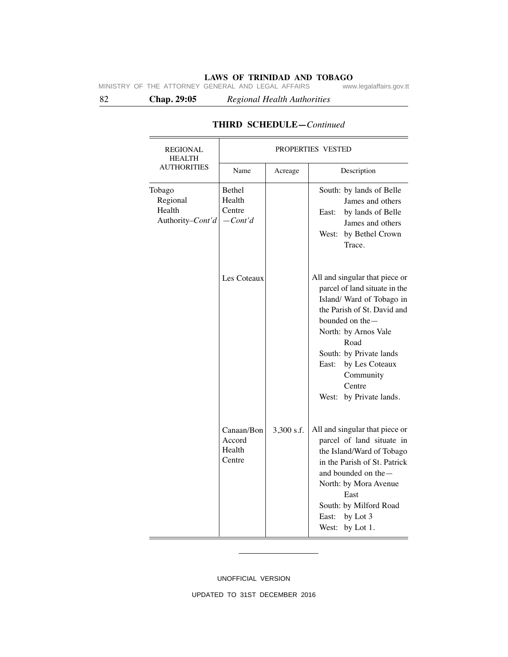82 **Chap. 29:05** *Regional Health Authorities*

| <b>REGIONAL</b><br><b>HEALTH</b>                 | PROPERTIES VESTED                        |            |                                                                                                                                                                                                                                                                                            |
|--------------------------------------------------|------------------------------------------|------------|--------------------------------------------------------------------------------------------------------------------------------------------------------------------------------------------------------------------------------------------------------------------------------------------|
| <b>AUTHORITIES</b>                               | Name                                     | Acreage    | Description                                                                                                                                                                                                                                                                                |
| Tobago<br>Regional<br>Health<br>Authority-Cont'd | Bethel<br>Health<br>Centre<br>$-Cont'd$  |            | South: by lands of Belle<br>James and others<br>by lands of Belle<br>East:<br>James and others<br>West: by Bethel Crown<br>Trace.                                                                                                                                                          |
|                                                  | Les Coteaux                              |            | All and singular that piece or<br>parcel of land situate in the<br>Island/ Ward of Tobago in<br>the Parish of St. David and<br>bounded on the -<br>North: by Arnos Vale<br>Road<br>South: by Private lands<br>by Les Coteaux<br>East:<br>Community<br>Centre<br>West:<br>by Private lands. |
|                                                  | Canaan/Bon<br>Accord<br>Health<br>Centre | 3,300 s.f. | All and singular that piece or<br>parcel of land situate in<br>the Island/Ward of Tobago<br>in the Parish of St. Patrick<br>and bounded on the-<br>North: by Mora Avenue<br>East<br>South: by Milford Road<br>by Lot 3<br>East:<br>West:<br>by Lot 1.                                      |

# **THIRD SCHEDULE—***Continued*

UNOFFICIAL VERSION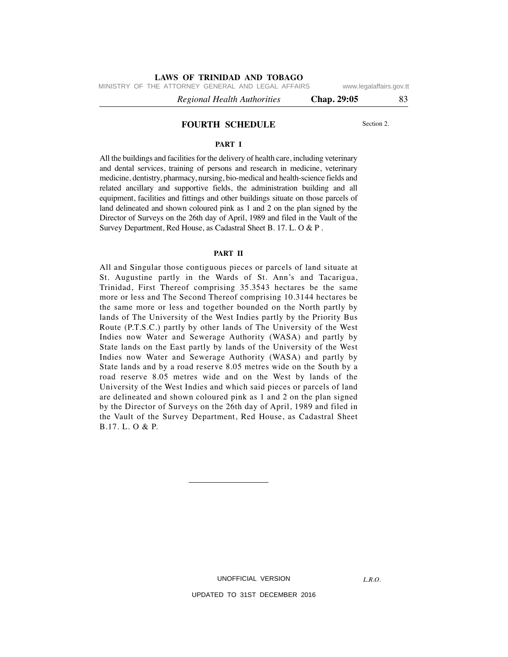MINISTRY OF THE ATTORNEY GENERAL AND LEGAL AFFAIRS www.legalaffairs.gov.tt

 *Regional Health Authorities* **Chap. 29:05** 83

#### **FOURTH SCHEDULE** Section 2.

#### **PART I**

All the buildings and facilities for the delivery of health care, including veterinary and dental services, training of persons and research in medicine, veterinary medicine, dentistry, pharmacy, nursing, bio-medical and health-science fields and related ancillary and supportive fields, the administration building and all equipment, facilities and fittings and other buildings situate on those parcels of land delineated and shown coloured pink as 1 and 2 on the plan signed by the Director of Surveys on the 26th day of April, 1989 and filed in the Vault of the Survey Department, Red House, as Cadastral Sheet B. 17. L. O & P .

#### **PART II**

All and Singular those contiguous pieces or parcels of land situate at St. Augustine partly in the Wards of St. Ann's and Tacarigua, Trinidad, First Thereof comprising 35.3543 hectares be the same more or less and The Second Thereof comprising 10.3144 hectares be the same more or less and together bounded on the North partly by lands of The University of the West Indies partly by the Priority Bus Route (P.T.S.C.) partly by other lands of The University of the West Indies now Water and Sewerage Authority (WASA) and partly by State lands on the East partly by lands of the University of the West Indies now Water and Sewerage Authority (WASA) and partly by State lands and by a road reserve 8.05 metres wide on the South by a road reserve 8.05 metres wide and on the West by lands of the University of the West Indies and which said pieces or parcels of land are delineated and shown coloured pink as 1 and 2 on the plan signed by the Director of Surveys on the 26th day of April, 1989 and filed in the Vault of the Survey Department, Red House, as Cadastral Sheet B.17. L. O & P.

UNOFFICIAL VERSION

UPDATED TO 31ST DECEMBER 2016

*L.R.O.*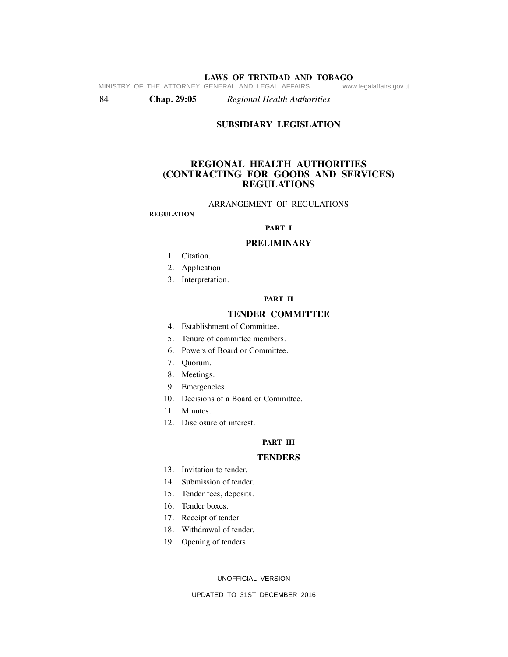84 **Chap. 29:05** *Regional Health Authorities*

### **SUBSIDIARY LEGISLATION**

## **REGIONAL HEALTH AUTHORITIES (CONTRACTING FOR GOODS AND SERVICES) REGULATIONS**

#### ARRANGEMENT OF REGULATIONS

#### **REGULATION**

#### **PART I**

#### **PRELIMINARY**

- 1. Citation.
- 2. Application.
- 3. Interpretation.

#### **PART II**

## **TENDER COMMITTEE**

- 4. Establishment of Committee.
- 5. Tenure of committee members.
- 6. Powers of Board or Committee.
- 7. Quorum.
- 8. Meetings.
- 9. Emergencies.
- 10. Decisions of a Board or Committee.
- 11. Minutes.
- 12. Disclosure of interest.

#### **PART III**

#### **TENDERS**

- 13. Invitation to tender.
- 14. Submission of tender.
- 15. Tender fees, deposits.
- 16. Tender boxes.
- 17. Receipt of tender.
- 18. Withdrawal of tender.
- 19. Opening of tenders.

UNOFFICIAL VERSION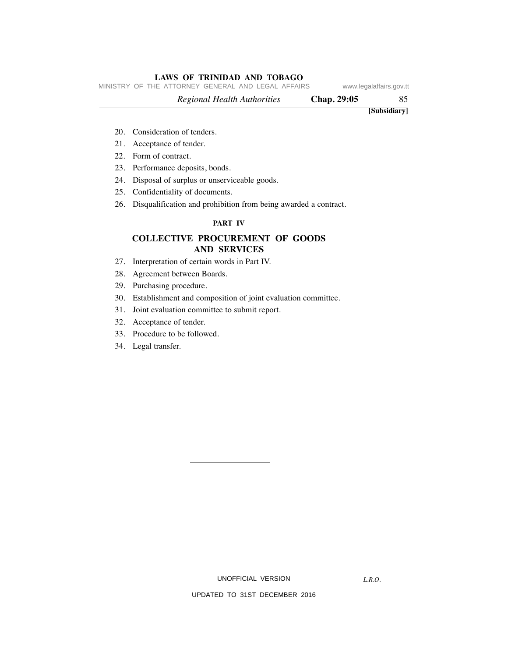MINISTRY OF THE ATTORNEY GENERAL AND LEGAL AFFAIRS www.legalaffairs.gov.tt

 *Regional Health Authorities* **Chap. 29:05** 85  **[Subsidiary]**

- 20. Consideration of tenders.
- 21. Acceptance of tender.
- 22. Form of contract.
- 23. Performance deposits, bonds.
- 24. Disposal of surplus or unserviceable goods.
- 25. Confidentiality of documents.
- 26. Disqualification and prohibition from being awarded a contract.

### **PART IV**

## **COLLECTIVE PROCUREMENT OF GOODS AND SERVICES**

- 27. Interpretation of certain words in Part IV.
- 28. Agreement between Boards.
- 29. Purchasing procedure.
- 30. Establishment and composition of joint evaluation committee.
- 31. Joint evaluation committee to submit report.
- 32. Acceptance of tender.
- 33. Procedure to be followed.
- 34. Legal transfer.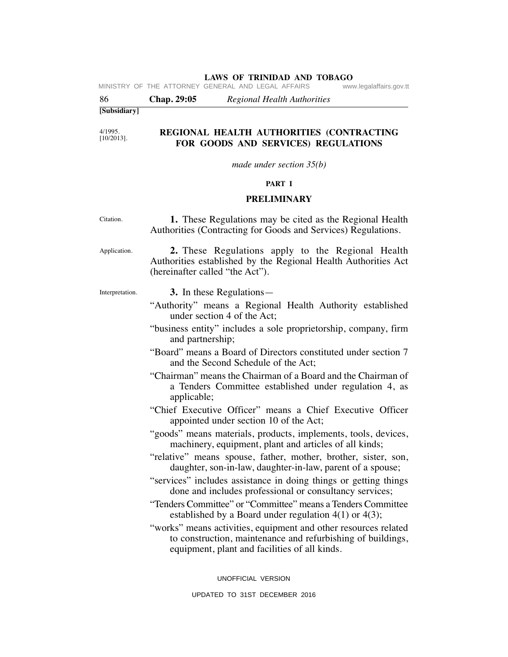| 86                       | Chap. 29:05<br><b>Regional Health Authorities</b>                                                                                                                               |
|--------------------------|---------------------------------------------------------------------------------------------------------------------------------------------------------------------------------|
| [Subsidiary]             |                                                                                                                                                                                 |
|                          |                                                                                                                                                                                 |
| 4/1995.<br>$[10/2013]$ . | REGIONAL HEALTH AUTHORITIES (CONTRACTING<br>FOR GOODS AND SERVICES) REGULATIONS                                                                                                 |
|                          | made under section $35(b)$                                                                                                                                                      |
|                          | PART I                                                                                                                                                                          |
|                          | <b>PRELIMINARY</b>                                                                                                                                                              |
| Citation.                | 1. These Regulations may be cited as the Regional Health<br>Authorities (Contracting for Goods and Services) Regulations.                                                       |
| Application.             | 2. These Regulations apply to the Regional Health<br>Authorities established by the Regional Health Authorities Act<br>(hereinafter called "the Act").                          |
| Interpretation.          | 3. In these Regulations—<br>"Authority" means a Regional Health Authority established<br>under section 4 of the Act;                                                            |
|                          | "business entity" includes a sole proprietorship, company, firm<br>and partnership;                                                                                             |
|                          | "Board" means a Board of Directors constituted under section 7<br>and the Second Schedule of the Act;                                                                           |
|                          | "Chairman" means the Chairman of a Board and the Chairman of<br>a Tenders Committee established under regulation 4, as<br>applicable;                                           |
|                          | "Chief Executive Officer" means a Chief Executive Officer<br>appointed under section 10 of the Act;                                                                             |
|                          | "goods" means materials, products, implements, tools, devices,<br>machinery, equipment, plant and articles of all kinds;                                                        |
|                          | "relative" means spouse, father, mother, brother, sister, son,<br>daughter, son-in-law, daughter-in-law, parent of a spouse;                                                    |
|                          | "services" includes assistance in doing things or getting things<br>done and includes professional or consultancy services;                                                     |
|                          | "Tenders Committee" or "Committee" means a Tenders Committee<br>established by a Board under regulation $4(1)$ or $4(3)$ ;                                                      |
|                          | "works" means activities, equipment and other resources related<br>to construction, maintenance and refurbishing of buildings,<br>equipment, plant and facilities of all kinds. |
|                          | UNOFFICIAL VERSION                                                                                                                                                              |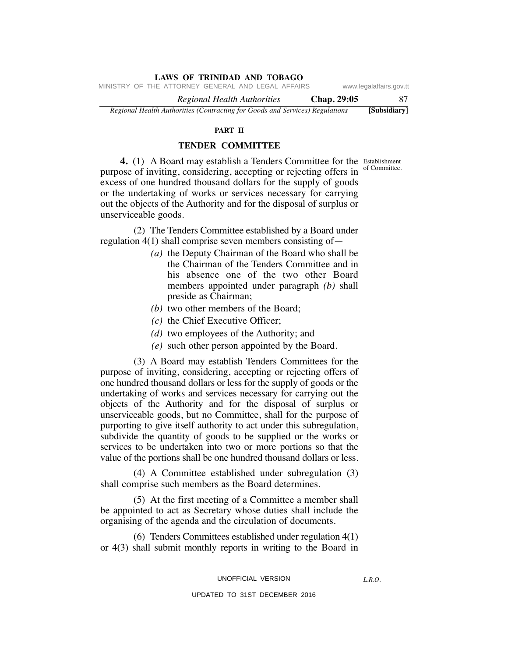MINISTRY OF THE ATTORNEY GENERAL AND LEGAL AFFAIRS www.legalaffairs.gov.tt

 *Regional Health Authorities* **Chap. 29:05** 87 *Regional Health Authorities (Contracting for Goods and Services) Regulations* **[Subsidiary]**

#### **PART II**

## **TENDER COMMITTEE**

of Committee.

**4.** (1) A Board may establish a Tenders Committee for the Establishment purpose of inviting, considering, accepting or rejecting offers in excess of one hundred thousand dollars for the supply of goods or the undertaking of works or services necessary for carrying out the objects of the Authority and for the disposal of surplus or unserviceable goods.

 (2) The Tenders Committee established by a Board under regulation 4(1) shall comprise seven members consisting of—

- *(a)* the Deputy Chairman of the Board who shall be the Chairman of the Tenders Committee and in his absence one of the two other Board members appointed under paragraph *(b)* shall preside as Chairman;
- *(b)* two other members of the Board;
- *(c)* the Chief Executive Officer;
- *(d)* two employees of the Authority; and
- *(e)* such other person appointed by the Board.

 (3) A Board may establish Tenders Committees for the purpose of inviting, considering, accepting or rejecting offers of one hundred thousand dollars or less for the supply of goods or the undertaking of works and services necessary for carrying out the objects of the Authority and for the disposal of surplus or unserviceable goods, but no Committee, shall for the purpose of purporting to give itself authority to act under this subregulation, subdivide the quantity of goods to be supplied or the works or services to be undertaken into two or more portions so that the value of the portions shall be one hundred thousand dollars or less.

 (4) A Committee established under subregulation (3) shall comprise such members as the Board determines.

 (5) At the first meeting of a Committee a member shall be appointed to act as Secretary whose duties shall include the organising of the agenda and the circulation of documents.

 (6) Tenders Committees established under regulation 4(1) or 4(3) shall submit monthly reports in writing to the Board in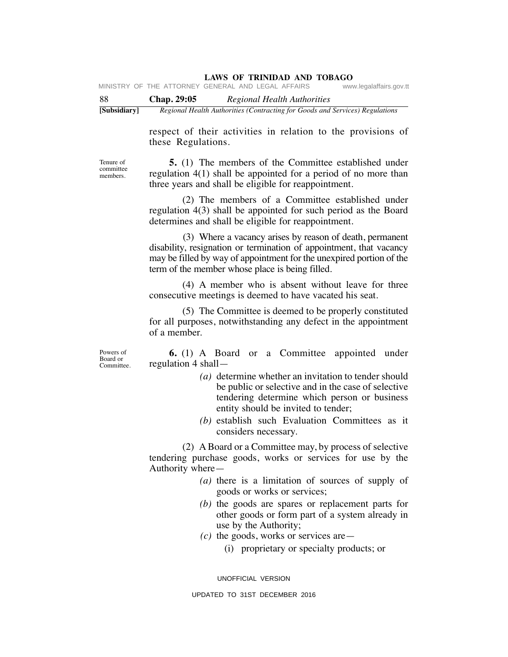| -88          | Chap. 29:05 | Regional Health Authorities                                                  |
|--------------|-------------|------------------------------------------------------------------------------|
| [Subsidiary] |             | Regional Health Authorities (Contracting for Goods and Services) Regulations |

respect of their activities in relation to the provisions of these Regulations.

Tenure of committee members.

 **5.** (1) The members of the Committee established under regulation 4(1) shall be appointed for a period of no more than three years and shall be eligible for reappointment.

 (2) The members of a Committee established under regulation 4(3) shall be appointed for such period as the Board determines and shall be eligible for reappointment.

 (3) Where a vacancy arises by reason of death, permanent disability, resignation or termination of appointment, that vacancy may be filled by way of appointment for the unexpired portion of the term of the member whose place is being filled.

 (4) A member who is absent without leave for three consecutive meetings is deemed to have vacated his seat.

 (5) The Committee is deemed to be properly constituted for all purposes, notwithstanding any defect in the appointment of a member.

Powers of Board or Committee.

 **6.** (1) A Board or a Committee appointed under regulation 4 shall—

- *(a)* determine whether an invitation to tender should be public or selective and in the case of selective tendering determine which person or business entity should be invited to tender;
- *(b)* establish such Evaluation Committees as it considers necessary.

 (2) A Board or a Committee may, by process of selective tendering purchase goods, works or services for use by the Authority where—

- *(a)* there is a limitation of sources of supply of goods or works or services;
- *(b)* the goods are spares or replacement parts for other goods or form part of a system already in use by the Authority;
- $(c)$  the goods, works or services are—
	- (i) proprietary or specialty products; or

UNOFFICIAL VERSION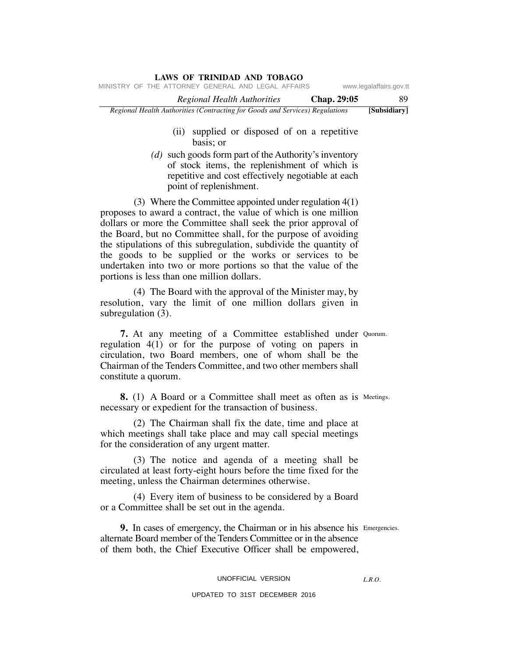# *Regional Health Authorities* **Chap. 29:05** 89 **LAWS OF TRINIDAD AND TOBAGO** *Regional Health Authorities (Contracting for Goods and Services) Regulations* **[Subsidiary]** MINISTRY OF THE ATTORNEY GENERAL AND LEGAL AFFAIRS www.legalaffairs.gov.tt

- (ii) supplied or disposed of on a repetitive basis; or
- *(d)* such goods form part of the Authority's inventory of stock items, the replenishment of which is repetitive and cost effectively negotiable at each point of replenishment.

 (3) Where the Committee appointed under regulation 4(1) proposes to award a contract, the value of which is one million dollars or more the Committee shall seek the prior approval of the Board, but no Committee shall, for the purpose of avoiding the stipulations of this subregulation, subdivide the quantity of the goods to be supplied or the works or services to be undertaken into two or more portions so that the value of the portions is less than one million dollars.

 (4) The Board with the approval of the Minister may, by resolution, vary the limit of one million dollars given in subregulation (3).

**7.** At any meeting of a Committee established under Quorum. regulation 4(1) or for the purpose of voting on papers in circulation, two Board members, one of whom shall be the Chairman of the Tenders Committee, and two other members shall constitute a quorum.

**8.** (1) A Board or a Committee shall meet as often as is Meetings. necessary or expedient for the transaction of business.

 (2) The Chairman shall fix the date, time and place at which meetings shall take place and may call special meetings for the consideration of any urgent matter.

 (3) The notice and agenda of a meeting shall be circulated at least forty-eight hours before the time fixed for the meeting, unless the Chairman determines otherwise.

 (4) Every item of business to be considered by a Board or a Committee shall be set out in the agenda.

**9.** In cases of emergency, the Chairman or in his absence his Emergencies. alternate Board member of the Tenders Committee or in the absence of them both, the Chief Executive Officer shall be empowered,

### UNOFFICIAL VERSION

#### UPDATED TO 31ST DECEMBER 2016

*L.R.O.*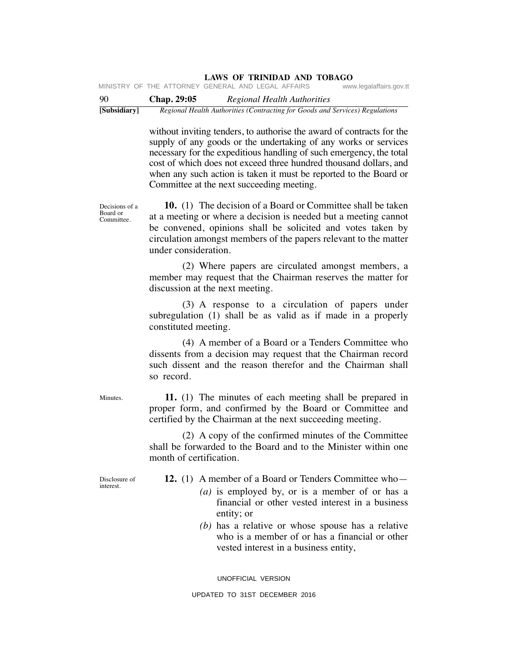**LAWS OF TRINIDAD AND TOBAGO** MINISTRY OF THE ATTORNEY GENERAL AND LEGAL AFFAIRS

90 **Chap. 29:05** *Regional Health Authorities* **[Subsidiary]** *Regional Health Authorities (Contracting for Goods and Services) Regulations*

> without inviting tenders, to authorise the award of contracts for the supply of any goods or the undertaking of any works or services necessary for the expeditious handling of such emergency, the total cost of which does not exceed three hundred thousand dollars, and when any such action is taken it must be reported to the Board or Committee at the next succeeding meeting.

Decisions of a Committee.  **10.** (1) The decision of a Board or Committee shall be taken at a meeting or where a decision is needed but a meeting cannot be convened, opinions shall be solicited and votes taken by circulation amongst members of the papers relevant to the matter under consideration.

> (2) Where papers are circulated amongst members, a member may request that the Chairman reserves the matter for discussion at the next meeting.

> (3) A response to a circulation of papers under subregulation (1) shall be as valid as if made in a properly constituted meeting.

> (4) A member of a Board or a Tenders Committee who dissents from a decision may request that the Chairman record such dissent and the reason therefor and the Chairman shall so record.

> **11.** (1) The minutes of each meeting shall be prepared in proper form, and confirmed by the Board or Committee and certified by the Chairman at the next succeeding meeting.

> (2) A copy of the confirmed minutes of the Committee shall be forwarded to the Board and to the Minister within one month of certification.

Disclosure of interest.

**12.** (1) A member of a Board or Tenders Committee who—

- *(a)* is employed by, or is a member of or has a financial or other vested interest in a business entity; or
- *(b)* has a relative or whose spouse has a relative who is a member of or has a financial or other vested interest in a business entity,

UNOFFICIAL VERSION

Minutes.

Board or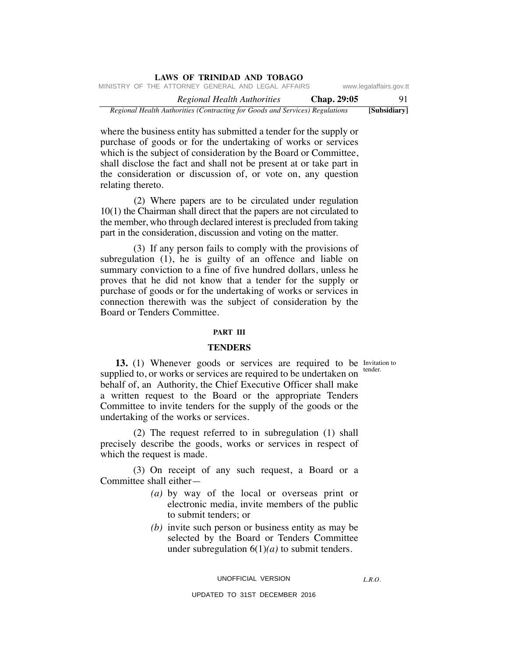| <b>LAWS OF TRINIDAD AND TOBAGO</b>                                           |                         |  |  |
|------------------------------------------------------------------------------|-------------------------|--|--|
| MINISTRY OF THE ATTORNEY GENERAL AND LEGAL AFFAIRS                           | www.legalaffairs.gov.tt |  |  |
| Chap. 29:05<br>Regional Health Authorities                                   | 91                      |  |  |
| Regional Health Authorities (Contracting for Goods and Services) Regulations | [Subsidiary]            |  |  |

where the business entity has submitted a tender for the supply or purchase of goods or for the undertaking of works or services which is the subject of consideration by the Board or Committee, shall disclose the fact and shall not be present at or take part in the consideration or discussion of, or vote on, any question relating thereto.

 (2) Where papers are to be circulated under regulation 10(1) the Chairman shall direct that the papers are not circulated to the member, who through declared interest is precluded from taking part in the consideration, discussion and voting on the matter.

 (3) If any person fails to comply with the provisions of subregulation (1), he is guilty of an offence and liable on summary conviction to a fine of five hundred dollars, unless he proves that he did not know that a tender for the supply or purchase of goods or for the undertaking of works or services in connection therewith was the subject of consideration by the Board or Tenders Committee.

#### **PART III**

### **TENDERS**

tender.

**13.** (1) Whenever goods or services are required to be Invitation to supplied to, or works or services are required to be undertaken on behalf of, an Authority, the Chief Executive Officer shall make a written request to the Board or the appropriate Tenders Committee to invite tenders for the supply of the goods or the undertaking of the works or services.

 (2) The request referred to in subregulation (1) shall precisely describe the goods, works or services in respect of which the request is made.

 (3) On receipt of any such request, a Board or a Committee shall either—

- *(a)* by way of the local or overseas print or electronic media, invite members of the public to submit tenders; or
- *(b)* invite such person or business entity as may be selected by the Board or Tenders Committee under subregulation 6(1)*(a)* to submit tenders.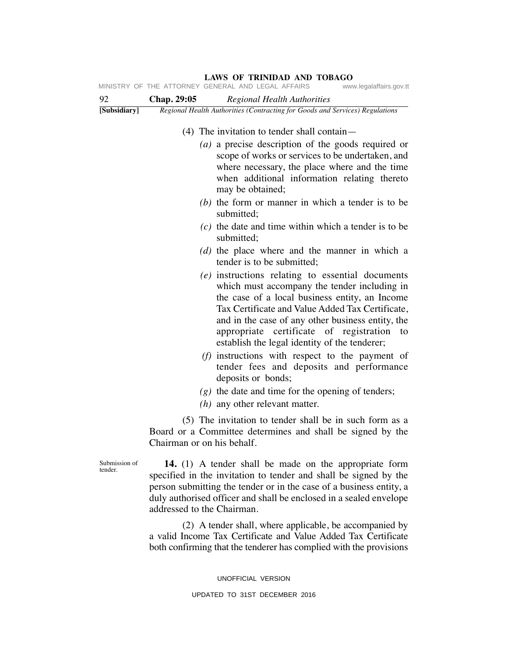|                          |                            | LAWS OF TRINIDAD AND TOBAGO<br>MINISTRY OF THE ATTORNEY GENERAL AND LEGAL AFFAIRS<br>www.legalaffairs.gov.tt                                                                                                                                                                                                                                                                                                                                                                                                                                                                                                                                                                                                                                                                                                                                                                                                                                                                                                                                                                                        |
|--------------------------|----------------------------|-----------------------------------------------------------------------------------------------------------------------------------------------------------------------------------------------------------------------------------------------------------------------------------------------------------------------------------------------------------------------------------------------------------------------------------------------------------------------------------------------------------------------------------------------------------------------------------------------------------------------------------------------------------------------------------------------------------------------------------------------------------------------------------------------------------------------------------------------------------------------------------------------------------------------------------------------------------------------------------------------------------------------------------------------------------------------------------------------------|
| 92                       | Chap. 29:05                | Regional Health Authorities                                                                                                                                                                                                                                                                                                                                                                                                                                                                                                                                                                                                                                                                                                                                                                                                                                                                                                                                                                                                                                                                         |
| [Subsidiary]             |                            | Regional Health Authorities (Contracting for Goods and Services) Regulations                                                                                                                                                                                                                                                                                                                                                                                                                                                                                                                                                                                                                                                                                                                                                                                                                                                                                                                                                                                                                        |
|                          |                            | $(4)$ The invitation to tender shall contain—<br>( <i>a</i> ) a precise description of the goods required or<br>scope of works or services to be undertaken, and<br>where necessary, the place where and the time<br>when additional information relating thereto<br>may be obtained;<br>$(b)$ the form or manner in which a tender is to be<br>submitted;<br>$(c)$ the date and time within which a tender is to be<br>submitted;<br>(d) the place where and the manner in which a<br>tender is to be submitted;<br>$(e)$ instructions relating to essential documents<br>which must accompany the tender including in<br>the case of a local business entity, an Income<br>Tax Certificate and Value Added Tax Certificate,<br>and in the case of any other business entity, the<br>appropriate certificate of registration to<br>establish the legal identity of the tenderer;<br>$(f)$ instructions with respect to the payment of<br>tender fees and deposits and performance<br>deposits or bonds;<br>$(g)$ the date and time for the opening of tenders;<br>$(h)$ any other relevant matter. |
|                          | Chairman or on his behalf. | (5) The invitation to tender shall be in such form as a<br>Board or a Committee determines and shall be signed by the                                                                                                                                                                                                                                                                                                                                                                                                                                                                                                                                                                                                                                                                                                                                                                                                                                                                                                                                                                               |
| Submission of<br>tender. | addressed to the Chairman. | 14. (1) A tender shall be made on the appropriate form<br>specified in the invitation to tender and shall be signed by the<br>person submitting the tender or in the case of a business entity, a<br>duly authorised officer and shall be enclosed in a sealed envelope                                                                                                                                                                                                                                                                                                                                                                                                                                                                                                                                                                                                                                                                                                                                                                                                                             |
|                          |                            | (2) A tender shall, where applicable, be accompanied by                                                                                                                                                                                                                                                                                                                                                                                                                                                                                                                                                                                                                                                                                                                                                                                                                                                                                                                                                                                                                                             |

a valid Income Tax Certificate and Value Added Tax Certificate both confirming that the tenderer has complied with the provisions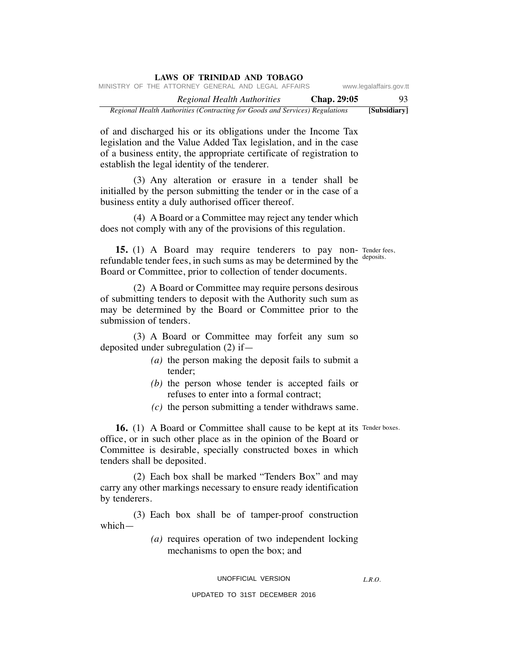| LAWS OF TRINIDAD AND TOBAGO                                                  |             |                         |
|------------------------------------------------------------------------------|-------------|-------------------------|
| MINISTRY OF THE ATTORNEY GENERAL AND LEGAL AFFAIRS                           |             | www.legalaffairs.gov.tt |
| Regional Health Authorities                                                  | Chap. 29:05 | 93.                     |
| Regional Health Authorities (Contracting for Goods and Services) Regulations |             | [Subsidiary]            |

of and discharged his or its obligations under the Income Tax legislation and the Value Added Tax legislation, and in the case of a business entity, the appropriate certificate of registration to establish the legal identity of the tenderer.

 (3) Any alteration or erasure in a tender shall be initialled by the person submitting the tender or in the case of a business entity a duly authorised officer thereof.

 (4) A Board or a Committee may reject any tender which does not comply with any of the provisions of this regulation.

**15.** (1) A Board may require tenderers to pay non- Tender fees, refundable tender fees, in such sums as may be determined by the <sup>deposits.</sup> Board or Committee, prior to collection of tender documents.

 (2) A Board or Committee may require persons desirous of submitting tenders to deposit with the Authority such sum as may be determined by the Board or Committee prior to the submission of tenders.

 (3) A Board or Committee may forfeit any sum so deposited under subregulation (2) if—

- *(a)* the person making the deposit fails to submit a tender;
- *(b)* the person whose tender is accepted fails or refuses to enter into a formal contract;
- *(c)* the person submitting a tender withdraws same.

**16.** (1) A Board or Committee shall cause to be kept at its Tender boxes. office, or in such other place as in the opinion of the Board or Committee is desirable, specially constructed boxes in which tenders shall be deposited.

 (2) Each box shall be marked "Tenders Box" and may carry any other markings necessary to ensure ready identification by tenderers.

 (3) Each box shall be of tamper-proof construction which—

> *(a)* requires operation of two independent locking mechanisms to open the box; and

### UNOFFICIAL VERSION

*L.R.O.*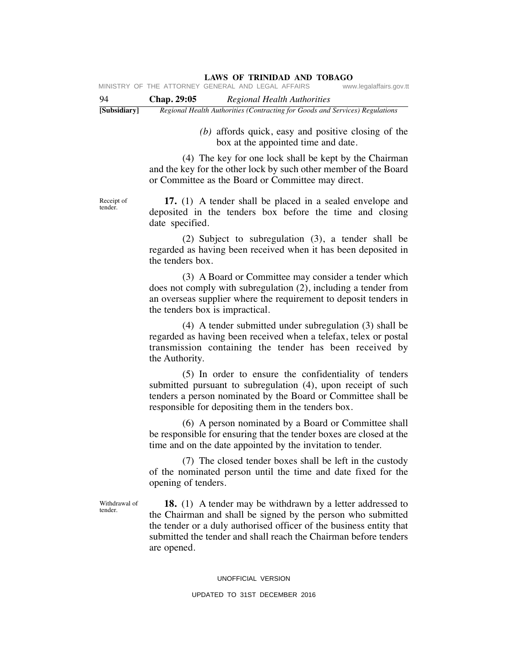| -94          | <b>Chap. 29:05</b> | Regional Health Authorities                                                  |
|--------------|--------------------|------------------------------------------------------------------------------|
| [Subsidiary] |                    | Regional Health Authorities (Contracting for Goods and Services) Regulations |

 *(b)* affords quick, easy and positive closing of the box at the appointed time and date.

 (4) The key for one lock shall be kept by the Chairman and the key for the other lock by such other member of the Board or Committee as the Board or Committee may direct.

Receipt of tender.

 **17.** (1) A tender shall be placed in a sealed envelope and deposited in the tenders box before the time and closing date specified.

 (2) Subject to subregulation (3), a tender shall be regarded as having been received when it has been deposited in the tenders box.

 (3) A Board or Committee may consider a tender which does not comply with subregulation (2), including a tender from an overseas supplier where the requirement to deposit tenders in the tenders box is impractical.

 (4) A tender submitted under subregulation (3) shall be regarded as having been received when a telefax, telex or postal transmission containing the tender has been received by the Authority.

 (5) In order to ensure the confidentiality of tenders submitted pursuant to subregulation (4), upon receipt of such tenders a person nominated by the Board or Committee shall be responsible for depositing them in the tenders box.

 (6) A person nominated by a Board or Committee shall be responsible for ensuring that the tender boxes are closed at the time and on the date appointed by the invitation to tender.

 (7) The closed tender boxes shall be left in the custody of the nominated person until the time and date fixed for the opening of tenders.

Withdrawal of tender.

 **18.** (1) A tender may be withdrawn by a letter addressed to the Chairman and shall be signed by the person who submitted the tender or a duly authorised officer of the business entity that submitted the tender and shall reach the Chairman before tenders are opened.

#### UNOFFICIAL VERSION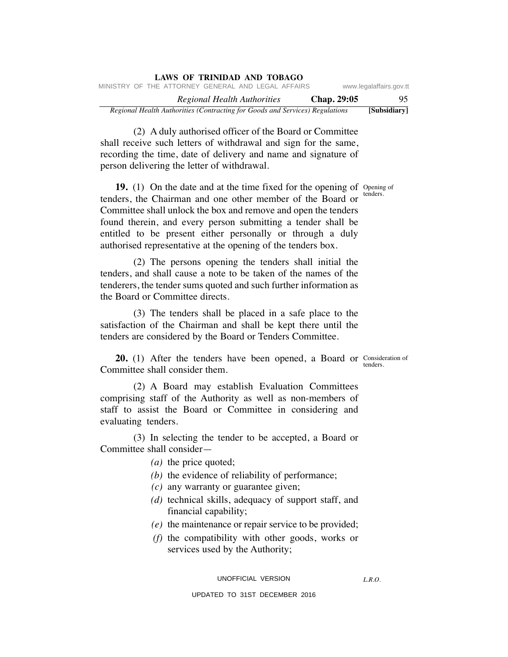| LAWS OF TRINIDAD AND TOBAGO                                                  |             |                         |
|------------------------------------------------------------------------------|-------------|-------------------------|
| MINISTRY OF THE ATTORNEY GENERAL AND LEGAL AFFAIRS                           |             | www.legalaffairs.gov.tt |
| Regional Health Authorities                                                  | Chap. 29:05 | 95.                     |
| Regional Health Authorities (Contracting for Goods and Services) Regulations |             | [Subsidiary]            |

 (2) A duly authorised officer of the Board or Committee shall receive such letters of withdrawal and sign for the same, recording the time, date of delivery and name and signature of person delivering the letter of withdrawal.

**19.** (1) On the date and at the time fixed for the opening of Opening of tenders, the Chairman and one other member of the Board or Committee shall unlock the box and remove and open the tenders found therein, and every person submitting a tender shall be entitled to be present either personally or through a duly authorised representative at the opening of the tenders box.

 (2) The persons opening the tenders shall initial the tenders, and shall cause a note to be taken of the names of the tenderers, the tender sums quoted and such further information as the Board or Committee directs.

 (3) The tenders shall be placed in a safe place to the satisfaction of the Chairman and shall be kept there until the tenders are considered by the Board or Tenders Committee.

**20.** (1) After the tenders have been opened, a Board or Consideration of tenders. Committee shall consider them.

 (2) A Board may establish Evaluation Committees comprising staff of the Authority as well as non-members of staff to assist the Board or Committee in considering and evaluating tenders.

 (3) In selecting the tender to be accepted, a Board or Committee shall consider—

- *(a)* the price quoted;
- *(b)* the evidence of reliability of performance;
- *(c)* any warranty or guarantee given;
- *(d)* technical skills, adequacy of support staff, and financial capability;
- *(e)* the maintenance or repair service to be provided;
- *(f)* the compatibility with other goods, works or services used by the Authority;

*L.R.O.* 

UPDATED TO 31ST DECEMBER 2016

tenders.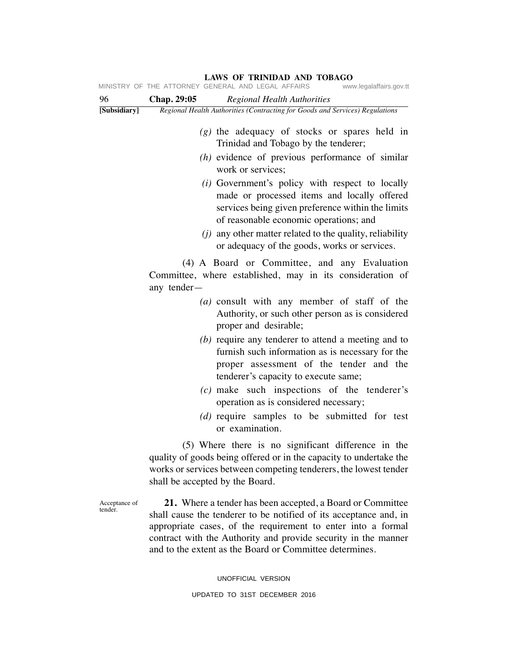|                          | MINISTRY OF THE ATTORNEY GENERAL AND LEGAL AFFAIRS<br>www.legalaffairs.gov.tt                                                                                                                                                                                                                                                |
|--------------------------|------------------------------------------------------------------------------------------------------------------------------------------------------------------------------------------------------------------------------------------------------------------------------------------------------------------------------|
| 96                       | Chap. 29:05<br><b>Regional Health Authorities</b>                                                                                                                                                                                                                                                                            |
| [Subsidiary]             | Regional Health Authorities (Contracting for Goods and Services) Regulations                                                                                                                                                                                                                                                 |
|                          | $(g)$ the adequacy of stocks or spares held in<br>Trinidad and Tobago by the tenderer;                                                                                                                                                                                                                                       |
|                          | $(h)$ evidence of previous performance of similar<br>work or services;                                                                                                                                                                                                                                                       |
|                          | ( <i>i</i> ) Government's policy with respect to locally<br>made or processed items and locally offered<br>services being given preference within the limits<br>of reasonable economic operations; and                                                                                                                       |
|                          | $(i)$ any other matter related to the quality, reliability<br>or adequacy of the goods, works or services.                                                                                                                                                                                                                   |
|                          | (4) A Board or Committee, and any Evaluation<br>Committee, where established, may in its consideration of<br>any tender-                                                                                                                                                                                                     |
|                          | $(a)$ consult with any member of staff of the<br>Authority, or such other person as is considered<br>proper and desirable;                                                                                                                                                                                                   |
|                          | $(b)$ require any tenderer to attend a meeting and to<br>furnish such information as is necessary for the<br>proper assessment of the tender and the<br>tenderer's capacity to execute same;                                                                                                                                 |
|                          | (c) make such inspections of the tenderer's<br>operation as is considered necessary;                                                                                                                                                                                                                                         |
|                          | (d) require samples to be submitted for test<br>or examination.                                                                                                                                                                                                                                                              |
|                          | (5) Where there is no significant difference in the<br>quality of goods being offered or in the capacity to undertake the<br>works or services between competing tenderers, the lowest tender<br>shall be accepted by the Board.                                                                                             |
| Acceptance of<br>tender. | 21. Where a tender has been accepted, a Board or Committee<br>shall cause the tenderer to be notified of its acceptance and, in<br>appropriate cases, of the requirement to enter into a formal<br>contract with the Authority and provide security in the manner<br>and to the extent as the Board or Committee determines. |

UNOFFICIAL VERSION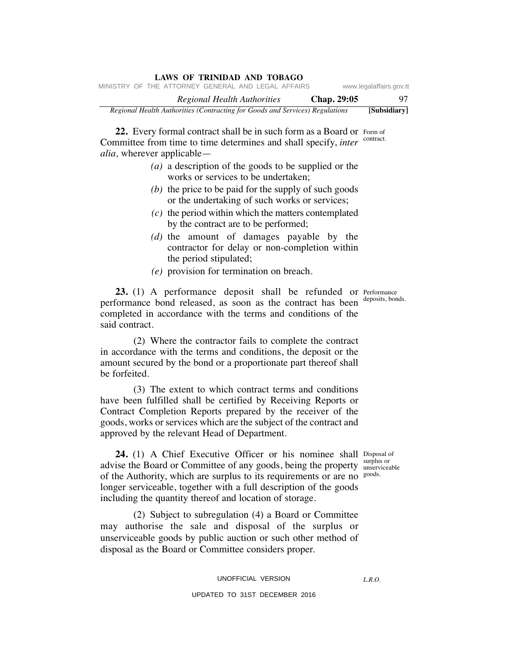| LAWS OF TRINIDAD AND TOBAGO                                                  |                         |  |  |  |
|------------------------------------------------------------------------------|-------------------------|--|--|--|
| MINISTRY OF THE ATTORNEY GENERAL AND LEGAL AFFAIRS                           | www.legalaffairs.gov.tt |  |  |  |
| Chap. 29:05<br>Regional Health Authorities                                   | 97                      |  |  |  |
| Regional Health Authorities (Contracting for Goods and Services) Regulations | [Subsidiary]            |  |  |  |

22. Every formal contract shall be in such form as a Board or Form of Committee from time to time determines and shall specify, *inter* contract. *alia,* wherever applicable—

- *(a)* a description of the goods to be supplied or the works or services to be undertaken;
- *(b)* the price to be paid for the supply of such goods or the undertaking of such works or services;
- *(c)* the period within which the matters contemplated by the contract are to be performed;
- *(d)* the amount of damages payable by the contractor for delay or non-completion within the period stipulated;
- *(e)* provision for termination on breach.

23. (1) A performance deposit shall be refunded or Performance performance bond released, as soon as the contract has been completed in accordance with the terms and conditions of the said contract.

 (2) Where the contractor fails to complete the contract in accordance with the terms and conditions, the deposit or the amount secured by the bond or a proportionate part thereof shall be forfeited.

 (3) The extent to which contract terms and conditions have been fulfilled shall be certified by Receiving Reports or Contract Completion Reports prepared by the receiver of the goods, works or services which are the subject of the contract and approved by the relevant Head of Department.

**24.** (1) A Chief Executive Officer or his nominee shall Disposal of surplus or advise the Board or Committee of any goods, being the property supplus of any solution of the Authority, which are surplus to its requirements or are no goods. longer serviceable, together with a full description of the goods including the quantity thereof and location of storage.

 (2) Subject to subregulation (4) a Board or Committee may authorise the sale and disposal of the surplus or unserviceable goods by public auction or such other method of disposal as the Board or Committee considers proper.

# UNOFFICIAL VERSION UPDATED TO 31ST DECEMBER 2016

*L.R.O.* 

deposits, bonds.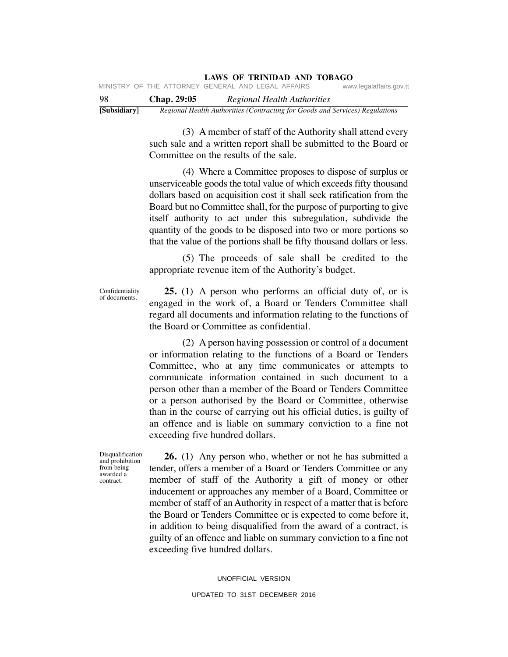| -98 | <b>Chap. 29:05</b> | Regional Health Authorities                        |                         |
|-----|--------------------|----------------------------------------------------|-------------------------|
|     |                    | MINISTRY OF THE ATTORNEY GENERAL AND LEGAL AFFAIRS | www.legalaffairs.gov.tt |

**[Subsidiary]** *Regional Health Authorities (Contracting for Goods and Services) Regulations*

 (3) A member of staff of the Authority shall attend every such sale and a written report shall be submitted to the Board or Committee on the results of the sale.

 (4) Where a Committee proposes to dispose of surplus or unserviceable goods the total value of which exceeds fifty thousand dollars based on acquisition cost it shall seek ratification from the Board but no Committee shall, for the purpose of purporting to give itself authority to act under this subregulation, subdivide the quantity of the goods to be disposed into two or more portions so that the value of the portions shall be fifty thousand dollars or less.

 (5) The proceeds of sale shall be credited to the appropriate revenue item of the Authority's budget.

Confidentiality of documents.

 **25.** (1) A person who performs an official duty of, or is engaged in the work of, a Board or Tenders Committee shall regard all documents and information relating to the functions of the Board or Committee as confidential.

 (2) A person having possession or control of a document or information relating to the functions of a Board or Tenders Committee, who at any time communicates or attempts to communicate information contained in such document to a person other than a member of the Board or Tenders Committee or a person authorised by the Board or Committee, otherwise than in the course of carrying out his official duties, is guilty of an offence and is liable on summary conviction to a fine not exceeding five hundred dollars.

Disqualification and prohibition from being awarded a contract.

 **26.** (1) Any person who, whether or not he has submitted a tender, offers a member of a Board or Tenders Committee or any member of staff of the Authority a gift of money or other inducement or approaches any member of a Board, Committee or member of staff of an Authority in respect of a matter that is before the Board or Tenders Committee or is expected to come before it, in addition to being disqualified from the award of a contract, is guilty of an offence and liable on summary conviction to a fine not exceeding five hundred dollars.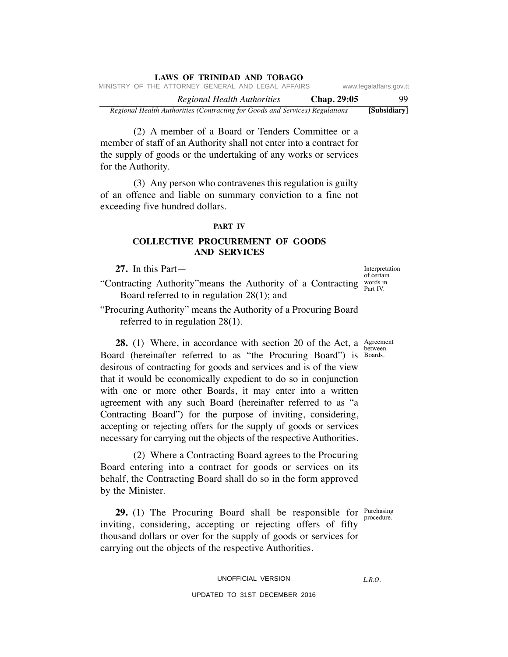|  |  |  | <b>LAWS OF TRINIDAD AND TOBAGO</b>                                           |             |                         |
|--|--|--|------------------------------------------------------------------------------|-------------|-------------------------|
|  |  |  | MINISTRY OF THE ATTORNEY GENERAL AND LEGAL AFFAIRS                           |             | www.legalaffairs.gov.tt |
|  |  |  | Regional Health Authorities                                                  | Chap. 29:05 | -99                     |
|  |  |  | Regional Health Authorities (Contracting for Goods and Services) Regulations |             | [Subsidiary]            |

 (2) A member of a Board or Tenders Committee or a member of staff of an Authority shall not enter into a contract for the supply of goods or the undertaking of any works or services for the Authority.

 (3) Any person who contravenes this regulation is guilty of an offence and liable on summary conviction to a fine not exceeding five hundred dollars.

#### **PART IV**

## **COLLECTIVE PROCUREMENT OF GOODS AND SERVICES**

**27.** In this Part—

"Contracting Authority" means the Authority of a Contracting  $\frac{words in}{Post IV}$ Board referred to in regulation 28(1); and

"Procuring Authority" means the Authority of a Procuring Board referred to in regulation 28(1).

**28.** (1) Where, in accordance with section 20 of the Act, a  $\frac{\text{Agreement}}{\text{between}}$ Board (hereinafter referred to as "the Procuring Board") is Boards. desirous of contracting for goods and services and is of the view that it would be economically expedient to do so in conjunction with one or more other Boards, it may enter into a written agreement with any such Board (hereinafter referred to as "a Contracting Board") for the purpose of inviting, considering, accepting or rejecting offers for the supply of goods or services necessary for carrying out the objects of the respective Authorities.

 (2) Where a Contracting Board agrees to the Procuring Board entering into a contract for goods or services on its behalf, the Contracting Board shall do so in the form approved by the Minister.

**29.** (1) The Procuring Board shall be responsible for Purchasing inviting, considering, accepting or rejecting offers of fifty thousand dollars or over for the supply of goods or services for carrying out the objects of the respective Authorities.

#### UPDATED TO 31ST DECEMBER 2016

Interpretation of certain Part IV.

between

procedure.

*L.R.O.*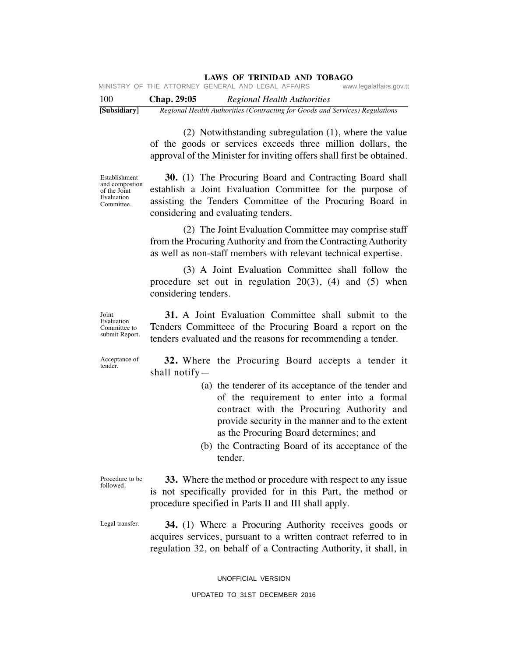MINISTRY OF THE ATTORNEY GENERAL AND LEGAL AFFAIRS www.legalaffairs.gov.tt

100 **Chap. 29:05** *Regional Health Authorities* **[Subsidiary]** *Regional Health Authorities (Contracting for Goods and Services) Regulations*

> (2) Notwithstanding subregulation (1), where the value of the goods or services exceeds three million dollars, the approval of the Minister for inviting offers shall first be obtained.

Establishment and compostion of the Joint Evaluation Committee.

 **30.** (1) The Procuring Board and Contracting Board shall establish a Joint Evaluation Committee for the purpose of assisting the Tenders Committee of the Procuring Board in considering and evaluating tenders.

 (2) The Joint Evaluation Committee may comprise staff from the Procuring Authority and from the Contracting Authority as well as non-staff members with relevant technical expertise.

 (3) A Joint Evaluation Committee shall follow the procedure set out in regulation  $20(3)$ , (4) and (5) when considering tenders.

 **31.** A Joint Evaluation Committee shall submit to the Tenders Committeee of the Procuring Board a report on the tenders evaluated and the reasons for recommending a tender.

Acceptance of tender.

Joint Evaluation Committee to submit Report.

> **32.** Where the Procuring Board accepts a tender it shall notify—

- (a) the tenderer of its acceptance of the tender and of the requirement to enter into a formal contract with the Procuring Authority and provide security in the manner and to the extent as the Procuring Board determines; and
- (b) the Contracting Board of its acceptance of the tender.

Procedure to be followed.

 **33.** Where the method or procedure with respect to any issue is not specifically provided for in this Part, the method or procedure specified in Parts II and III shall apply.

Legal transfer.

 **34.** (1) Where a Procuring Authority receives goods or acquires services, pursuant to a written contract referred to in regulation 32, on behalf of a Contracting Authority, it shall, in

UNOFFICIAL VERSION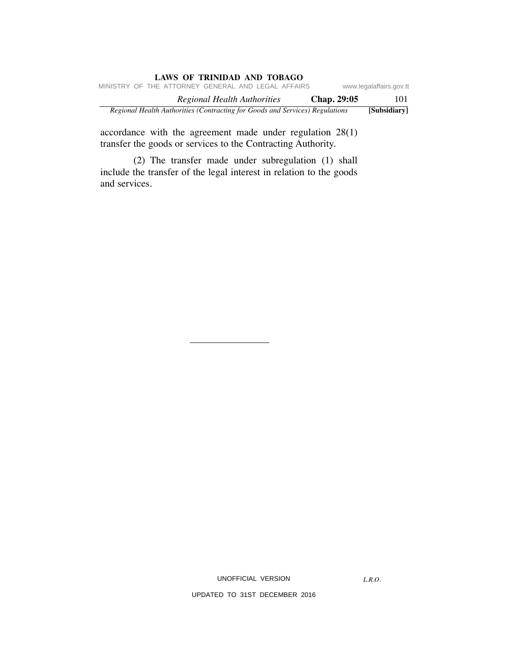| <b>LAWS OF TRINIDAD AND TOBAGO</b>                                           |             |                         |
|------------------------------------------------------------------------------|-------------|-------------------------|
| MINISTRY OF THE ATTORNEY GENERAL AND LEGAL AFFAIRS                           |             | www.legalaffairs.gov.tt |
| Regional Health Authorities                                                  | Chap. 29:05 | 101                     |
| Regional Health Authorities (Contracting for Goods and Services) Regulations |             | [Subsidiary]            |

accordance with the agreement made under regulation 28(1) transfer the goods or services to the Contracting Authority.

 (2) The transfer made under subregulation (1) shall include the transfer of the legal interest in relation to the goods and services.

UNOFFICIAL VERSION

*L.R.O.*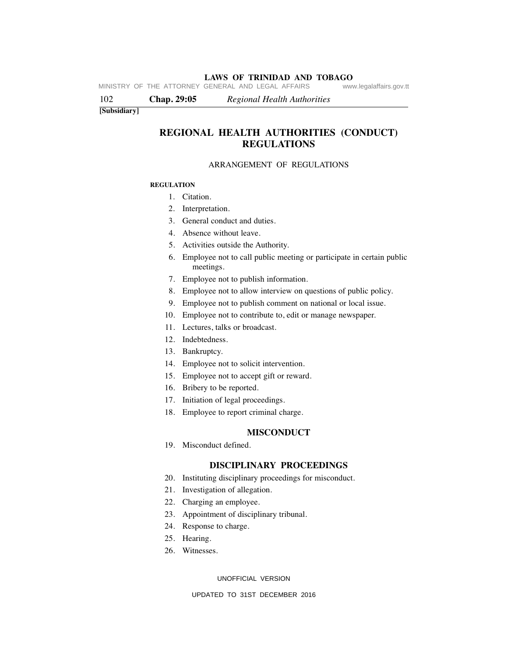**LAWS OF TRINIDAD AND TOBAGO** MINISTRY OF THE ATTORNEY GENERAL AND LEGAL AFFAIRS

102 **Chap. 29:05** *Regional Health Authorities*

#### **[Subsidiary]**

## **REGIONAL HEALTH AUTHORITIES (CONDUCT) REGULATIONS**

### ARRANGEMENT OF REGULATIONS

#### **REGULATION**

- 1. Citation.
- 2. Interpretation.
- 3. General conduct and duties.
- 4. Absence without leave.
- 5. Activities outside the Authority.
- 6. Employee not to call public meeting or participate in certain public meetings.
- 7. Employee not to publish information.
- 8. Employee not to allow interview on questions of public policy.
- 9. Employee not to publish comment on national or local issue.
- 10. Employee not to contribute to, edit or manage newspaper.
- 11. Lectures, talks or broadcast.
- 12. Indebtedness.
- 13. Bankruptcy.
- 14. Employee not to solicit intervention.
- 15. Employee not to accept gift or reward.
- 16. Bribery to be reported.
- 17. Initiation of legal proceedings.
- 18. Employee to report criminal charge.

### **MISCONDUCT**

19. Misconduct defined.

## **DISCIPLINARY PROCEEDINGS**

- 20. Instituting disciplinary proceedings for misconduct.
- 21. Investigation of allegation.
- 22. Charging an employee.
- 23. Appointment of disciplinary tribunal.
- 24. Response to charge.
- 25. Hearing.
- 26. Witnesses.

UNOFFICIAL VERSION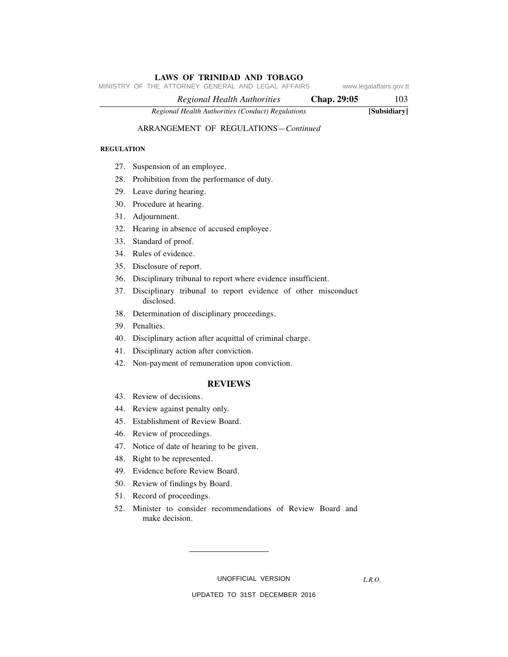MINISTRY OF THE ATTORNEY GENERAL AND LEGAL AFFAIRS www.legalaffairs.gov.tt

 *Regional Health Authorities* **Chap. 29:05** 103

*Regional Health Authorities (Conduct) Regulations* **[Subsidiary]**

## ARRANGEMENT OF REGULATIONS—*Continued*

#### **REGULATION**

- 27. Suspension of an employee.
- 28. Prohibition from the performance of duty.
- 29. Leave during hearing.
- 30. Procedure at hearing.
- 31. Adjournment.
- 32. Hearing in absence of accused employee.
- 33. Standard of proof.
- 34. Rules of evidence.
- 35. Disclosure of report.
- 36. Disciplinary tribunal to report where evidence insufficient.
- 37. Disciplinary tribunal to report evidence of other misconduct disclosed.
- 38. Determination of disciplinary proceedings.
- 39. Penalties.
- 40. Disciplinary action after acquittal of criminal charge.
- 41. Disciplinary action after conviction.
- 42. Non-payment of remuneration upon conviction.

### **REVIEWS**

- 43. Review of decisions.
- 44. Review against penalty only.
- 45. Establishment of Review Board.
- 46. Review of proceedings.
- 47. Notice of date of hearing to be given.
- 48. Right to be represented.
- 49. Evidence before Review Board.
- 50. Review of findings by Board.
- 51. Record of proceedings.
- 52. Minister to consider recommendations of Review Board and make decision.

UNOFFICIAL VERSION

*L.R.O.*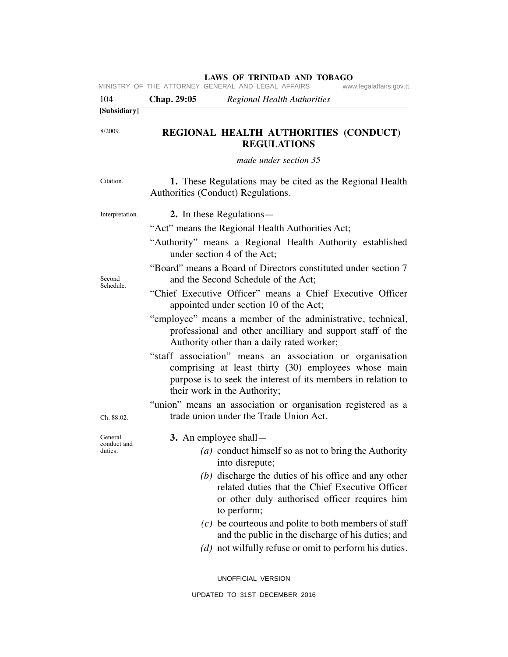|                                   |             | <b>LAWS OF TRINIDAD AND TOBAGO</b><br>MINISTRY OF THE ATTORNEY GENERAL AND LEGAL AFFAIRS<br>www.legalaffairs.gov.tt                                                                                               |
|-----------------------------------|-------------|-------------------------------------------------------------------------------------------------------------------------------------------------------------------------------------------------------------------|
| 104                               | Chap. 29:05 | <b>Regional Health Authorities</b>                                                                                                                                                                                |
| [Subsidiary]                      |             |                                                                                                                                                                                                                   |
| 8/2009.                           |             | REGIONAL HEALTH AUTHORITIES (CONDUCT)<br><b>REGULATIONS</b>                                                                                                                                                       |
|                                   |             | made under section 35                                                                                                                                                                                             |
| Citation.                         |             | 1. These Regulations may be cited as the Regional Health<br>Authorities (Conduct) Regulations.                                                                                                                    |
| Interpretation.                   |             | 2. In these Regulations—<br>"Act" means the Regional Health Authorities Act;<br>"Authority" means a Regional Health Authority established<br>under section 4 of the Act;                                          |
| Second<br>Schedule.               |             | "Board" means a Board of Directors constituted under section 7<br>and the Second Schedule of the Act;<br>"Chief Executive Officer" means a Chief Executive Officer<br>appointed under section 10 of the Act;      |
|                                   |             | "employee" means a member of the administrative, technical,<br>professional and other ancilliary and support staff of the<br>Authority other than a daily rated worker;                                           |
|                                   |             | "staff association" means an association or organisation<br>comprising at least thirty (30) employees whose main<br>purpose is to seek the interest of its members in relation to<br>their work in the Authority; |
| Ch. 88:02.                        |             | "union" means an association or organisation registered as a<br>trade union under the Trade Union Act.                                                                                                            |
| General<br>conduct and<br>duties. |             | 3. An employee shall—<br>(a) conduct himself so as not to bring the Authority<br>into disrepute;<br>(b) discharge the duties of his office and any other                                                          |
|                                   |             | related duties that the Chief Executive Officer<br>or other duly authorised officer requires him<br>to perform;                                                                                                   |
|                                   |             | $(c)$ be courteous and polite to both members of staff<br>and the public in the discharge of his duties; and<br>$(d)$ not wilfully refuse or omit to perform his duties.                                          |
|                                   |             | UNOFFICIAL VERSION                                                                                                                                                                                                |
|                                   |             | UPDATED TO 31ST DECEMBER 2016                                                                                                                                                                                     |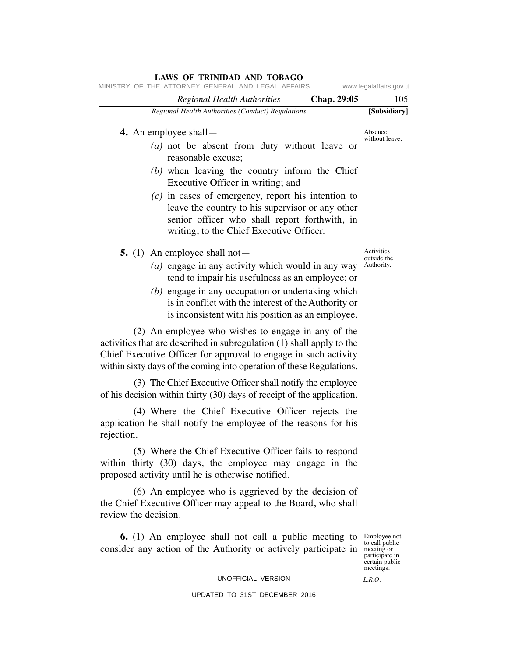| MINISTRY OF THE ATTORNEY GENERAL AND LEGAL AFFAIRS                                                                                                                                                                                                                                                         |             | www.legalaffairs.gov.tt                 |
|------------------------------------------------------------------------------------------------------------------------------------------------------------------------------------------------------------------------------------------------------------------------------------------------------------|-------------|-----------------------------------------|
| <b>Regional Health Authorities</b>                                                                                                                                                                                                                                                                         | Chap. 29:05 | 105                                     |
| Regional Health Authorities (Conduct) Regulations                                                                                                                                                                                                                                                          |             | [Subsidiary]                            |
| 4. An employee shall $-$                                                                                                                                                                                                                                                                                   |             | Absence<br>without leave.               |
| (a) not be absent from duty without leave or<br>reasonable excuse;                                                                                                                                                                                                                                         |             |                                         |
| $(b)$ when leaving the country inform the Chief<br>Executive Officer in writing; and                                                                                                                                                                                                                       |             |                                         |
| $(c)$ in cases of emergency, report his intention to<br>leave the country to his supervisor or any other<br>senior officer who shall report forthwith, in<br>writing, to the Chief Executive Officer.                                                                                                      |             |                                         |
| 5. (1) An employee shall not—<br>(a) engage in any activity which would in any way<br>tend to impair his usefulness as an employee; or<br>$(b)$ engage in any occupation or undertaking which<br>is in conflict with the interest of the Authority or<br>is inconsistent with his position as an employee. |             | Activities<br>outside the<br>Authority. |
| (2) An employee who wishes to engage in any of the                                                                                                                                                                                                                                                         |             |                                         |

activities that are described in subregulation (1) shall apply to the Chief Executive Officer for approval to engage in such activity within sixty days of the coming into operation of these Regulations.

 (3) The Chief Executive Officer shall notify the employee of his decision within thirty (30) days of receipt of the application.

 (4) Where the Chief Executive Officer rejects the application he shall notify the employee of the reasons for his rejection.

 (5) Where the Chief Executive Officer fails to respond within thirty (30) days, the employee may engage in the proposed activity until he is otherwise notified.

 (6) An employee who is aggrieved by the decision of the Chief Executive Officer may appeal to the Board, who shall review the decision.

**6.** (1) An employee shall not call a public meeting to Employee not consider any action of the Authority or actively participate in meeting or

participate in certain public meetings.

UNOFFICIAL VERSION UPDATED TO 31ST DECEMBER 2016

*L.R.O.* 

**LAWS OF TRINIDAD AND TOBAGO**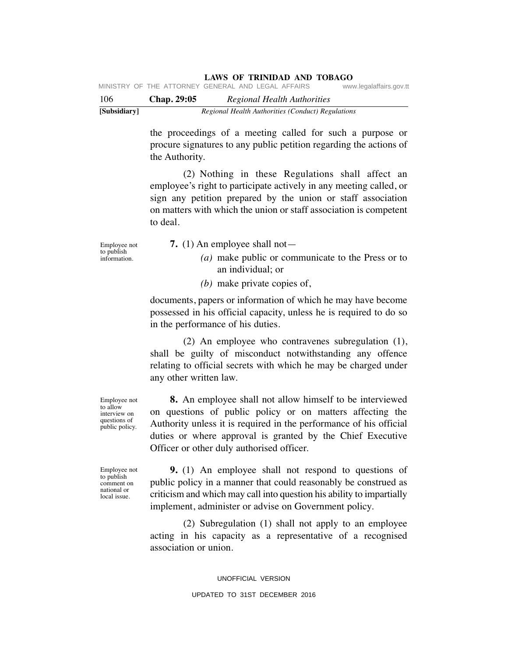| [Subsidiary] |                    | Regional Health Authorities (Conduct) Regulations  |                         |
|--------------|--------------------|----------------------------------------------------|-------------------------|
| 106          | <b>Chap. 29:05</b> | Regional Health Authorities                        |                         |
|              |                    | MINISTRY OF THE ATTORNEY GENERAL AND LEGAL AFFAIRS | www.legalaffairs.gov.tt |

the proceedings of a meeting called for such a purpose or procure signatures to any public petition regarding the actions of the Authority.

 (2) Nothing in these Regulations shall affect an employee's right to participate actively in any meeting called, or sign any petition prepared by the union or staff association on matters with which the union or staff association is competent to deal.

Employee not to publish information.

- **7.** (1) An employee shall not—
	- *(a)* make public or communicate to the Press or to an individual; or
	- *(b)* make private copies of,

documents, papers or information of which he may have become possessed in his official capacity, unless he is required to do so in the performance of his duties.

 (2) An employee who contravenes subregulation (1), shall be guilty of misconduct notwithstanding any offence relating to official secrets with which he may be charged under any other written law.

 **8.** An employee shall not allow himself to be interviewed on questions of public policy or on matters affecting the Authority unless it is required in the performance of his official duties or where approval is granted by the Chief Executive Officer or other duly authorised officer.

Employee not to publish comment on national or local issue.

Employee not to allow interview on questions of public policy.

> **9.** (1) An employee shall not respond to questions of public policy in a manner that could reasonably be construed as criticism and which may call into question his ability to impartially implement, administer or advise on Government policy.

> (2) Subregulation (1) shall not apply to an employee acting in his capacity as a representative of a recognised association or union.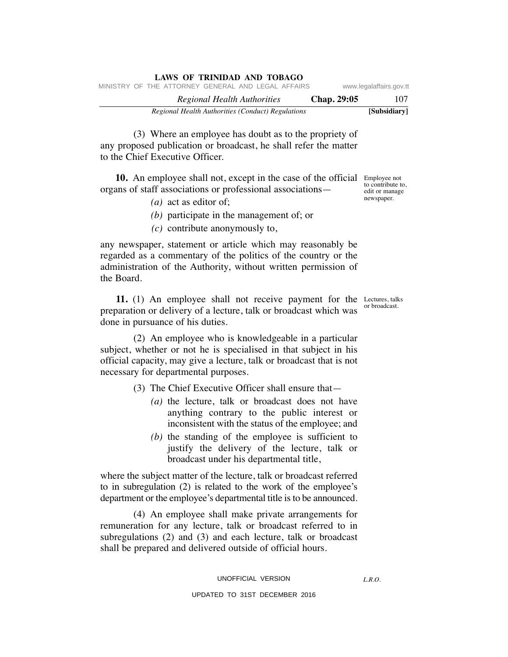| LAWS OF TRINIDAD AND TOBAGO                        |             |                         |
|----------------------------------------------------|-------------|-------------------------|
| MINISTRY OF THE ATTORNEY GENERAL AND LEGAL AFFAIRS |             | www.legalaffairs.gov.tt |
| Regional Health Authorities                        | Chap. 29:05 | 107                     |
| Regional Health Authorities (Conduct) Regulations  |             | [Subsidiary]            |

 (3) Where an employee has doubt as to the propriety of any proposed publication or broadcast, he shall refer the matter to the Chief Executive Officer.

**10.** An employee shall not, except in the case of the official Employee not organs of staff associations or professional associations—

- *(a)* act as editor of;
- *(b)* participate in the management of; or
- *(c)* contribute anonymously to,

any newspaper, statement or article which may reasonably be regarded as a commentary of the politics of the country or the administration of the Authority, without written permission of the Board.

**11.** (1) An employee shall not receive payment for the Lectures, talks preparation or delivery of a lecture, talk or broadcast which was done in pursuance of his duties.

 (2) An employee who is knowledgeable in a particular subject, whether or not he is specialised in that subject in his official capacity, may give a lecture, talk or broadcast that is not necessary for departmental purposes.

(3) The Chief Executive Officer shall ensure that—

- *(a)* the lecture, talk or broadcast does not have anything contrary to the public interest or inconsistent with the status of the employee; and
- *(b)* the standing of the employee is sufficient to justify the delivery of the lecture, talk or broadcast under his departmental title,

where the subject matter of the lecture, talk or broadcast referred to in subregulation (2) is related to the work of the employee's department or the employee's departmental title is to be announced.

 (4) An employee shall make private arrangements for remuneration for any lecture, talk or broadcast referred to in subregulations (2) and (3) and each lecture, talk or broadcast shall be prepared and delivered outside of official hours.

to contribute to, edit or manage newspaper.

or broadcast.

*L.R.O.*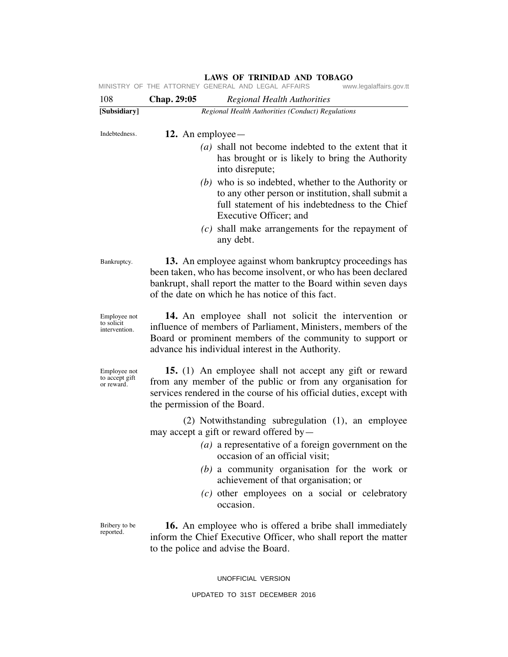| 108                                          | Chap. 29:05<br><b>Regional Health Authorities</b>                                                                                                                                                                                                                                                                                                     |  |  |
|----------------------------------------------|-------------------------------------------------------------------------------------------------------------------------------------------------------------------------------------------------------------------------------------------------------------------------------------------------------------------------------------------------------|--|--|
| [Subsidiary]                                 | Regional Health Authorities (Conduct) Regulations                                                                                                                                                                                                                                                                                                     |  |  |
| Indebtedness.                                | 12. An employee $-$                                                                                                                                                                                                                                                                                                                                   |  |  |
|                                              | (a) shall not become indebted to the extent that it<br>has brought or is likely to bring the Authority<br>into disrepute;                                                                                                                                                                                                                             |  |  |
|                                              | $(b)$ who is so indebted, whether to the Authority or<br>to any other person or institution, shall submit a<br>full statement of his indebtedness to the Chief<br>Executive Officer; and                                                                                                                                                              |  |  |
|                                              | $(c)$ shall make arrangements for the repayment of<br>any debt.                                                                                                                                                                                                                                                                                       |  |  |
| Bankruptcy.                                  | 13. An employee against whom bankruptcy proceedings has<br>been taken, who has become insolvent, or who has been declared<br>bankrupt, shall report the matter to the Board within seven days<br>of the date on which he has notice of this fact.                                                                                                     |  |  |
| Employee not<br>to solicit<br>intervention.  | 14. An employee shall not solicit the intervention or<br>influence of members of Parliament, Ministers, members of the<br>Board or prominent members of the community to support or<br>advance his individual interest in the Authority.                                                                                                              |  |  |
| Employee not<br>to accept gift<br>or reward. | 15. (1) An employee shall not accept any gift or reward<br>from any member of the public or from any organisation for<br>services rendered in the course of his official duties, except with<br>the permission of the Board.                                                                                                                          |  |  |
|                                              | (2) Notwithstanding subregulation (1), an employee<br>may accept a gift or reward offered by—<br>( $a$ ) a representative of a foreign government on the<br>occasion of an official visit;<br>$(b)$ a community organisation for the work or<br>achievement of that organisation; or<br>$(c)$ other employees on a social or celebratory<br>occasion. |  |  |
| Bribery to be<br>reported.                   | <b>16.</b> An employee who is offered a bribe shall immediately<br>inform the Chief Executive Officer, who shall report the matter<br>to the police and advise the Board.                                                                                                                                                                             |  |  |
|                                              | UNOFFICIAL VERSION                                                                                                                                                                                                                                                                                                                                    |  |  |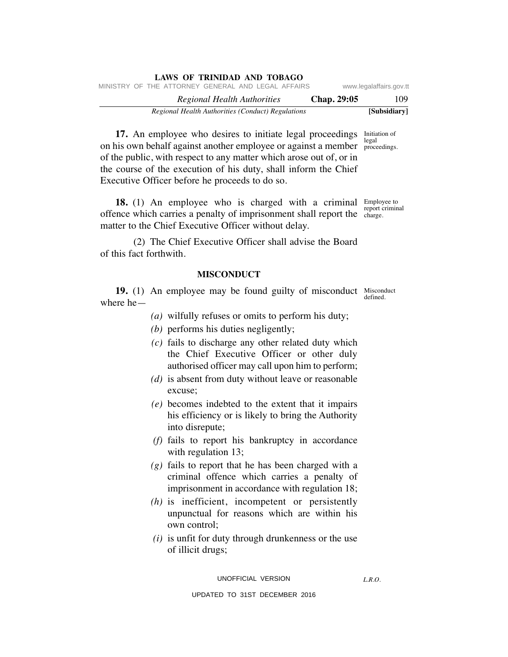| LAWS OF TRINIDAD AND TOBAGO                        |             |                         |
|----------------------------------------------------|-------------|-------------------------|
| MINISTRY OF THE ATTORNEY GENERAL AND LEGAL AFFAIRS |             | www.legalaffairs.gov.tt |
| Regional Health Authorities                        | Chap. 29:05 | 109                     |
| Regional Health Authorities (Conduct) Regulations  |             | [Subsidiary]            |

**17.** An employee who desires to initiate legal proceedings Initiation of on his own behalf against another employee or against a member proce of the public, with respect to any matter which arose out of, or in the course of the execution of his duty, shall inform the Chief Executive Officer before he proceeds to do so. proceedings.

**18.** (1) An employee who is charged with a criminal Employee to offence which carries a penalty of imprisonment shall report the <sup>report criminal</sup> matter to the Chief Executive Officer without delay.

 (2) The Chief Executive Officer shall advise the Board of this fact forthwith.

## **MISCONDUCT**

**19.** (1) An employee may be found guilty of misconduct Misconduct where he defined.

- *(a)* wilfully refuses or omits to perform his duty;
- *(b)* performs his duties negligently;
- *(c)* fails to discharge any other related duty which the Chief Executive Officer or other duly authorised officer may call upon him to perform;
- *(d)* is absent from duty without leave or reasonable excuse;
- *(e)* becomes indebted to the extent that it impairs his efficiency or is likely to bring the Authority into disrepute;
- *(f)* fails to report his bankruptcy in accordance with regulation 13;
- *(g)* fails to report that he has been charged with a criminal offence which carries a penalty of imprisonment in accordance with regulation 18;
- *(h)* is inefficient, incompetent or persistently unpunctual for reasons which are within his own control;
- *(i)* is unfit for duty through drunkenness or the use of illicit drugs;

*L.R.O.* 

charge.

UPDATED TO 31ST DECEMBER 2016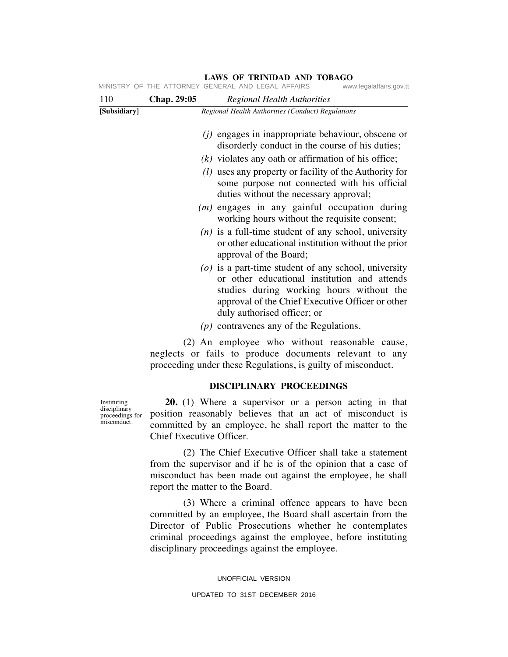|              |             |                        |                                                   | MINISTRY OF THE ATTORNEY GENERAL AND LEGAL AFFAIRS www.legalaffairs.gov.tt                                                                                                                             |
|--------------|-------------|------------------------|---------------------------------------------------|--------------------------------------------------------------------------------------------------------------------------------------------------------------------------------------------------------|
| 110          | Chap. 29:05 |                        | <b>Regional Health Authorities</b>                |                                                                                                                                                                                                        |
| [Subsidiary] |             |                        | Regional Health Authorities (Conduct) Regulations |                                                                                                                                                                                                        |
|              |             |                        |                                                   | $(j)$ engages in inappropriate behaviour, obscene or<br>disorderly conduct in the course of his duties;                                                                                                |
|              |             |                        |                                                   | $(k)$ violates any oath or affirmation of his office;                                                                                                                                                  |
|              |             |                        | duties without the necessary approval;            | ( <i>l</i> ) uses any property or facility of the Authority for<br>some purpose not connected with his official                                                                                        |
|              |             |                        |                                                   | $(m)$ engages in any gainful occupation during<br>working hours without the requisite consent;                                                                                                         |
|              |             | approval of the Board; |                                                   | $(n)$ is a full-time student of any school, university<br>or other educational institution without the prior                                                                                           |
|              |             |                        | duly authorised officer; or                       | $(o)$ is a part-time student of any school, university<br>or other educational institution and attends<br>studies during working hours without the<br>approval of the Chief Executive Officer or other |
|              |             |                        | $(p)$ contravenes any of the Regulations.         |                                                                                                                                                                                                        |
|              |             |                        |                                                   | (2) An employee who without reasonable cause,<br>neglects or fails to produce documents relevant to any<br>proceeding under these Regulations, is guilty of misconduct.                                |

**DISCIPLINARY PROCEEDINGS**

 **20.** (1) Where a supervisor or a person acting in that position reasonably believes that an act of misconduct is committed by an employee, he shall report the matter to the Chief Executive Officer.

 (2) The Chief Executive Officer shall take a statement from the supervisor and if he is of the opinion that a case of misconduct has been made out against the employee, he shall report the matter to the Board.

 (3) Where a criminal offence appears to have been committed by an employee, the Board shall ascertain from the Director of Public Prosecutions whether he contemplates criminal proceedings against the employee, before instituting disciplinary proceedings against the employee.

> UNOFFICIAL VERSION UPDATED TO 31ST DECEMBER 2016

Instituting disciplinary proceedings for misconduct.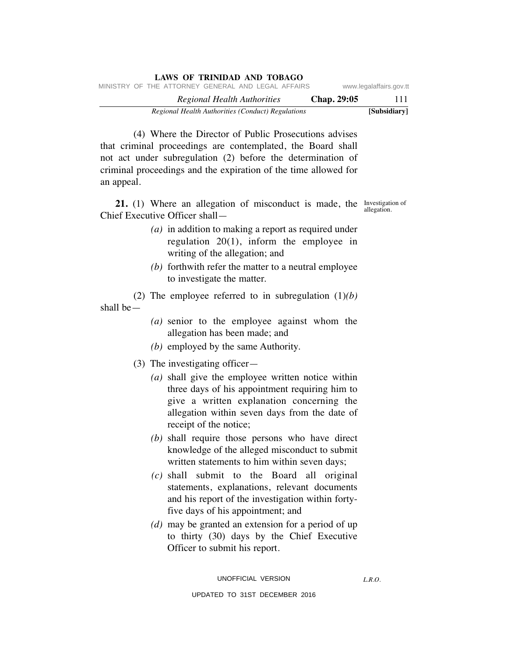| LAWS OF TRINIDAD AND TOBAGO                        |             |                         |
|----------------------------------------------------|-------------|-------------------------|
| MINISTRY OF THE ATTORNEY GENERAL AND LEGAL AFFAIRS |             | www.legalaffairs.gov.tt |
| Regional Health Authorities                        | Chap. 29:05 | 111                     |
| Regional Health Authorities (Conduct) Regulations  |             | [Subsidiary]            |

 (4) Where the Director of Public Prosecutions advises that criminal proceedings are contemplated, the Board shall not act under subregulation (2) before the determination of criminal proceedings and the expiration of the time allowed for an appeal.

**21.** (1) Where an allegation of misconduct is made, the Investigation of Chief Executive Officer shall—

allegation.

- *(a)* in addition to making a report as required under regulation 20(1), inform the employee in writing of the allegation; and
- *(b)* forthwith refer the matter to a neutral employee to investigate the matter.

(2) The employee referred to in subregulation (1)*(b)*

shall be—

- *(a)* senior to the employee against whom the allegation has been made; and
- *(b)* employed by the same Authority.
- (3) The investigating officer—
	- *(a)* shall give the employee written notice within three days of his appointment requiring him to give a written explanation concerning the allegation within seven days from the date of receipt of the notice;
	- *(b)* shall require those persons who have direct knowledge of the alleged misconduct to submit written statements to him within seven days;
	- *(c)* shall submit to the Board all original statements, explanations, relevant documents and his report of the investigation within fortyfive days of his appointment; and
	- *(d)* may be granted an extension for a period of up to thirty (30) days by the Chief Executive Officer to submit his report.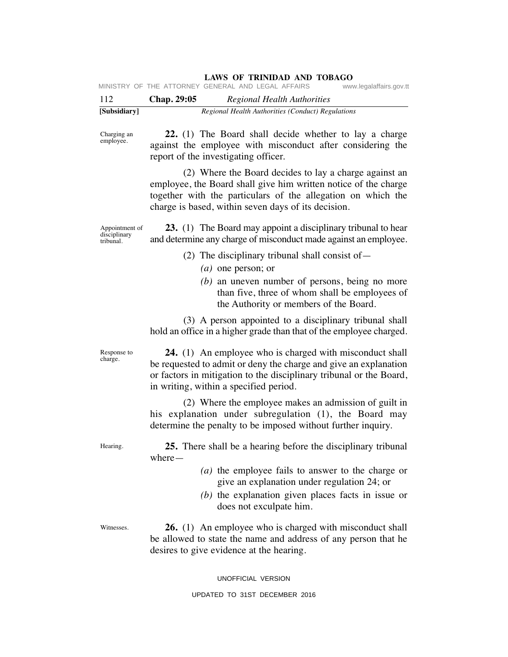| 112 | Chap. 29:05                                        |  | Regional Health Authorities |                         |
|-----|----------------------------------------------------|--|-----------------------------|-------------------------|
|     | MINISTRY OF THE ATTORNEY GENERAL AND LEGAL AFFAIRS |  |                             | www.legalaffairs.gov.tt |

| [Subsidiary] | Regional Health Authorities (Conduct) Regulations |  |
|--------------|---------------------------------------------------|--|

Charging an employee.

 **22.** (1) The Board shall decide whether to lay a charge against the employee with misconduct after considering the report of the investigating officer.

 (2) Where the Board decides to lay a charge against an employee, the Board shall give him written notice of the charge together with the particulars of the allegation on which the charge is based, within seven days of its decision.

Appointment of disciplinary tribunal.

 **23.** (1) The Board may appoint a disciplinary tribunal to hear and determine any charge of misconduct made against an employee.

- (2) The disciplinary tribunal shall consist of  $-$ 
	- *(a)* one person; or
	- *(b)* an uneven number of persons, being no more than five, three of whom shall be employees of the Authority or members of the Board.

 (3) A person appointed to a disciplinary tribunal shall hold an office in a higher grade than that of the employee charged.

 **24.** (1) An employee who is charged with misconduct shall be requested to admit or deny the charge and give an explanation or factors in mitigation to the disciplinary tribunal or the Board, in writing, within a specified period.

 (2) Where the employee makes an admission of guilt in his explanation under subregulation (1), the Board may determine the penalty to be imposed without further inquiry.

Hearing.

Response to charge.

> **25.** There shall be a hearing before the disciplinary tribunal where—

- *(a)* the employee fails to answer to the charge or give an explanation under regulation 24; or
- *(b)* the explanation given places facts in issue or does not exculpate him.

Witnesses.

 **26.** (1) An employee who is charged with misconduct shall be allowed to state the name and address of any person that he desires to give evidence at the hearing.

UNOFFICIAL VERSION

#### UPDATED TO 31ST DECEMBER 2016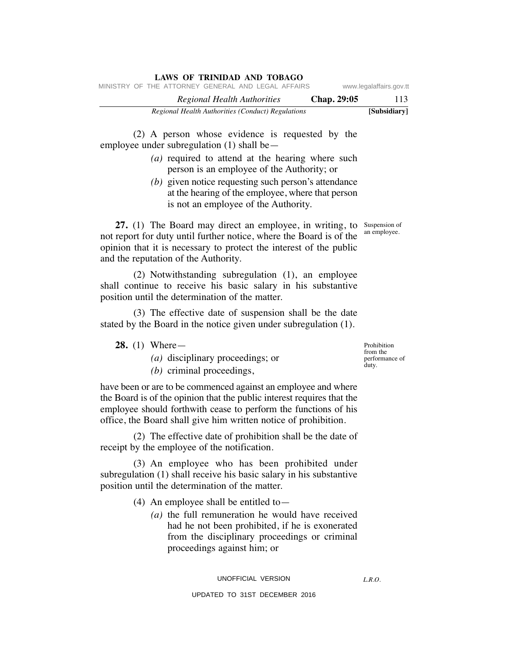| LAWS OF TRINIDAD AND TOBAGO                        |             |                         |
|----------------------------------------------------|-------------|-------------------------|
| MINISTRY OF THE ATTORNEY GENERAL AND LEGAL AFFAIRS |             | www.legalaffairs.gov.tt |
| Regional Health Authorities                        | Chap. 29:05 | 113                     |
| Regional Health Authorities (Conduct) Regulations  |             | [Subsidiarv]            |

 (2) A person whose evidence is requested by the employee under subregulation (1) shall be—

- *(a)* required to attend at the hearing where such person is an employee of the Authority; or
- *(b)* given notice requesting such person's attendance at the hearing of the employee, where that person is not an employee of the Authority.

an employee.

27. (1) The Board may direct an employee, in writing, to Suspension of not report for duty until further notice, where the Board is of the opinion that it is necessary to protect the interest of the public and the reputation of the Authority.

 (2) Notwithstanding subregulation (1), an employee shall continue to receive his basic salary in his substantive position until the determination of the matter.

 (3) The effective date of suspension shall be the date stated by the Board in the notice given under subregulation (1).

**28.** (1) Where—

*(a)* disciplinary proceedings; or

*(b)* criminal proceedings,

have been or are to be commenced against an employee and where the Board is of the opinion that the public interest requires that the employee should forthwith cease to perform the functions of his office, the Board shall give him written notice of prohibition.

 (2) The effective date of prohibition shall be the date of receipt by the employee of the notification.

 (3) An employee who has been prohibited under subregulation (1) shall receive his basic salary in his substantive position until the determination of the matter.

(4) An employee shall be entitled to—

 *(a)* the full remuneration he would have received had he not been prohibited, if he is exonerated from the disciplinary proceedings or criminal proceedings against him; or

UPDATED TO 31ST DECEMBER 2016

Prohibition from the performance of duty.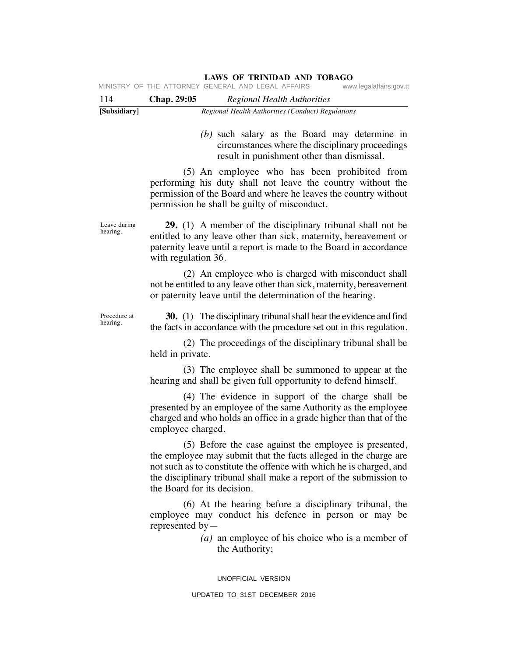| MINISTRY OF THE ATTORNEY GENERAL AND LEGAL AFFAIRS<br>www.legalaffairs.gov.tt |  |
|-------------------------------------------------------------------------------|--|
|-------------------------------------------------------------------------------|--|

| 114          | <b>Chap. 29:05</b> | Regional Health Authorities                       |
|--------------|--------------------|---------------------------------------------------|
| [Subsidiary] |                    | Regional Health Authorities (Conduct) Regulations |

 *(b)* such salary as the Board may determine in circumstances where the disciplinary proceedings result in punishment other than dismissal.

 (5) An employee who has been prohibited from performing his duty shall not leave the country without the permission of the Board and where he leaves the country without permission he shall be guilty of misconduct.

 **29.** (1) A member of the disciplinary tribunal shall not be entitled to any leave other than sick, maternity, bereavement or paternity leave until a report is made to the Board in accordance with regulation 36.

 (2) An employee who is charged with misconduct shall not be entitled to any leave other than sick, maternity, bereavement or paternity leave until the determination of the hearing.

Procedure at hearing.

Leave during hearing.

> **30.** (1) The disciplinary tribunal shall hear the evidence and find the facts in accordance with the procedure set out in this regulation.

> (2) The proceedings of the disciplinary tribunal shall be held in private.

> (3) The employee shall be summoned to appear at the hearing and shall be given full opportunity to defend himself.

> (4) The evidence in support of the charge shall be presented by an employee of the same Authority as the employee charged and who holds an office in a grade higher than that of the employee charged.

> (5) Before the case against the employee is presented, the employee may submit that the facts alleged in the charge are not such as to constitute the offence with which he is charged, and the disciplinary tribunal shall make a report of the submission to the Board for its decision.

> (6) At the hearing before a disciplinary tribunal, the employee may conduct his defence in person or may be represented by—

> > *(a)* an employee of his choice who is a member of the Authority;

UNOFFICIAL VERSION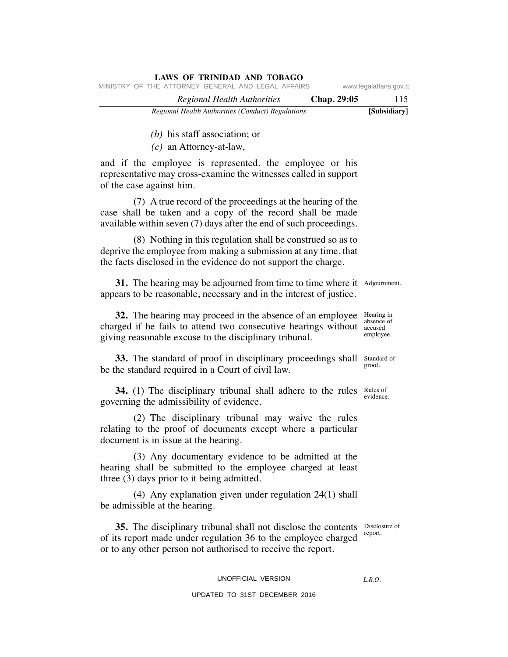| www.legalaffairs.gov.tt | MINISTRY OF THE ATTORNEY GENERAL AND LEGAL AFFAIRS |
|-------------------------|----------------------------------------------------|
| Chap. 29:05<br>115      | Regional Health Authorities                        |
| [Subsidiary]            | Regional Health Authorities (Conduct) Regulations  |

*(b)* his staff association; or

*(c)* an Attorney-at-law,

and if the employee is represented, the employee or his representative may cross-examine the witnesses called in support of the case against him.

**LAWS OF TRINIDAD AND TOBAGO**

 (7) A true record of the proceedings at the hearing of the case shall be taken and a copy of the record shall be made available within seven (7) days after the end of such proceedings.

 (8) Nothing in this regulation shall be construed so as to deprive the employee from making a submission at any time, that the facts disclosed in the evidence do not support the charge.

**31.** The hearing may be adjourned from time to time where it Adjournment. appears to be reasonable, necessary and in the interest of justice.

**32.** The hearing may proceed in the absence of an employee Hearing in charged if he fails to attend two consecutive hearings without accused giving reasonable excuse to the disciplinary tribunal.

**33.** The standard of proof in disciplinary proceedings shall Standard of be the standard required in a Court of civil law.

**34.** (1) The disciplinary tribunal shall adhere to the rules Rules of governing the admissibility of evidence.

 (2) The disciplinary tribunal may waive the rules relating to the proof of documents except where a particular document is in issue at the hearing.

 (3) Any documentary evidence to be admitted at the hearing shall be submitted to the employee charged at least three (3) days prior to it being admitted.

 (4) Any explanation given under regulation 24(1) shall be admissible at the hearing.

**35.** The disciplinary tribunal shall not disclose the contents Disclosure of of its report made under regulation 36 to the employee charged or to any other person not authorised to receive the report.

# UNOFFICIAL VERSION

## UPDATED TO 31ST DECEMBER 2016

report.

*L.R.O.* 

absence of employee.

proof.

evidence.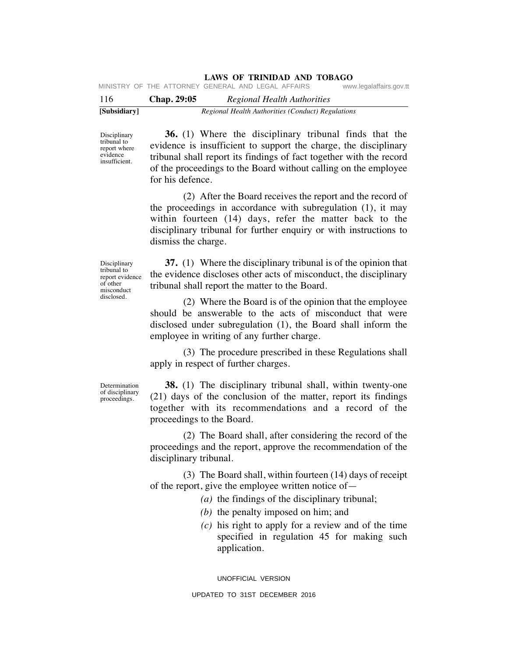| . |  |                                                    |  |  |                         |
|---|--|----------------------------------------------------|--|--|-------------------------|
|   |  | MINISTRY OF THE ATTORNEY GENERAL AND LEGAL AFFAIRS |  |  | www.legalaffairs.gov.tt |

| 116          | Chap. 29:05 | Regional Health Authorities                       |
|--------------|-------------|---------------------------------------------------|
| [Subsidiary] |             | Regional Health Authorities (Conduct) Regulations |

Disciplinary tribunal to report where evidence insufficient.

 **36.** (1) Where the disciplinary tribunal finds that the evidence is insufficient to support the charge, the disciplinary tribunal shall report its findings of fact together with the record of the proceedings to the Board without calling on the employee for his defence.

 (2) After the Board receives the report and the record of the proceedings in accordance with subregulation (1), it may within fourteen (14) days, refer the matter back to the disciplinary tribunal for further enquiry or with instructions to dismiss the charge.

Disciplinary tribunal to report evidence of other misconduct disclosed.

 **37.** (1) Where the disciplinary tribunal is of the opinion that the evidence discloses other acts of misconduct, the disciplinary tribunal shall report the matter to the Board.

 (2) Where the Board is of the opinion that the employee should be answerable to the acts of misconduct that were disclosed under subregulation (1), the Board shall inform the employee in writing of any further charge.

 (3) The procedure prescribed in these Regulations shall apply in respect of further charges.

Determination of disciplinary proceedings.

 **38.** (1) The disciplinary tribunal shall, within twenty-one (21) days of the conclusion of the matter, report its findings together with its recommendations and a record of the proceedings to the Board.

 (2) The Board shall, after considering the record of the proceedings and the report, approve the recommendation of the disciplinary tribunal.

 (3) The Board shall, within fourteen (14) days of receipt of the report, give the employee written notice of—

*(a)* the findings of the disciplinary tribunal;

- *(b)* the penalty imposed on him; and
- *(c)* his right to apply for a review and of the time specified in regulation 45 for making such application.

UNOFFICIAL VERSION UPDATED TO 31ST DECEMBER 2016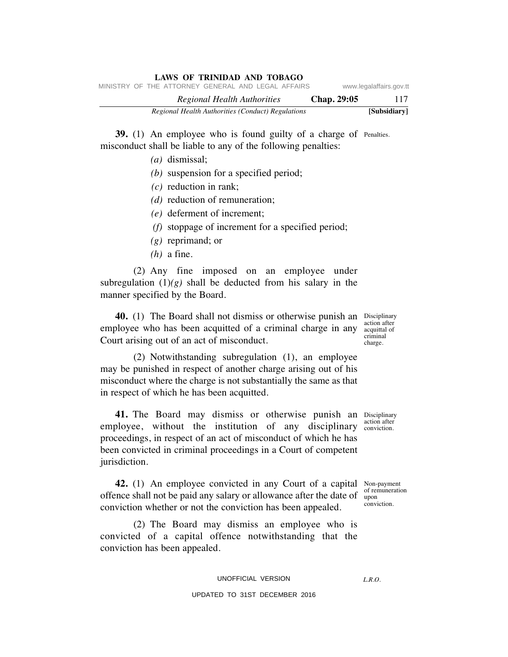|  | <b>LAWS OF TRINIDAD AND TOBAGO</b>                 |             |                         |
|--|----------------------------------------------------|-------------|-------------------------|
|  | MINISTRY OF THE ATTORNEY GENERAL AND LEGAL AFFAIRS |             | www.legalaffairs.gov.tt |
|  | Regional Health Authorities                        | Chap. 29:05 | 117                     |
|  | Regional Health Authorities (Conduct) Regulations  |             | [Subsidiary]            |

**39.** (1) An employee who is found guilty of a charge of Penalties. misconduct shall be liable to any of the following penalties:

- *(a)* dismissal;
- *(b)* suspension for a specified period;
- *(c)* reduction in rank;
- *(d)* reduction of remuneration;
- *(e)* deferment of increment;
- *(f)* stoppage of increment for a specified period;
- *(g)* reprimand; or
- *(h)* a fine.

 (2) Any fine imposed on an employee under subregulation  $(1)(g)$  shall be deducted from his salary in the manner specified by the Board.

**40.** (1) The Board shall not dismiss or otherwise punish an Disciplinary employee who has been acquitted of a criminal charge in any acquittal of Court arising out of an act of misconduct.

 (2) Notwithstanding subregulation (1), an employee may be punished in respect of another charge arising out of his misconduct where the charge is not substantially the same as that in respect of which he has been acquitted.

41. The Board may dismiss or otherwise punish an Disciplinary employee, without the institution of any disciplinary action after proceedings, in respect of an act of misconduct of which he has been convicted in criminal proceedings in a Court of competent jurisdiction. conviction.

**42.** (1) An employee convicted in any Court of a capital Non-payment offence shall not be paid any salary or allowance after the date of upon conviction whether or not the conviction has been appealed.

 (2) The Board may dismiss an employee who is convicted of a capital offence notwithstanding that the conviction has been appealed.

## UNOFFICIAL VERSION

#### UPDATED TO 31ST DECEMBER 2016

of remuneration

conviction.

*L.R.O.* 

action after criminal charge.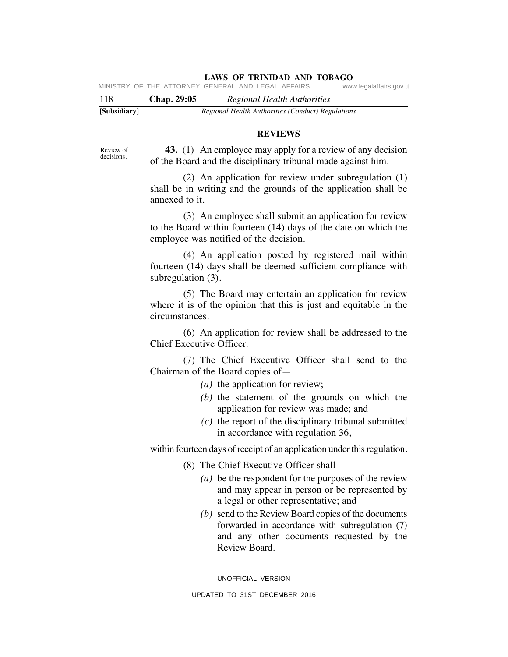| [Subsidiary] |             | Regional Health Authorities (Conduct) Regulations  |                         |
|--------------|-------------|----------------------------------------------------|-------------------------|
| 118          | Chap. 29:05 | Regional Health Authorities                        |                         |
|              |             | MINISTRY OF THE ATTORNEY GENERAL AND LEGAL AFFAIRS | www.legalaffairs.gov.tt |

#### **REVIEWS**

Review of decisions.

 **43.** (1) An employee may apply for a review of any decision of the Board and the disciplinary tribunal made against him.

 (2) An application for review under subregulation (1) shall be in writing and the grounds of the application shall be annexed to it.

 (3) An employee shall submit an application for review to the Board within fourteen (14) days of the date on which the employee was notified of the decision.

 (4) An application posted by registered mail within fourteen (14) days shall be deemed sufficient compliance with subregulation (3).

 (5) The Board may entertain an application for review where it is of the opinion that this is just and equitable in the circumstances.

 (6) An application for review shall be addressed to the Chief Executive Officer.

 (7) The Chief Executive Officer shall send to the Chairman of the Board copies of—

- *(a)* the application for review;
- *(b)* the statement of the grounds on which the application for review was made; and
- *(c)* the report of the disciplinary tribunal submitted in accordance with regulation 36,

within fourteen days of receipt of an application under this regulation.

(8) The Chief Executive Officer shall—

- *(a)* be the respondent for the purposes of the review and may appear in person or be represented by a legal or other representative; and
- *(b)* send to the Review Board copies of the documents forwarded in accordance with subregulation (7) and any other documents requested by the Review Board.

UNOFFICIAL VERSION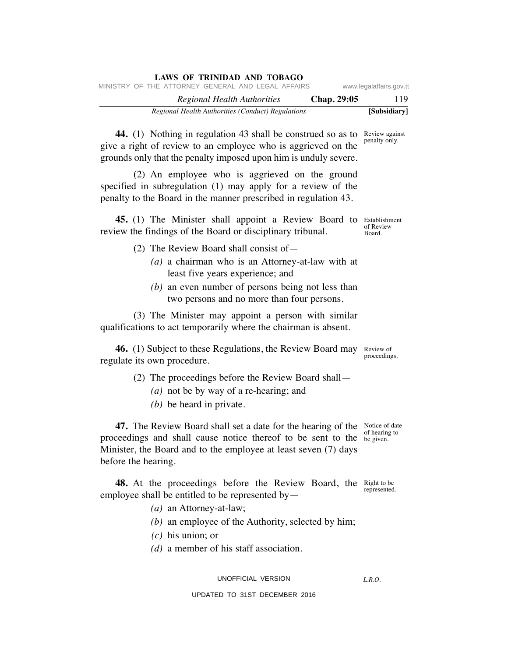|  | Regional Health Authorities (Conduct) Regulations  |                             |  |  |             | [Subsidiary]            |
|--|----------------------------------------------------|-----------------------------|--|--|-------------|-------------------------|
|  |                                                    | Regional Health Authorities |  |  | Chap. 29:05 | 119                     |
|  | MINISTRY OF THE ATTORNEY GENERAL AND LEGAL AFFAIRS |                             |  |  |             | www.legalaffairs.gov.tt |

**44.** (1) Nothing in regulation 43 shall be construed so as to Review against give a right of review to an employee who is aggrieved on the grounds only that the penalty imposed upon him is unduly severe. penalty only.

 (2) An employee who is aggrieved on the ground specified in subregulation (1) may apply for a review of the penalty to the Board in the manner prescribed in regulation 43.

**45.** (1) The Minister shall appoint a Review Board to Establishment review the findings of the Board or disciplinary tribunal.

- (2) The Review Board shall consist of—
	- *(a)* a chairman who is an Attorney-at-law with at least five years experience; and
	- *(b)* an even number of persons being not less than two persons and no more than four persons.

 (3) The Minister may appoint a person with similar qualifications to act temporarily where the chairman is absent.

**46.** (1) Subject to these Regulations, the Review Board may Review of regulate its own procedure. proceedings.

- (2) The proceedings before the Review Board shall—
	- *(a)* not be by way of a re-hearing; and
	- *(b)* be heard in private.

**47.** The Review Board shall set a date for the hearing of the Notice of date proceedings and shall cause notice thereof to be sent to the begiven. Minister, the Board and to the employee at least seven (7) days before the hearing.

**48.** At the proceedings before the Review Board, the Right to be employee shall be entitled to be represented by—

- *(a)* an Attorney-at-law;
- *(b)* an employee of the Authority, selected by him;
- *(c)* his union; or
- *(d)* a member of his staff association.

UNOFFICIAL VERSION

UPDATED TO 31ST DECEMBER 2016

of hearing to

represented.

*L.R.O.* 

of Review Board.

**LAWS OF TRINIDAD AND TOBAGO**